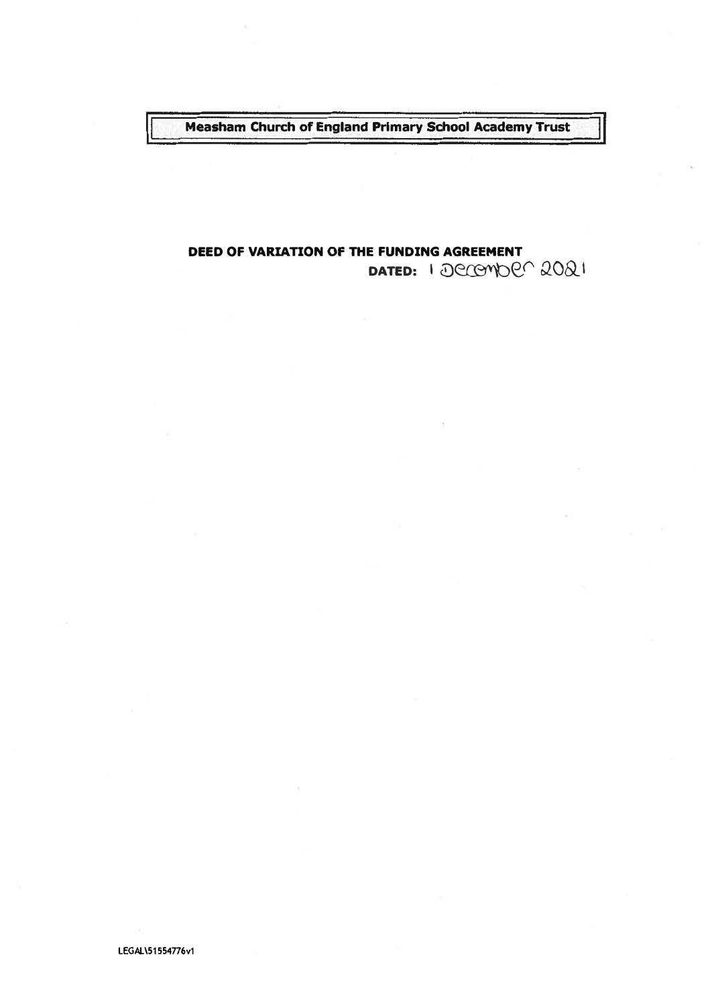Measham Church of England Primary School Academy Trust

# DEED OF VARIATION OF THE FUNDING AGREEMENT DATED: 1 *Decomber* 2021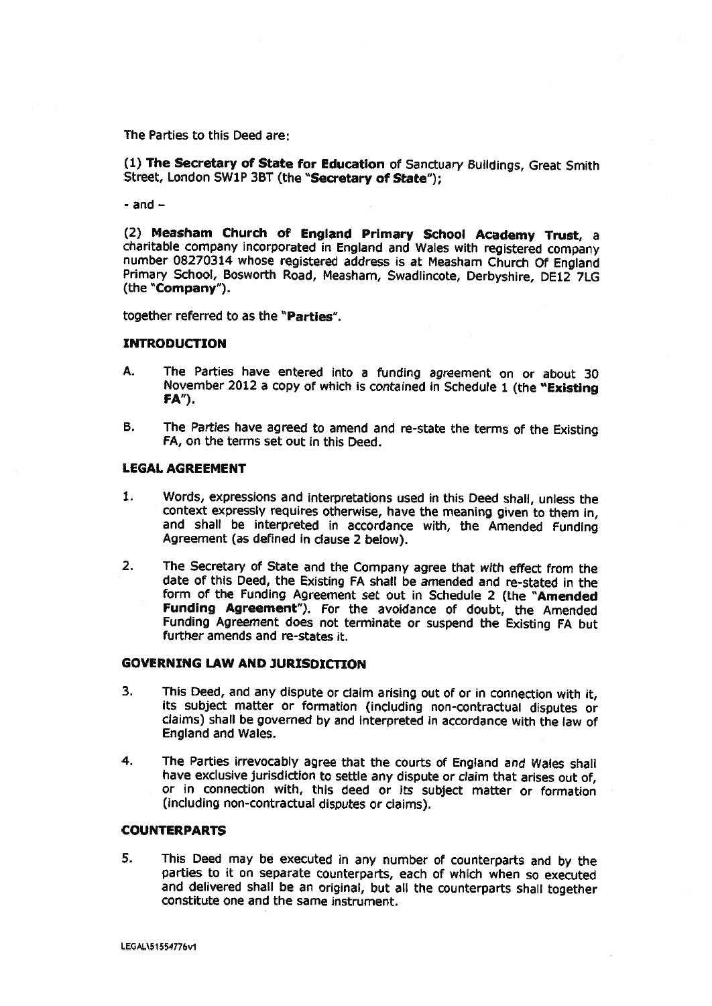The Parties to this Deed are:

(1) The Secretary of State for Education of Sanctuary Suildings, Great Smith Street, London SW1P 3BT (the "Secretary of State"):

- and  $-$ 

(2) Measham Church of England Primary School Academy Trust, <sup>a</sup> charitable company incorporated in England and Wales with registered company number 08270314 whose registered address is at Measham Church Of England Primary School, Bosworth Road, Measham, Swadlincote, Derbyshire, DE12 7LG (the "Company").

together referred to as the "Parties".

#### INTRODUCTION

- A. The Parties have entered into a funding agreemen<sup>t</sup> on or about 30 November 2012 a copy of which is contained in Schedule <sup>1</sup> (the "Existing FA").
- B. The Parties have agree<sup>d</sup> to amend and re-state the terms of the Existing FA, on the terms set out in this Deed.

#### LEGAL AGREEMENT

- 1. Words, expressions and interpretations used in this Deed shall, unless the context expressly requires otherwise, have the meaning <sup>g</sup>iven to them in, and shall be interpreted in accordance with, the Amended Funding Agreement (as defined in clause 2 below).
- 2. The Secretary of State and the Company agree that with effect from the date of this Deed, the Existing FA shall be amended and re-stated in the form of the Funding Agreement set out in Schedule 2 (the "Amended Funding Agreement"). For the avoidance of doubt, the Amended Funding Agreement does not terminate or suspend the Existing FA but further amends and re-states it.

#### GOVERNING LAW AND JURISDICTION

- 3. This Deed, and any dispute or claim arising out of or in connection with it, its subject matter or formation (including non-contractual disputes or claims) shall be governed by and interpreted in accordance with the law of England and Wales.
- 4. The Parties irrevocably agree that the courts of England and Wales shall have exclusive jurisdiction to settle any dispute or claim that arises out of, or in connection with, this deed or its subject matter or formation (including non-contractual disputes or claims).

#### COUNTERPARTS

5. This Deed may be executed in any number of counterparts and by the parties to it on separate counterparts, each of which when so executed and delivered shall be an original, but all the counterparts shall together constitute one and the same instrument.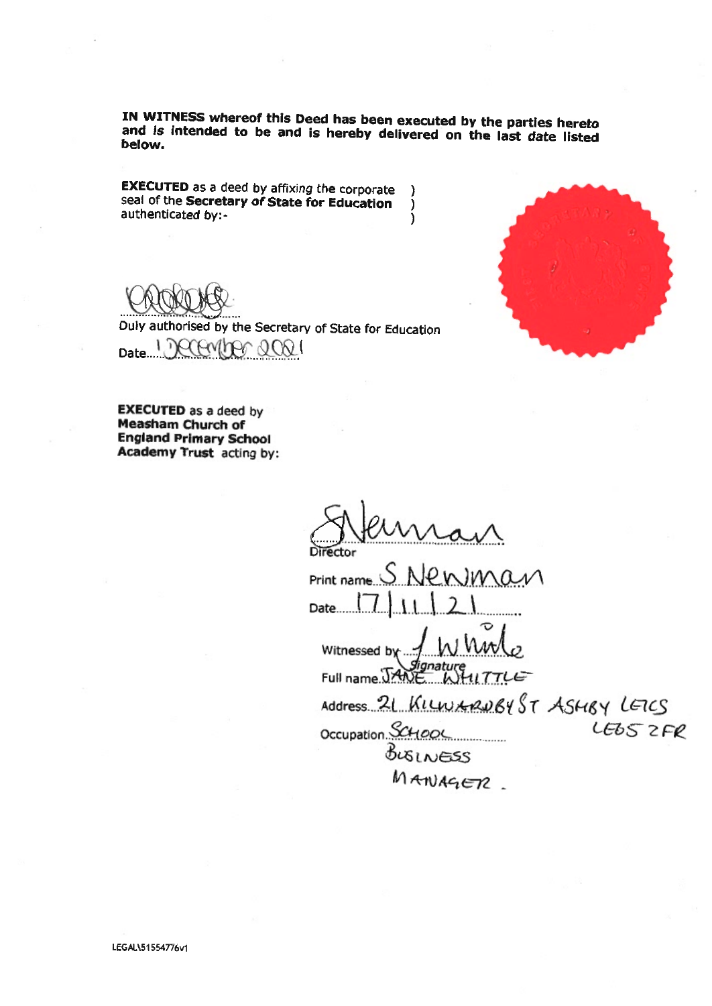IN WITNESS whereof this Deed has been executed by the parties hereto and is intended to be and is hereby delivered on the last date listed below.

EXECUTED as <sup>a</sup> deed by affixing the corporate J seal of the Secretary of State for Education  $\lambda$ authenticated by:  $\lambda$ 



Duly authorised by the Secretary of State for Education mm  $\mathcal{L}$  $600$ Date



EXECUTED as <sup>a</sup> deed by Measham Church of England Primary School Academy Trust acting by:

ector

 $Printname S$  Newman Date.... Witnessed by Full name. JANE WHIT E Address. 21 KILWARDBY ST ASHBY LETCS Occupation. SCHOOL LEDS ZFR

BUSINESS  $M$ ATUAGETZ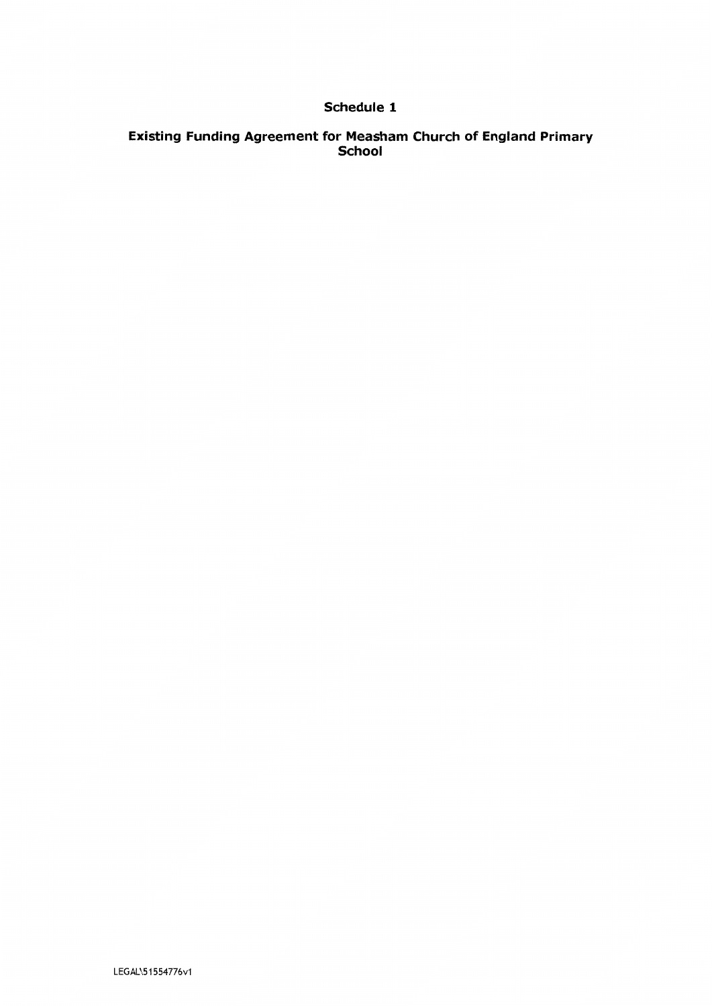## Schedule 1

# Existing Funding Agreement for Measham Church of England Primary<br>School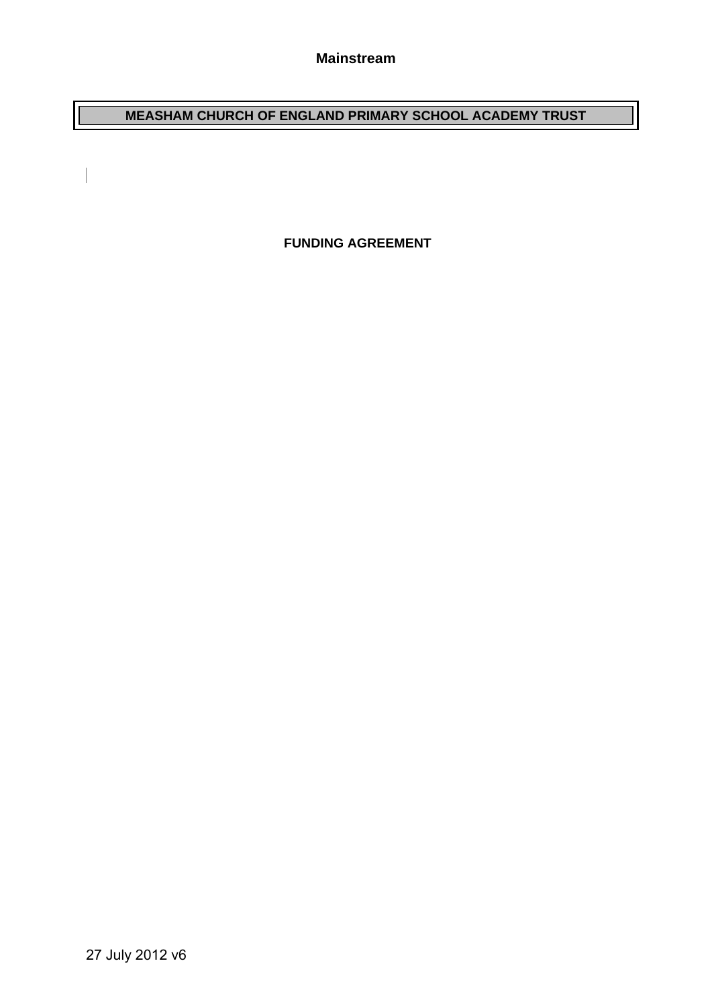**MEASHAM CHURCH OF ENGLAND PRIMARY SCHOOL ACADEMY TRUST**

 **FUNDING AGREEMENT** 

 $\begin{array}{c} \begin{array}{c} \begin{array}{c} \end{array} \end{array} \end{array}$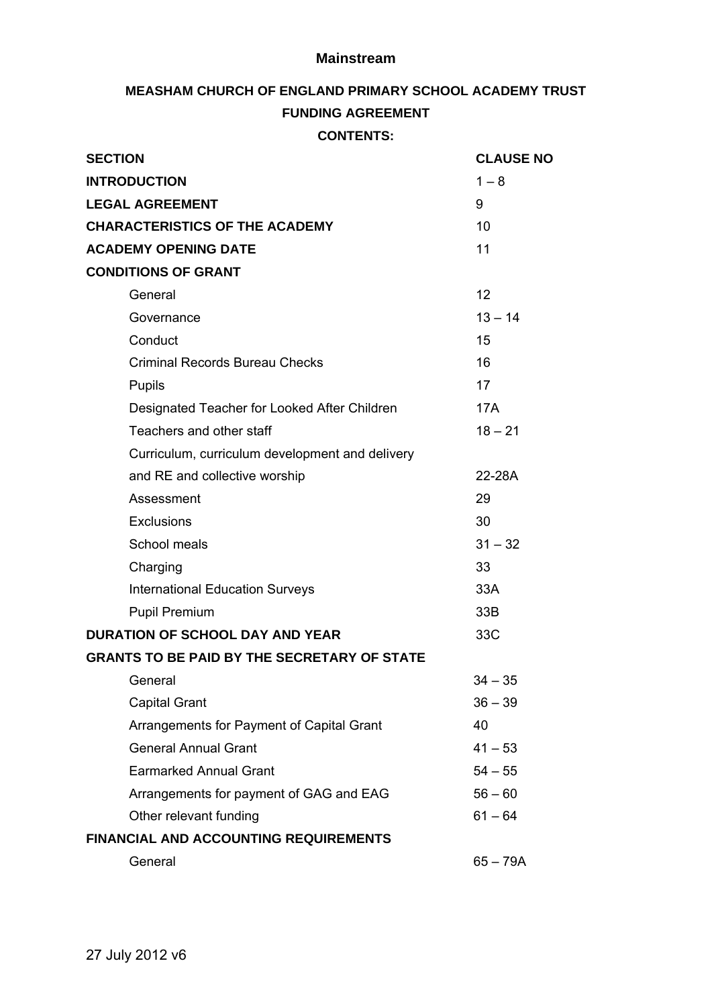#### **Mainstream**

# **MEASHAM CHURCH OF ENGLAND PRIMARY SCHOOL ACADEMY TRUST**

## **FUNDING AGREEMENT**

**CONTENTS:** 

| <b>SECTION</b>                                     | <b>CLAUSE NO</b> |
|----------------------------------------------------|------------------|
| <b>INTRODUCTION</b>                                | $1 - 8$          |
| <b>LEGAL AGREEMENT</b>                             | 9                |
| <b>CHARACTERISTICS OF THE ACADEMY</b>              | 10               |
| <b>ACADEMY OPENING DATE</b>                        | 11               |
| <b>CONDITIONS OF GRANT</b>                         |                  |
| General                                            | 12               |
| Governance                                         | $13 - 14$        |
| Conduct                                            | 15               |
| <b>Criminal Records Bureau Checks</b>              | 16               |
| Pupils                                             | 17               |
| Designated Teacher for Looked After Children       | <b>17A</b>       |
| Teachers and other staff                           | $18 - 21$        |
| Curriculum, curriculum development and delivery    |                  |
| and RE and collective worship                      | 22-28A           |
| Assessment                                         | 29               |
| <b>Exclusions</b>                                  | 30               |
| School meals                                       | $31 - 32$        |
| Charging                                           | 33               |
| <b>International Education Surveys</b>             | 33A              |
| <b>Pupil Premium</b>                               | 33B              |
| <b>DURATION OF SCHOOL DAY AND YEAR</b>             | 33C              |
| <b>GRANTS TO BE PAID BY THE SECRETARY OF STATE</b> |                  |
| General                                            | $34 - 35$        |
| <b>Capital Grant</b>                               | $36 - 39$        |
| Arrangements for Payment of Capital Grant          | 40               |
| <b>General Annual Grant</b>                        | $41 - 53$        |
| <b>Earmarked Annual Grant</b>                      | $54 - 55$        |
| Arrangements for payment of GAG and EAG            | $56 - 60$        |
| Other relevant funding                             | $61 - 64$        |
| <b>FINANCIAL AND ACCOUNTING REQUIREMENTS</b>       |                  |
| General                                            | $65 - 79A$       |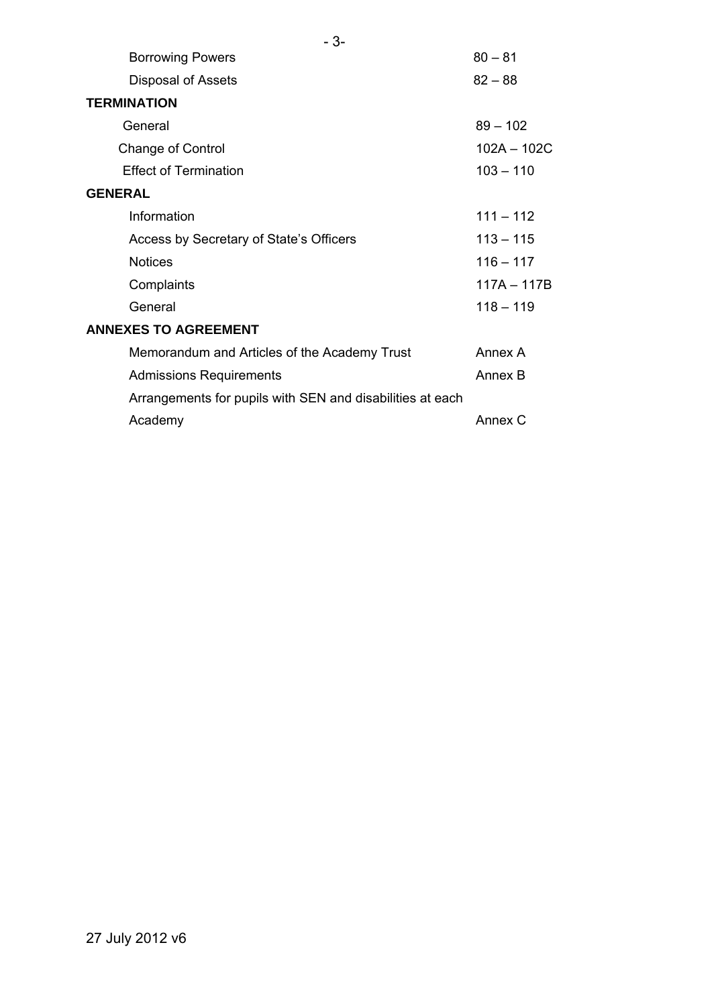| $-3-$                                                     |               |
|-----------------------------------------------------------|---------------|
| <b>Borrowing Powers</b>                                   | $80 - 81$     |
| Disposal of Assets                                        | $82 - 88$     |
| <b>TERMINATION</b>                                        |               |
| General                                                   | $89 - 102$    |
| <b>Change of Control</b>                                  | $102A - 102C$ |
| <b>Effect of Termination</b>                              | $103 - 110$   |
| <b>GENERAL</b>                                            |               |
| Information                                               | $111 - 112$   |
| Access by Secretary of State's Officers                   | $113 - 115$   |
| <b>Notices</b>                                            | $116 - 117$   |
| Complaints                                                | 117A - 117B   |
| General                                                   | $118 - 119$   |
| <b>ANNEXES TO AGREEMENT</b>                               |               |
| Memorandum and Articles of the Academy Trust              | Annex A       |
| <b>Admissions Requirements</b>                            | Annex B       |
| Arrangements for pupils with SEN and disabilities at each |               |
| Academy                                                   | Annex C       |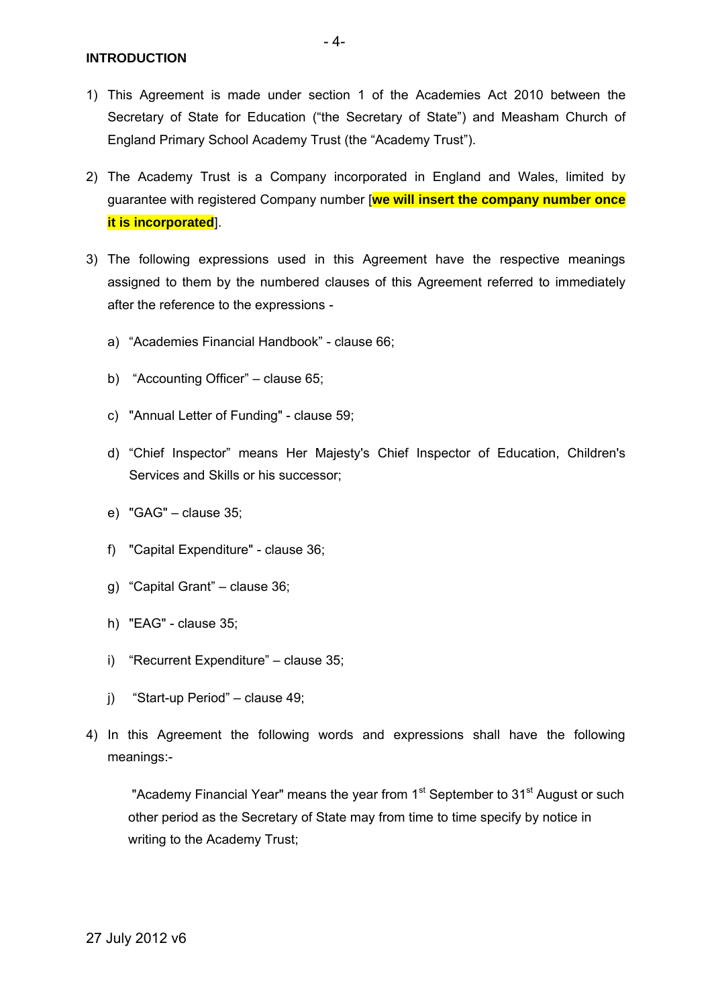**INTRODUCTION** 

- 4-

- 1) This Agreement is made under section 1 of the Academies Act 2010 between the Secretary of State for Education ("the Secretary of State") and Measham Church of England Primary School Academy Trust (the "Academy Trust").
- 2) The Academy Trust is a Company incorporated in England and Wales, limited by guarantee with registered Company number [**we will insert the company number once it is incorporated**].
- 3) The following expressions used in this Agreement have the respective meanings assigned to them by the numbered clauses of this Agreement referred to immediately after the reference to the expressions
	- a) "Academies Financial Handbook" clause 66;
	- b) "Accounting Officer" clause 65;
	- c) "Annual Letter of Funding" clause 59;
	- d) "Chief Inspector" means Her Majesty's Chief Inspector of Education, Children's Services and Skills or his successor;
	- e) "GAG" clause 35;
	- f) "Capital Expenditure" clause 36;
	- g) "Capital Grant" clause 36;
	- h) "EAG" clause 35;
	- i) "Recurrent Expenditure" clause 35;
	- j) "Start-up Period" clause 49;
- 4) In this Agreement the following words and expressions shall have the following meanings:-

"Academy Financial Year" means the year from 1<sup>st</sup> September to 31<sup>st</sup> August or such other period as the Secretary of State may from time to time specify by notice in writing to the Academy Trust;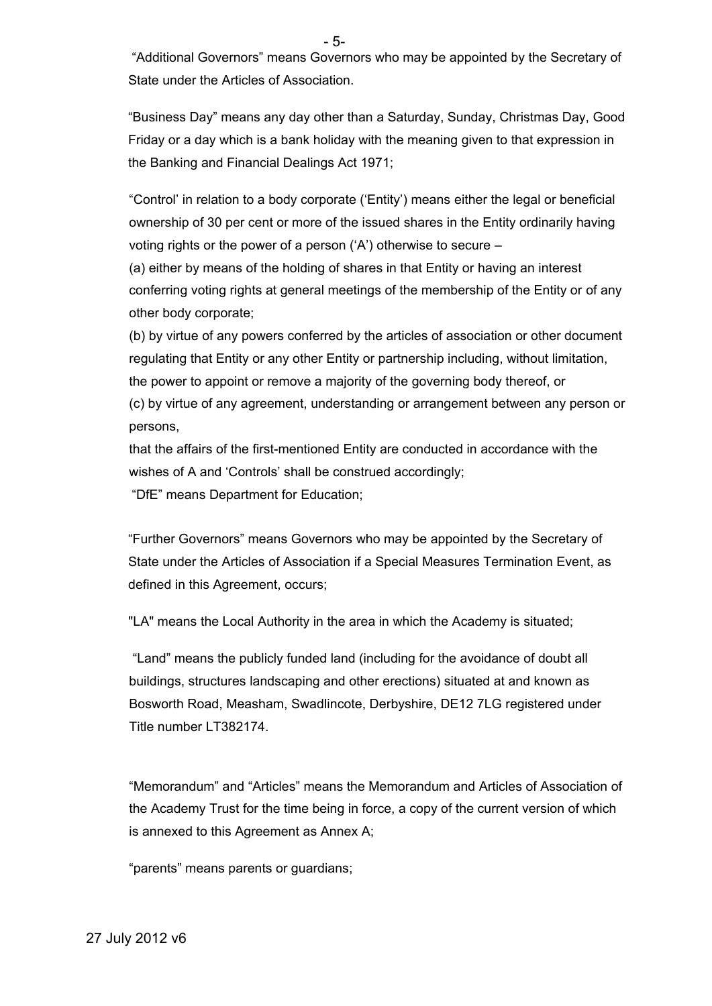- 5-

 "Additional Governors" means Governors who may be appointed by the Secretary of State under the Articles of Association.

"Business Day" means any day other than a Saturday, Sunday, Christmas Day, Good Friday or a day which is a bank holiday with the meaning given to that expression in the Banking and Financial Dealings Act 1971;

"Control' in relation to a body corporate ('Entity') means either the legal or beneficial ownership of 30 per cent or more of the issued shares in the Entity ordinarily having voting rights or the power of a person ('A') otherwise to secure –

(a) either by means of the holding of shares in that Entity or having an interest conferring voting rights at general meetings of the membership of the Entity or of any other body corporate;

(b) by virtue of any powers conferred by the articles of association or other document regulating that Entity or any other Entity or partnership including, without limitation, the power to appoint or remove a majority of the governing body thereof, or

(c) by virtue of any agreement, understanding or arrangement between any person or persons,

that the affairs of the first-mentioned Entity are conducted in accordance with the wishes of A and 'Controls' shall be construed accordingly;

"DfE" means Department for Education;

"Further Governors" means Governors who may be appointed by the Secretary of State under the Articles of Association if a Special Measures Termination Event, as defined in this Agreement, occurs;

"LA" means the Local Authority in the area in which the Academy is situated;

"Land" means the publicly funded land (including for the avoidance of doubt all buildings, structures landscaping and other erections) situated at and known as Bosworth Road, Measham, Swadlincote, Derbyshire, DE12 7LG registered under Title number LT382174.

"Memorandum" and "Articles" means the Memorandum and Articles of Association of the Academy Trust for the time being in force, a copy of the current version of which is annexed to this Agreement as Annex A;

"parents" means parents or guardians;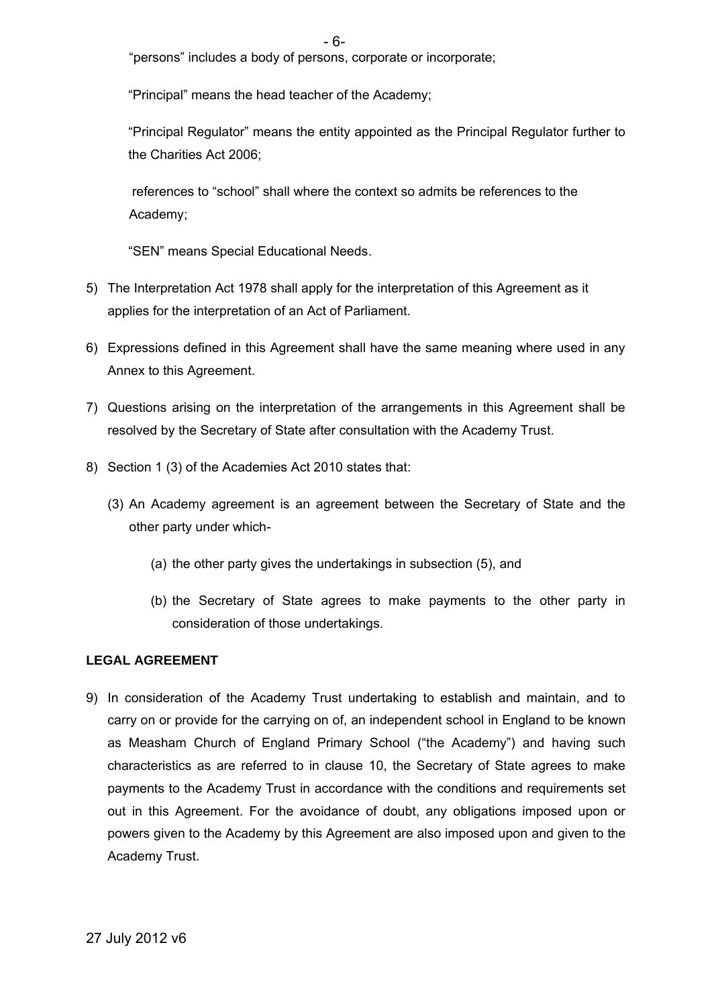"persons" includes a body of persons, corporate or incorporate;

"Principal" means the head teacher of the Academy;

"Principal Regulator" means the entity appointed as the Principal Regulator further to the Charities Act 2006;

 references to "school" shall where the context so admits be references to the Academy;

"SEN" means Special Educational Needs.

- 5) The Interpretation Act 1978 shall apply for the interpretation of this Agreement as it applies for the interpretation of an Act of Parliament.
- 6) Expressions defined in this Agreement shall have the same meaning where used in any Annex to this Agreement.
- 7) Questions arising on the interpretation of the arrangements in this Agreement shall be resolved by the Secretary of State after consultation with the Academy Trust.
- 8) Section 1 (3) of the Academies Act 2010 states that:
	- (3) An Academy agreement is an agreement between the Secretary of State and the other party under which-
		- (a) the other party gives the undertakings in subsection (5), and
		- (b) the Secretary of State agrees to make payments to the other party in consideration of those undertakings.

#### **LEGAL AGREEMENT**

9) In consideration of the Academy Trust undertaking to establish and maintain, and to carry on or provide for the carrying on of, an independent school in England to be known as Measham Church of England Primary School ("the Academy") and having such characteristics as are referred to in clause 10, the Secretary of State agrees to make payments to the Academy Trust in accordance with the conditions and requirements set out in this Agreement. For the avoidance of doubt, any obligations imposed upon or powers given to the Academy by this Agreement are also imposed upon and given to the Academy Trust.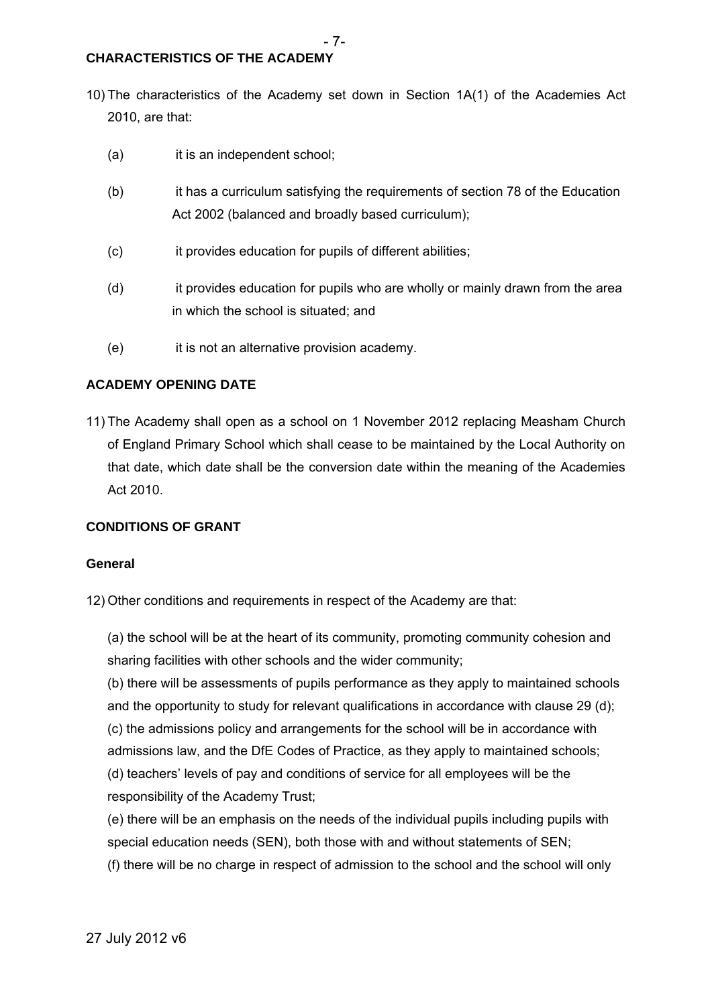10) The characteristics of the Academy set down in Section 1A(1) of the Academies Act 2010, are that:

- 7-

- (a) it is an independent school;
- (b) it has a curriculum satisfying the requirements of section 78 of the Education Act 2002 (balanced and broadly based curriculum);
- (c) it provides education for pupils of different abilities;
- (d) it provides education for pupils who are wholly or mainly drawn from the area in which the school is situated; and
- (e) it is not an alternative provision academy.

#### **ACADEMY OPENING DATE**

11) The Academy shall open as a school on 1 November 2012 replacing Measham Church of England Primary School which shall cease to be maintained by the Local Authority on that date, which date shall be the conversion date within the meaning of the Academies Act 2010.

#### **CONDITIONS OF GRANT**

#### **General**

12) Other conditions and requirements in respect of the Academy are that:

(a) the school will be at the heart of its community, promoting community cohesion and sharing facilities with other schools and the wider community;

(b) there will be assessments of pupils performance as they apply to maintained schools and the opportunity to study for relevant qualifications in accordance with clause 29 (d);

(c) the admissions policy and arrangements for the school will be in accordance with

admissions law, and the DfE Codes of Practice, as they apply to maintained schools;

(d) teachers' levels of pay and conditions of service for all employees will be the responsibility of the Academy Trust;

(e) there will be an emphasis on the needs of the individual pupils including pupils with special education needs (SEN), both those with and without statements of SEN; (f) there will be no charge in respect of admission to the school and the school will only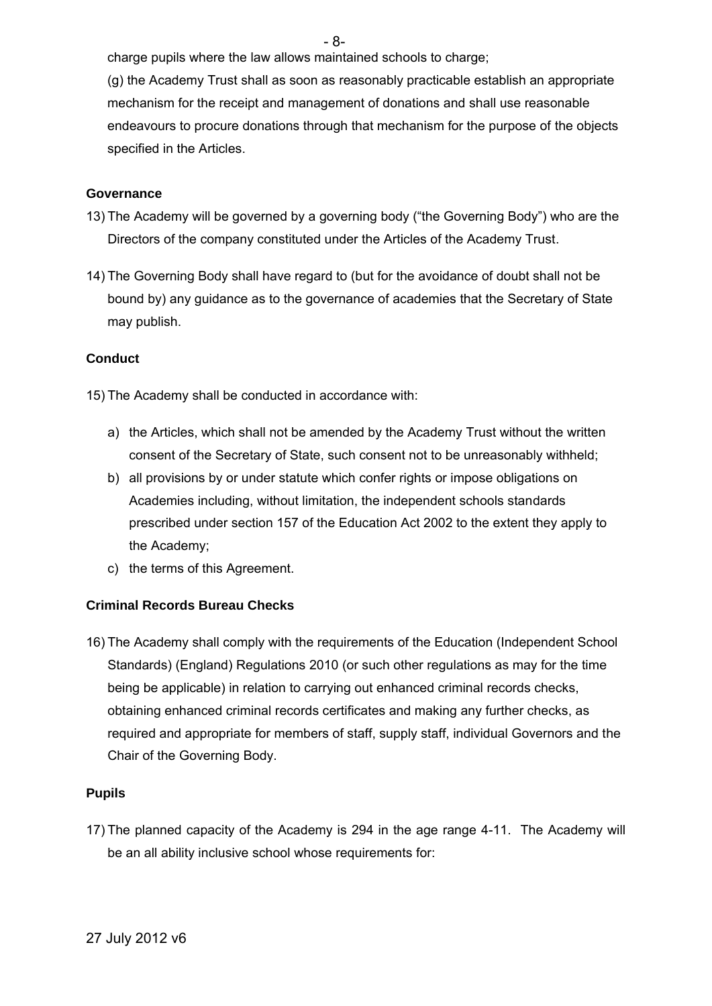- 8-

charge pupils where the law allows maintained schools to charge;

(g) the Academy Trust shall as soon as reasonably practicable establish an appropriate mechanism for the receipt and management of donations and shall use reasonable endeavours to procure donations through that mechanism for the purpose of the objects specified in the Articles.

#### **Governance**

- 13) The Academy will be governed by a governing body ("the Governing Body") who are the Directors of the company constituted under the Articles of the Academy Trust.
- 14) The Governing Body shall have regard to (but for the avoidance of doubt shall not be bound by) any guidance as to the governance of academies that the Secretary of State may publish.

#### **Conduct**

15) The Academy shall be conducted in accordance with:

- a) the Articles, which shall not be amended by the Academy Trust without the written consent of the Secretary of State, such consent not to be unreasonably withheld;
- b) all provisions by or under statute which confer rights or impose obligations on Academies including, without limitation, the independent schools standards prescribed under section 157 of the Education Act 2002 to the extent they apply to the Academy;
- c) the terms of this Agreement.

#### **Criminal Records Bureau Checks**

16) The Academy shall comply with the requirements of the Education (Independent School Standards) (England) Regulations 2010 (or such other regulations as may for the time being be applicable) in relation to carrying out enhanced criminal records checks, obtaining enhanced criminal records certificates and making any further checks, as required and appropriate for members of staff, supply staff, individual Governors and the Chair of the Governing Body.

#### **Pupils**

17) The planned capacity of the Academy is 294 in the age range 4-11. The Academy will be an all ability inclusive school whose requirements for: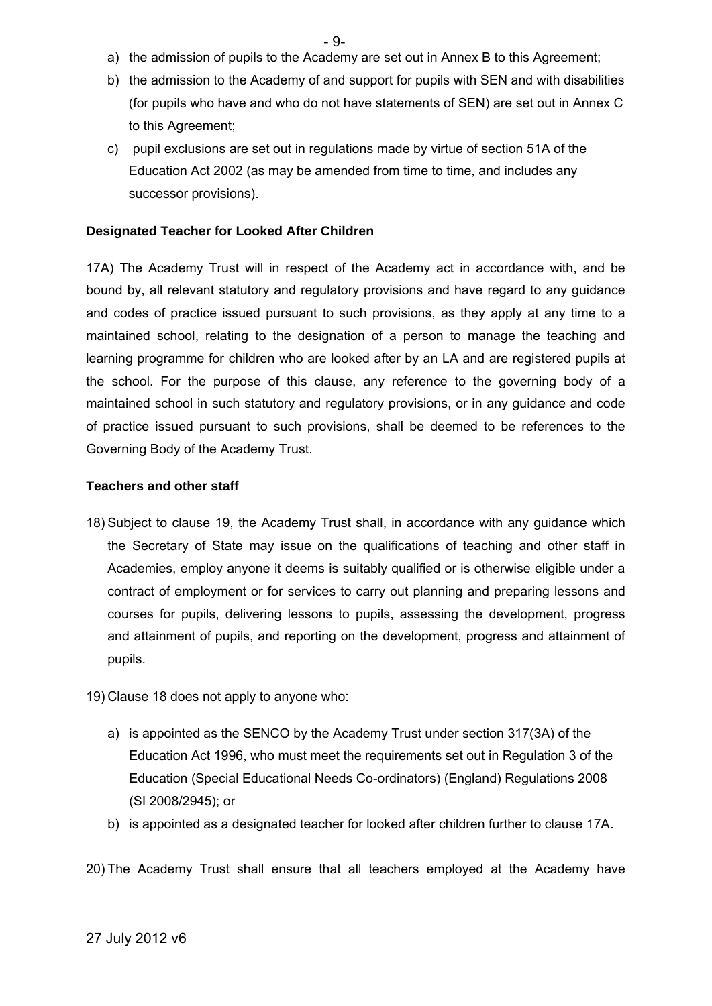- a) the admission of pupils to the Academy are set out in Annex B to this Agreement;
- b) the admission to the Academy of and support for pupils with SEN and with disabilities (for pupils who have and who do not have statements of SEN) are set out in Annex C to this Agreement;
- c) pupil exclusions are set out in regulations made by virtue of section 51A of the Education Act 2002 (as may be amended from time to time, and includes any successor provisions).

#### **Designated Teacher for Looked After Children**

17A) The Academy Trust will in respect of the Academy act in accordance with, and be bound by, all relevant statutory and regulatory provisions and have regard to any guidance and codes of practice issued pursuant to such provisions, as they apply at any time to a maintained school, relating to the designation of a person to manage the teaching and learning programme for children who are looked after by an LA and are registered pupils at the school. For the purpose of this clause, any reference to the governing body of a maintained school in such statutory and regulatory provisions, or in any guidance and code of practice issued pursuant to such provisions, shall be deemed to be references to the Governing Body of the Academy Trust.

#### **Teachers and other staff**

- 18) Subject to clause 19, the Academy Trust shall, in accordance with any guidance which the Secretary of State may issue on the qualifications of teaching and other staff in Academies, employ anyone it deems is suitably qualified or is otherwise eligible under a contract of employment or for services to carry out planning and preparing lessons and courses for pupils, delivering lessons to pupils, assessing the development, progress and attainment of pupils, and reporting on the development, progress and attainment of pupils.
- 19) Clause 18 does not apply to anyone who:
	- a) is appointed as the SENCO by the Academy Trust under section 317(3A) of the Education Act 1996, who must meet the requirements set out in Regulation 3 of the Education (Special Educational Needs Co-ordinators) (England) Regulations 2008 (SI 2008/2945); or
	- b) is appointed as a designated teacher for looked after children further to clause 17A.

20) The Academy Trust shall ensure that all teachers employed at the Academy have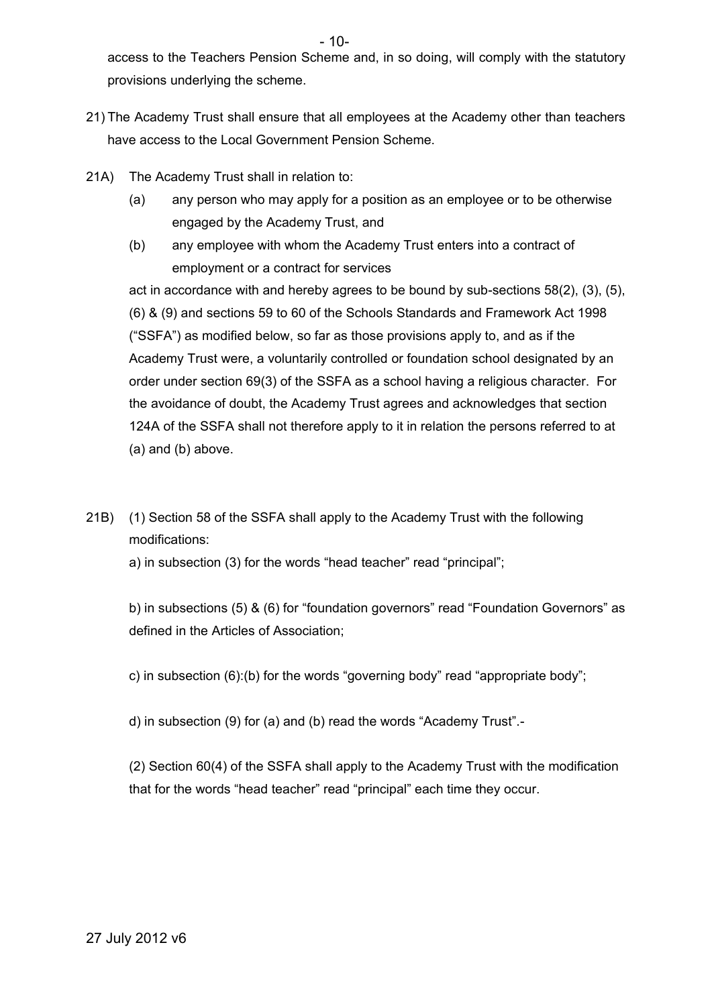$-10-$ 

access to the Teachers Pension Scheme and, in so doing, will comply with the statutory provisions underlying the scheme.

- 21) The Academy Trust shall ensure that all employees at the Academy other than teachers have access to the Local Government Pension Scheme.
- 21A) The Academy Trust shall in relation to:
	- (a) any person who may apply for a position as an employee or to be otherwise engaged by the Academy Trust, and
	- (b) any employee with whom the Academy Trust enters into a contract of employment or a contract for services

act in accordance with and hereby agrees to be bound by sub-sections 58(2), (3), (5), (6) & (9) and sections 59 to 60 of the Schools Standards and Framework Act 1998 ("SSFA") as modified below, so far as those provisions apply to, and as if the Academy Trust were, a voluntarily controlled or foundation school designated by an order under section 69(3) of the SSFA as a school having a religious character. For the avoidance of doubt, the Academy Trust agrees and acknowledges that section 124A of the SSFA shall not therefore apply to it in relation the persons referred to at (a) and (b) above.

21B) (1) Section 58 of the SSFA shall apply to the Academy Trust with the following modifications:

a) in subsection (3) for the words "head teacher" read "principal";

b) in subsections (5) & (6) for "foundation governors" read "Foundation Governors" as defined in the Articles of Association;

c) in subsection (6):(b) for the words "governing body" read "appropriate body";

d) in subsection (9) for (a) and (b) read the words "Academy Trust".-

(2) Section 60(4) of the SSFA shall apply to the Academy Trust with the modification that for the words "head teacher" read "principal" each time they occur.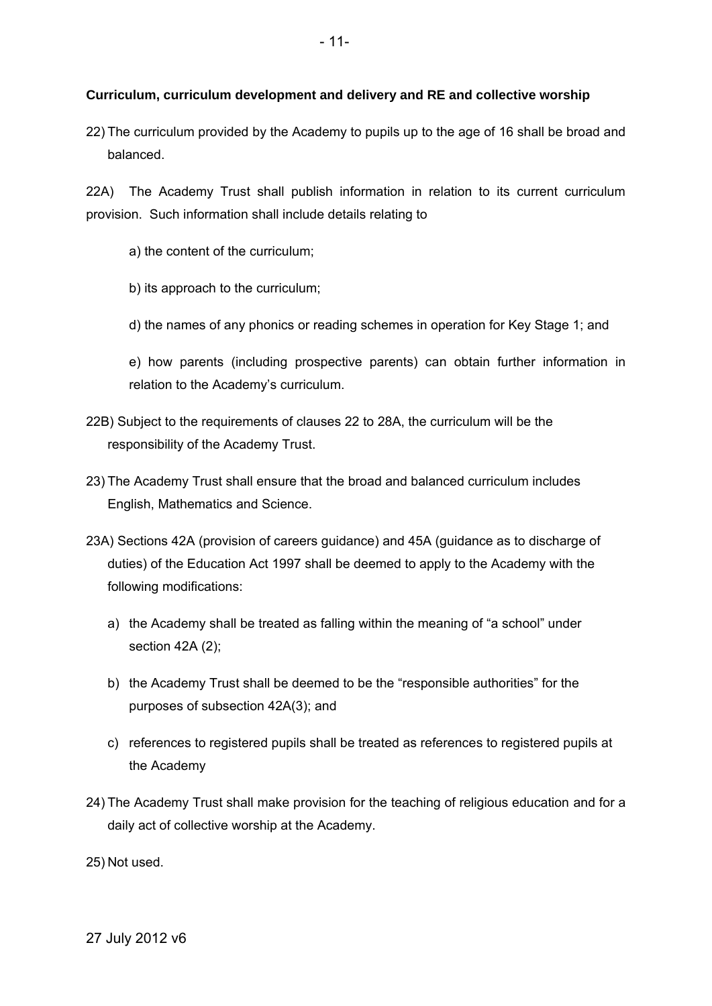#### **Curriculum, curriculum development and delivery and RE and collective worship**

22) The curriculum provided by the Academy to pupils up to the age of 16 shall be broad and balanced.

22A) The Academy Trust shall publish information in relation to its current curriculum provision. Such information shall include details relating to

a) the content of the curriculum;

- b) its approach to the curriculum;
- d) the names of any phonics or reading schemes in operation for Key Stage 1; and

e) how parents (including prospective parents) can obtain further information in relation to the Academy's curriculum.

- 22B) Subject to the requirements of clauses 22 to 28A, the curriculum will be the responsibility of the Academy Trust.
- 23) The Academy Trust shall ensure that the broad and balanced curriculum includes English, Mathematics and Science.
- 23A) Sections 42A (provision of careers guidance) and 45A (guidance as to discharge of duties) of the Education Act 1997 shall be deemed to apply to the Academy with the following modifications:
	- a) the Academy shall be treated as falling within the meaning of "a school" under section 42A (2);
	- b) the Academy Trust shall be deemed to be the "responsible authorities" for the purposes of subsection 42A(3); and
	- c) references to registered pupils shall be treated as references to registered pupils at the Academy
- 24) The Academy Trust shall make provision for the teaching of religious education and for a daily act of collective worship at the Academy.

25) Not used.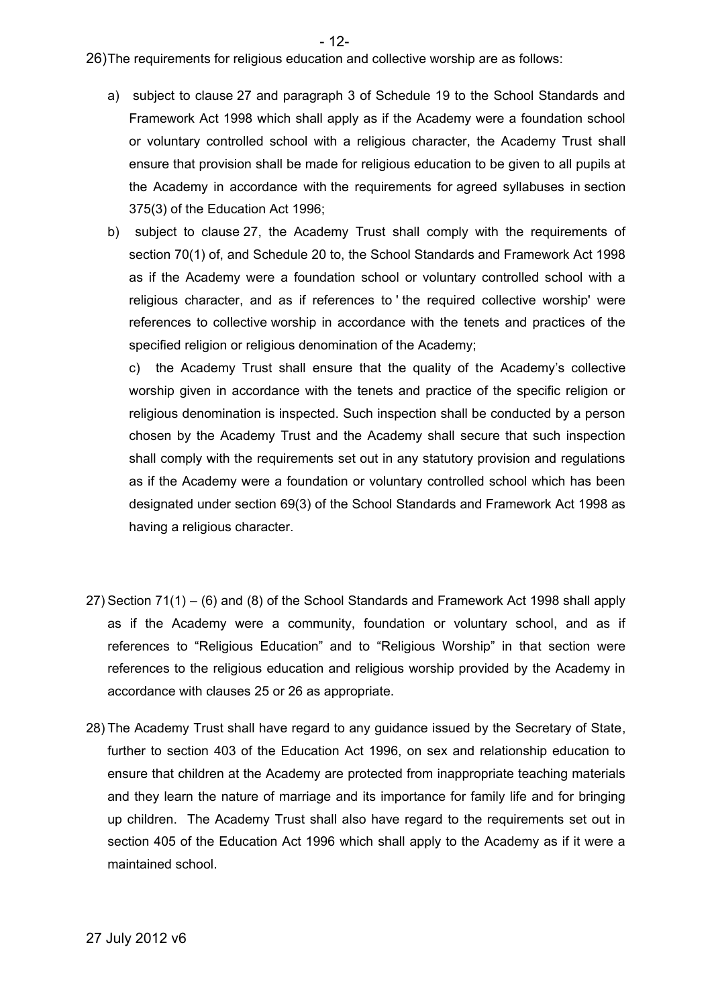- 12-

26)The requirements for religious education and collective worship are as follows:

- a) subject to clause 27 and paragraph 3 of Schedule 19 to the School Standards and Framework Act 1998 which shall apply as if the Academy were a foundation school or voluntary controlled school with a religious character, the Academy Trust shall ensure that provision shall be made for religious education to be given to all pupils at the Academy in accordance with the requirements for agreed syllabuses in section 375(3) of the Education Act 1996;
- b) subject to clause 27, the Academy Trust shall comply with the requirements of section 70(1) of, and Schedule 20 to, the School Standards and Framework Act 1998 as if the Academy were a foundation school or voluntary controlled school with a religious character, and as if references to ' the required collective worship' were references to collective worship in accordance with the tenets and practices of the specified religion or religious denomination of the Academy;

c) the Academy Trust shall ensure that the quality of the Academy's collective worship given in accordance with the tenets and practice of the specific religion or religious denomination is inspected. Such inspection shall be conducted by a person chosen by the Academy Trust and the Academy shall secure that such inspection shall comply with the requirements set out in any statutory provision and regulations as if the Academy were a foundation or voluntary controlled school which has been designated under section 69(3) of the School Standards and Framework Act 1998 as having a religious character.

- 27) Section 71(1) (6) and (8) of the School Standards and Framework Act 1998 shall apply as if the Academy were a community, foundation or voluntary school, and as if references to "Religious Education" and to "Religious Worship" in that section were references to the religious education and religious worship provided by the Academy in accordance with clauses 25 or 26 as appropriate.
- 28) The Academy Trust shall have regard to any guidance issued by the Secretary of State, further to section 403 of the Education Act 1996, on sex and relationship education to ensure that children at the Academy are protected from inappropriate teaching materials and they learn the nature of marriage and its importance for family life and for bringing up children. The Academy Trust shall also have regard to the requirements set out in section 405 of the Education Act 1996 which shall apply to the Academy as if it were a maintained school.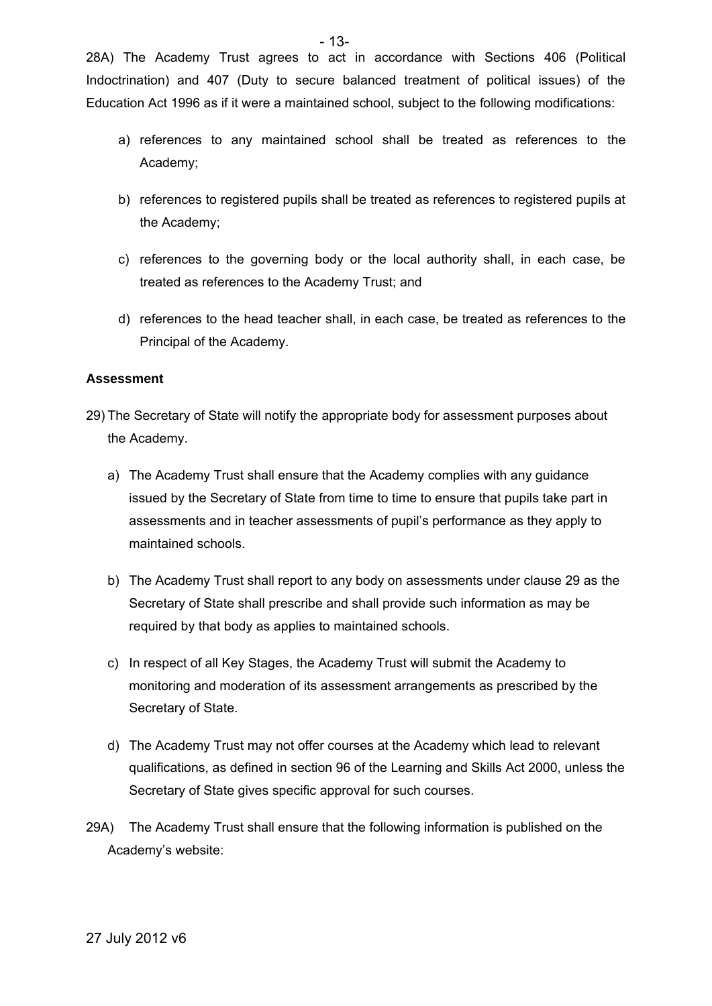28A) The Academy Trust agrees to act in accordance with Sections 406 (Political Indoctrination) and 407 (Duty to secure balanced treatment of political issues) of the Education Act 1996 as if it were a maintained school, subject to the following modifications:

- a) references to any maintained school shall be treated as references to the Academy;
- b) references to registered pupils shall be treated as references to registered pupils at the Academy;
- c) references to the governing body or the local authority shall, in each case, be treated as references to the Academy Trust; and
- d) references to the head teacher shall, in each case, be treated as references to the Principal of the Academy.

#### **Assessment**

- 29) The Secretary of State will notify the appropriate body for assessment purposes about the Academy.
	- a) The Academy Trust shall ensure that the Academy complies with any guidance issued by the Secretary of State from time to time to ensure that pupils take part in assessments and in teacher assessments of pupil's performance as they apply to maintained schools.
	- b) The Academy Trust shall report to any body on assessments under clause 29 as the Secretary of State shall prescribe and shall provide such information as may be required by that body as applies to maintained schools.
	- c) In respect of all Key Stages, the Academy Trust will submit the Academy to monitoring and moderation of its assessment arrangements as prescribed by the Secretary of State.
	- d) The Academy Trust may not offer courses at the Academy which lead to relevant qualifications, as defined in section 96 of the Learning and Skills Act 2000, unless the Secretary of State gives specific approval for such courses.
- 29A) The Academy Trust shall ensure that the following information is published on the Academy's website: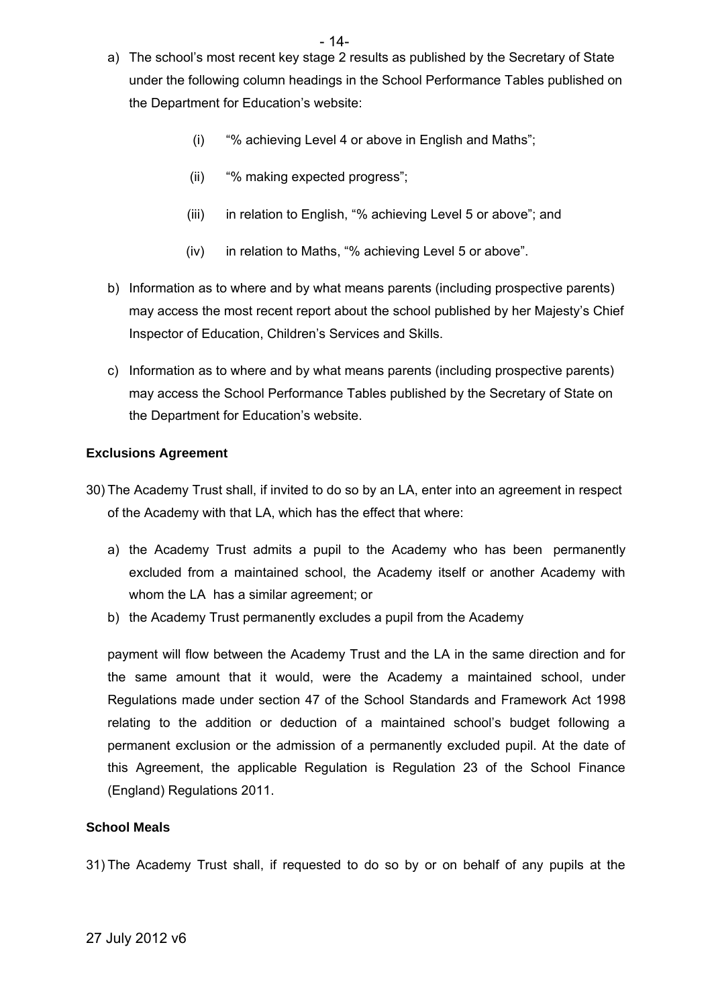- a) The school's most recent key stage 2 results as published by the Secretary of State under the following column headings in the School Performance Tables published on the Department for Education's website:
	- (i) "% achieving Level 4 or above in English and Maths";
	- (ii) "% making expected progress";
	- (iii) in relation to English, "% achieving Level 5 or above"; and
	- (iv) in relation to Maths, "% achieving Level 5 or above".
- b) Information as to where and by what means parents (including prospective parents) may access the most recent report about the school published by her Majesty's Chief Inspector of Education, Children's Services and Skills.
- c) Information as to where and by what means parents (including prospective parents) may access the School Performance Tables published by the Secretary of State on the Department for Education's website.

#### **Exclusions Agreement**

- 30) The Academy Trust shall, if invited to do so by an LA, enter into an agreement in respect of the Academy with that LA, which has the effect that where:
	- a) the Academy Trust admits a pupil to the Academy who has been permanently excluded from a maintained school, the Academy itself or another Academy with whom the LA has a similar agreement; or
	- b) the Academy Trust permanently excludes a pupil from the Academy

payment will flow between the Academy Trust and the LA in the same direction and for the same amount that it would, were the Academy a maintained school, under Regulations made under section 47 of the School Standards and Framework Act 1998 relating to the addition or deduction of a maintained school's budget following a permanent exclusion or the admission of a permanently excluded pupil. At the date of this Agreement, the applicable Regulation is Regulation 23 of the School Finance (England) Regulations 2011.

#### **School Meals**

31) The Academy Trust shall, if requested to do so by or on behalf of any pupils at the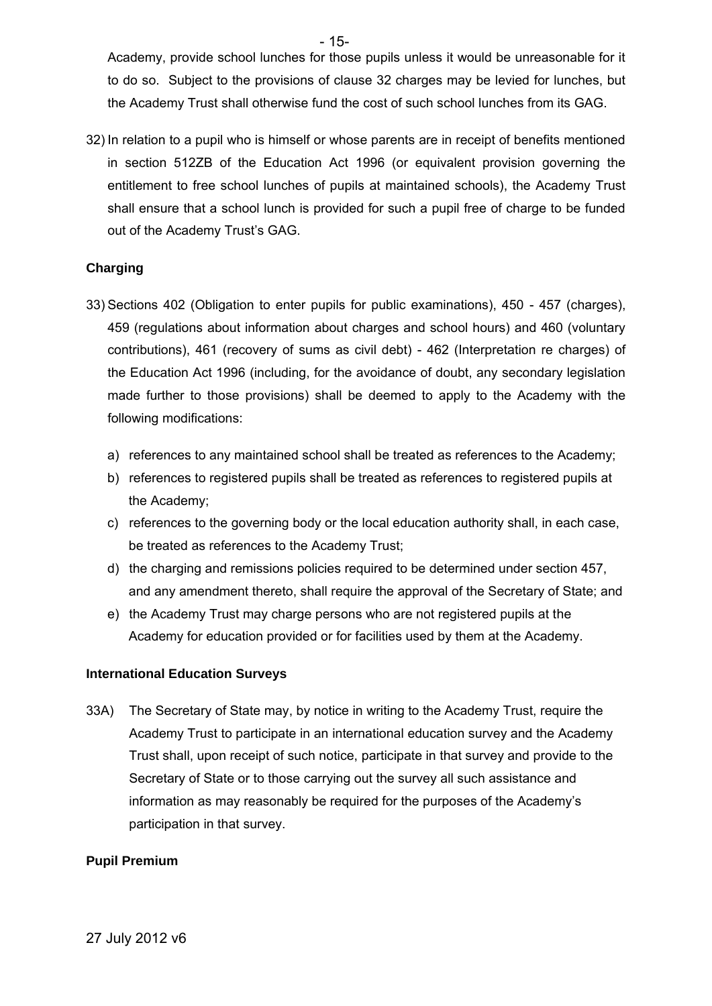Academy, provide school lunches for those pupils unless it would be unreasonable for it to do so. Subject to the provisions of clause 32 charges may be levied for lunches, but the Academy Trust shall otherwise fund the cost of such school lunches from its GAG.

32) In relation to a pupil who is himself or whose parents are in receipt of benefits mentioned in section 512ZB of the Education Act 1996 (or equivalent provision governing the entitlement to free school lunches of pupils at maintained schools), the Academy Trust shall ensure that a school lunch is provided for such a pupil free of charge to be funded out of the Academy Trust's GAG.

#### **Charging**

- 33) Sections 402 (Obligation to enter pupils for public examinations), 450 457 (charges), 459 (regulations about information about charges and school hours) and 460 (voluntary contributions), 461 (recovery of sums as civil debt) - 462 (Interpretation re charges) of the Education Act 1996 (including, for the avoidance of doubt, any secondary legislation made further to those provisions) shall be deemed to apply to the Academy with the following modifications:
	- a) references to any maintained school shall be treated as references to the Academy;
	- b) references to registered pupils shall be treated as references to registered pupils at the Academy;
	- c) references to the governing body or the local education authority shall, in each case, be treated as references to the Academy Trust;
	- d) the charging and remissions policies required to be determined under section 457, and any amendment thereto, shall require the approval of the Secretary of State; and
	- e) the Academy Trust may charge persons who are not registered pupils at the Academy for education provided or for facilities used by them at the Academy.

#### **International Education Surveys**

33A) The Secretary of State may, by notice in writing to the Academy Trust, require the Academy Trust to participate in an international education survey and the Academy Trust shall, upon receipt of such notice, participate in that survey and provide to the Secretary of State or to those carrying out the survey all such assistance and information as may reasonably be required for the purposes of the Academy's participation in that survey.

#### **Pupil Premium**

- 15-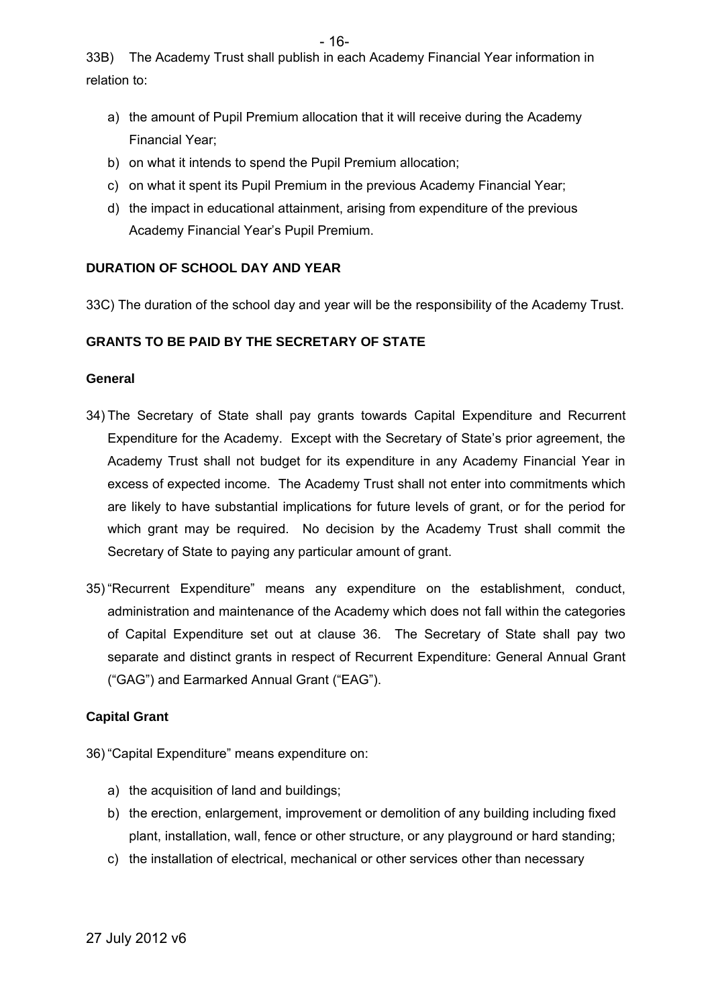- 16-

33B) The Academy Trust shall publish in each Academy Financial Year information in relation to:

- a) the amount of Pupil Premium allocation that it will receive during the Academy Financial Year;
- b) on what it intends to spend the Pupil Premium allocation;
- c) on what it spent its Pupil Premium in the previous Academy Financial Year;
- d) the impact in educational attainment, arising from expenditure of the previous Academy Financial Year's Pupil Premium.

## **DURATION OF SCHOOL DAY AND YEAR**

33C) The duration of the school day and year will be the responsibility of the Academy Trust.

## **GRANTS TO BE PAID BY THE SECRETARY OF STATE**

#### **General**

- 34) The Secretary of State shall pay grants towards Capital Expenditure and Recurrent Expenditure for the Academy. Except with the Secretary of State's prior agreement, the Academy Trust shall not budget for its expenditure in any Academy Financial Year in excess of expected income. The Academy Trust shall not enter into commitments which are likely to have substantial implications for future levels of grant, or for the period for which grant may be required. No decision by the Academy Trust shall commit the Secretary of State to paying any particular amount of grant.
- 35) "Recurrent Expenditure" means any expenditure on the establishment, conduct, administration and maintenance of the Academy which does not fall within the categories of Capital Expenditure set out at clause 36. The Secretary of State shall pay two separate and distinct grants in respect of Recurrent Expenditure: General Annual Grant ("GAG") and Earmarked Annual Grant ("EAG").

## **Capital Grant**

36) "Capital Expenditure" means expenditure on:

- a) the acquisition of land and buildings;
- b) the erection, enlargement, improvement or demolition of any building including fixed plant, installation, wall, fence or other structure, or any playground or hard standing;
- c) the installation of electrical, mechanical or other services other than necessary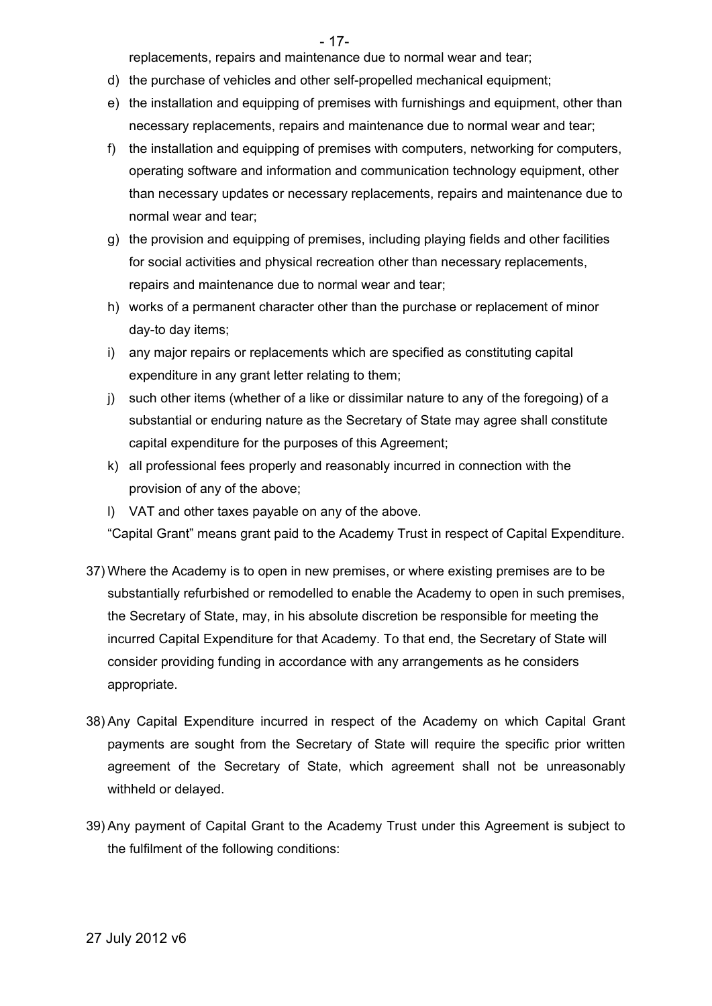- 17-

replacements, repairs and maintenance due to normal wear and tear;

- d) the purchase of vehicles and other self-propelled mechanical equipment;
- e) the installation and equipping of premises with furnishings and equipment, other than necessary replacements, repairs and maintenance due to normal wear and tear;
- f) the installation and equipping of premises with computers, networking for computers, operating software and information and communication technology equipment, other than necessary updates or necessary replacements, repairs and maintenance due to normal wear and tear;
- g) the provision and equipping of premises, including playing fields and other facilities for social activities and physical recreation other than necessary replacements, repairs and maintenance due to normal wear and tear;
- h) works of a permanent character other than the purchase or replacement of minor day-to day items;
- i) any major repairs or replacements which are specified as constituting capital expenditure in any grant letter relating to them;
- j) such other items (whether of a like or dissimilar nature to any of the foregoing) of a substantial or enduring nature as the Secretary of State may agree shall constitute capital expenditure for the purposes of this Agreement;
- k) all professional fees properly and reasonably incurred in connection with the provision of any of the above;
- l) VAT and other taxes payable on any of the above.

"Capital Grant" means grant paid to the Academy Trust in respect of Capital Expenditure.

- 37) Where the Academy is to open in new premises, or where existing premises are to be substantially refurbished or remodelled to enable the Academy to open in such premises, the Secretary of State, may, in his absolute discretion be responsible for meeting the incurred Capital Expenditure for that Academy. To that end, the Secretary of State will consider providing funding in accordance with any arrangements as he considers appropriate.
- 38) Any Capital Expenditure incurred in respect of the Academy on which Capital Grant payments are sought from the Secretary of State will require the specific prior written agreement of the Secretary of State, which agreement shall not be unreasonably withheld or delayed.
- 39) Any payment of Capital Grant to the Academy Trust under this Agreement is subject to the fulfilment of the following conditions: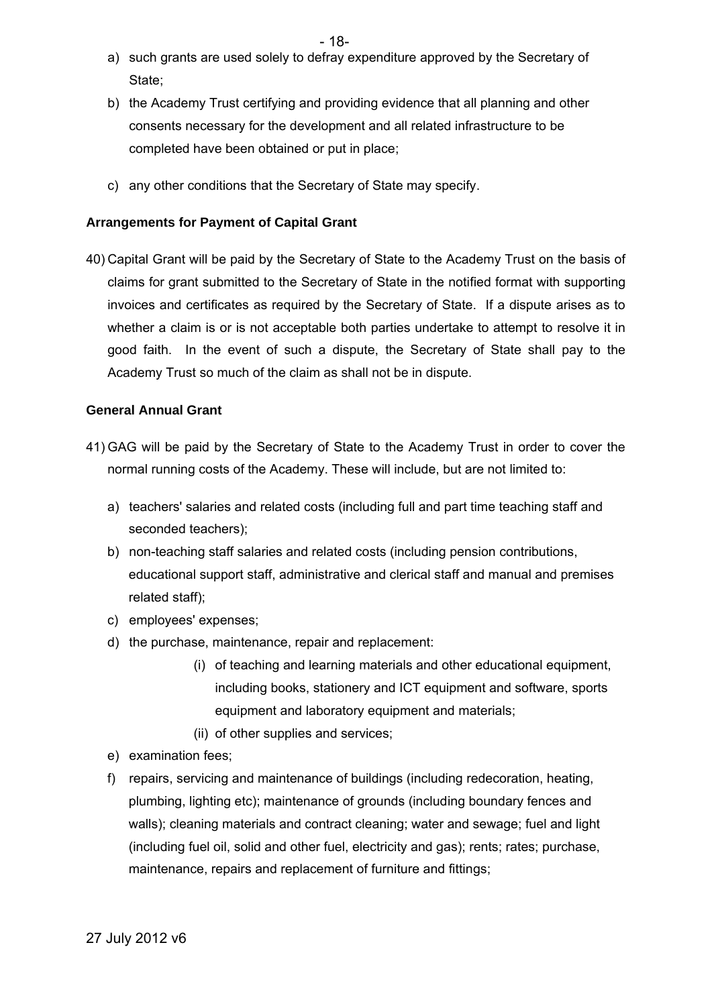- a) such grants are used solely to defray expenditure approved by the Secretary of State;
- b) the Academy Trust certifying and providing evidence that all planning and other consents necessary for the development and all related infrastructure to be completed have been obtained or put in place;
- c) any other conditions that the Secretary of State may specify.

#### **Arrangements for Payment of Capital Grant**

40) Capital Grant will be paid by the Secretary of State to the Academy Trust on the basis of claims for grant submitted to the Secretary of State in the notified format with supporting invoices and certificates as required by the Secretary of State. If a dispute arises as to whether a claim is or is not acceptable both parties undertake to attempt to resolve it in good faith. In the event of such a dispute, the Secretary of State shall pay to the Academy Trust so much of the claim as shall not be in dispute.

#### **General Annual Grant**

- 41) GAG will be paid by the Secretary of State to the Academy Trust in order to cover the normal running costs of the Academy. These will include, but are not limited to:
	- a) teachers' salaries and related costs (including full and part time teaching staff and seconded teachers);
	- b) non-teaching staff salaries and related costs (including pension contributions, educational support staff, administrative and clerical staff and manual and premises related staff);
	- c) employees' expenses;
	- d) the purchase, maintenance, repair and replacement:
		- (i) of teaching and learning materials and other educational equipment, including books, stationery and ICT equipment and software, sports equipment and laboratory equipment and materials;
		- (ii) of other supplies and services;
	- e) examination fees;
	- f) repairs, servicing and maintenance of buildings (including redecoration, heating, plumbing, lighting etc); maintenance of grounds (including boundary fences and walls); cleaning materials and contract cleaning; water and sewage; fuel and light (including fuel oil, solid and other fuel, electricity and gas); rents; rates; purchase, maintenance, repairs and replacement of furniture and fittings;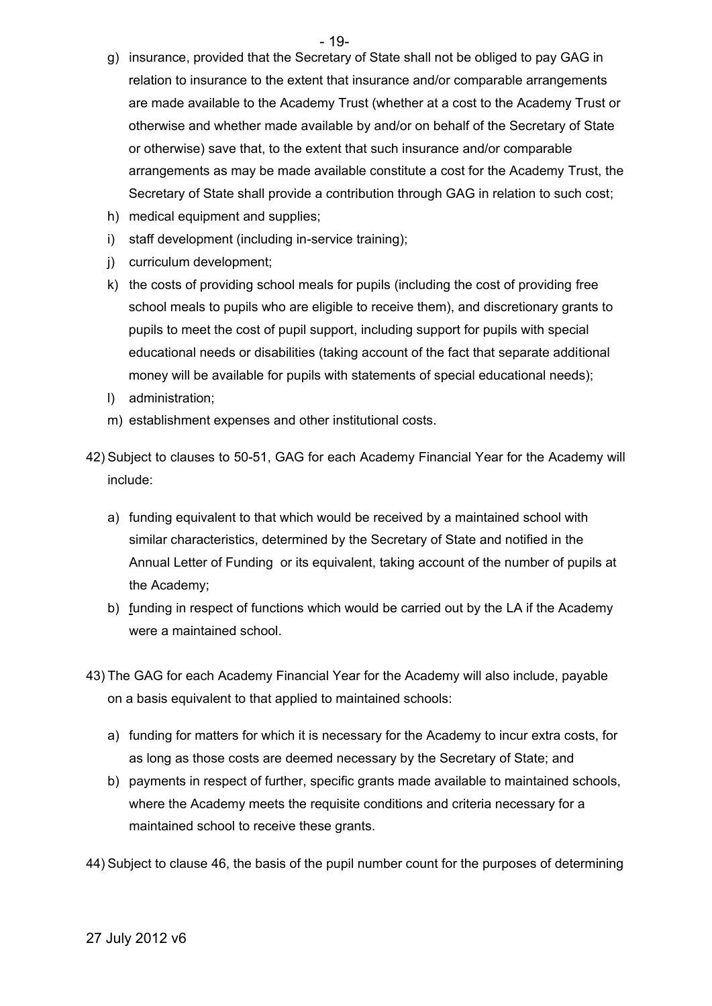- $-19-$
- g) insurance, provided that the Secretary of State shall not be obliged to pay GAG in relation to insurance to the extent that insurance and/or comparable arrangements are made available to the Academy Trust (whether at a cost to the Academy Trust or otherwise and whether made available by and/or on behalf of the Secretary of State or otherwise) save that, to the extent that such insurance and/or comparable arrangements as may be made available constitute a cost for the Academy Trust, the Secretary of State shall provide a contribution through GAG in relation to such cost;
- h) medical equipment and supplies;
- i) staff development (including in-service training);
- j) curriculum development;
- k) the costs of providing school meals for pupils (including the cost of providing free school meals to pupils who are eligible to receive them), and discretionary grants to pupils to meet the cost of pupil support, including support for pupils with special educational needs or disabilities (taking account of the fact that separate additional money will be available for pupils with statements of special educational needs);
- l) administration;
- m) establishment expenses and other institutional costs.
- 42) Subject to clauses to 50-51, GAG for each Academy Financial Year for the Academy will include:
	- a) funding equivalent to that which would be received by a maintained school with similar characteristics, determined by the Secretary of State and notified in the Annual Letter of Funding or its equivalent, taking account of the number of pupils at the Academy;
	- b) funding in respect of functions which would be carried out by the LA if the Academy were a maintained school.
- 43) The GAG for each Academy Financial Year for the Academy will also include, payable on a basis equivalent to that applied to maintained schools:
	- a) funding for matters for which it is necessary for the Academy to incur extra costs, for as long as those costs are deemed necessary by the Secretary of State; and
	- b) payments in respect of further, specific grants made available to maintained schools, where the Academy meets the requisite conditions and criteria necessary for a maintained school to receive these grants.
- 44) Subject to clause 46, the basis of the pupil number count for the purposes of determining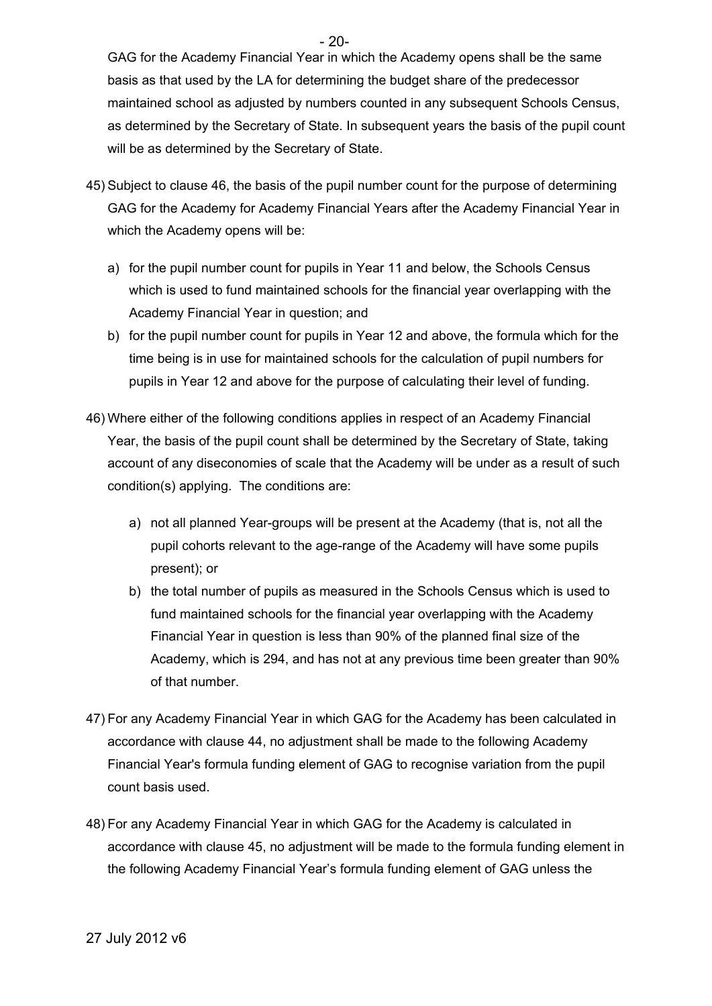GAG for the Academy Financial Year in which the Academy opens shall be the same basis as that used by the LA for determining the budget share of the predecessor maintained school as adjusted by numbers counted in any subsequent Schools Census, as determined by the Secretary of State. In subsequent years the basis of the pupil count will be as determined by the Secretary of State.

- 45) Subject to clause 46, the basis of the pupil number count for the purpose of determining GAG for the Academy for Academy Financial Years after the Academy Financial Year in which the Academy opens will be:
	- a) for the pupil number count for pupils in Year 11 and below, the Schools Census which is used to fund maintained schools for the financial year overlapping with the Academy Financial Year in question; and
	- b) for the pupil number count for pupils in Year 12 and above, the formula which for the time being is in use for maintained schools for the calculation of pupil numbers for pupils in Year 12 and above for the purpose of calculating their level of funding.
- 46) Where either of the following conditions applies in respect of an Academy Financial Year, the basis of the pupil count shall be determined by the Secretary of State, taking account of any diseconomies of scale that the Academy will be under as a result of such condition(s) applying. The conditions are:
	- a) not all planned Year-groups will be present at the Academy (that is, not all the pupil cohorts relevant to the age-range of the Academy will have some pupils present); or
	- b) the total number of pupils as measured in the Schools Census which is used to fund maintained schools for the financial year overlapping with the Academy Financial Year in question is less than 90% of the planned final size of the Academy, which is 294, and has not at any previous time been greater than 90% of that number.
- 47) For any Academy Financial Year in which GAG for the Academy has been calculated in accordance with clause 44, no adjustment shall be made to the following Academy Financial Year's formula funding element of GAG to recognise variation from the pupil count basis used.
- 48) For any Academy Financial Year in which GAG for the Academy is calculated in accordance with clause 45, no adjustment will be made to the formula funding element in the following Academy Financial Year's formula funding element of GAG unless the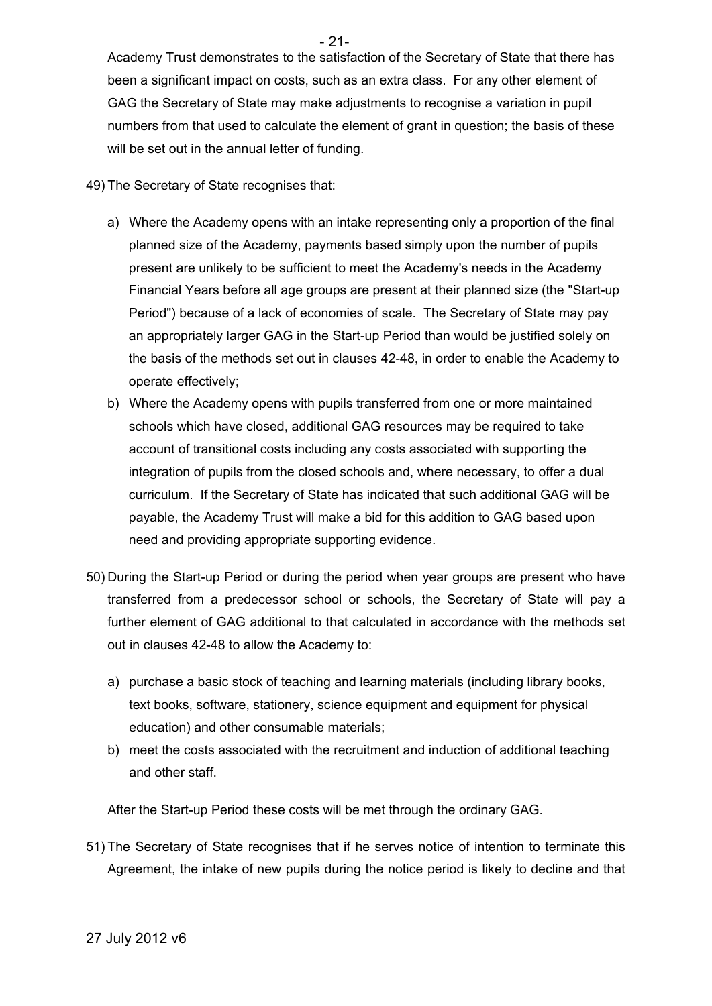Academy Trust demonstrates to the satisfaction of the Secretary of State that there has been a significant impact on costs, such as an extra class. For any other element of GAG the Secretary of State may make adjustments to recognise a variation in pupil numbers from that used to calculate the element of grant in question; the basis of these will be set out in the annual letter of funding.

49) The Secretary of State recognises that:

- a) Where the Academy opens with an intake representing only a proportion of the final planned size of the Academy, payments based simply upon the number of pupils present are unlikely to be sufficient to meet the Academy's needs in the Academy Financial Years before all age groups are present at their planned size (the "Start-up Period") because of a lack of economies of scale. The Secretary of State may pay an appropriately larger GAG in the Start-up Period than would be justified solely on the basis of the methods set out in clauses 42-48, in order to enable the Academy to operate effectively;
- b) Where the Academy opens with pupils transferred from one or more maintained schools which have closed, additional GAG resources may be required to take account of transitional costs including any costs associated with supporting the integration of pupils from the closed schools and, where necessary, to offer a dual curriculum. If the Secretary of State has indicated that such additional GAG will be payable, the Academy Trust will make a bid for this addition to GAG based upon need and providing appropriate supporting evidence.
- 50) During the Start-up Period or during the period when year groups are present who have transferred from a predecessor school or schools, the Secretary of State will pay a further element of GAG additional to that calculated in accordance with the methods set out in clauses 42-48 to allow the Academy to:
	- a) purchase a basic stock of teaching and learning materials (including library books, text books, software, stationery, science equipment and equipment for physical education) and other consumable materials;
	- b) meet the costs associated with the recruitment and induction of additional teaching and other staff.

After the Start-up Period these costs will be met through the ordinary GAG.

51) The Secretary of State recognises that if he serves notice of intention to terminate this Agreement, the intake of new pupils during the notice period is likely to decline and that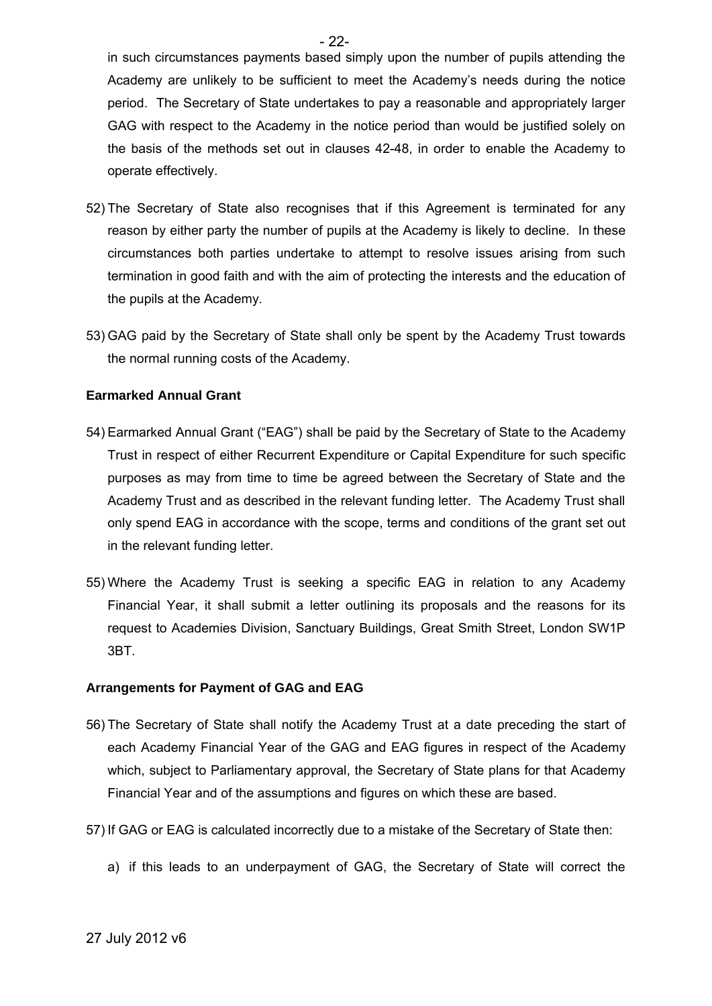in such circumstances payments based simply upon the number of pupils attending the Academy are unlikely to be sufficient to meet the Academy's needs during the notice period. The Secretary of State undertakes to pay a reasonable and appropriately larger GAG with respect to the Academy in the notice period than would be justified solely on the basis of the methods set out in clauses 42-48, in order to enable the Academy to operate effectively.

- 52) The Secretary of State also recognises that if this Agreement is terminated for any reason by either party the number of pupils at the Academy is likely to decline. In these circumstances both parties undertake to attempt to resolve issues arising from such termination in good faith and with the aim of protecting the interests and the education of the pupils at the Academy.
- 53) GAG paid by the Secretary of State shall only be spent by the Academy Trust towards the normal running costs of the Academy.

#### **Earmarked Annual Grant**

- 54) Earmarked Annual Grant ("EAG") shall be paid by the Secretary of State to the Academy Trust in respect of either Recurrent Expenditure or Capital Expenditure for such specific purposes as may from time to time be agreed between the Secretary of State and the Academy Trust and as described in the relevant funding letter. The Academy Trust shall only spend EAG in accordance with the scope, terms and conditions of the grant set out in the relevant funding letter.
- 55) Where the Academy Trust is seeking a specific EAG in relation to any Academy Financial Year, it shall submit a letter outlining its proposals and the reasons for its request to Academies Division, Sanctuary Buildings, Great Smith Street, London SW1P 3BT.

#### **Arrangements for Payment of GAG and EAG**

- 56) The Secretary of State shall notify the Academy Trust at a date preceding the start of each Academy Financial Year of the GAG and EAG figures in respect of the Academy which, subject to Parliamentary approval, the Secretary of State plans for that Academy Financial Year and of the assumptions and figures on which these are based.
- 57) If GAG or EAG is calculated incorrectly due to a mistake of the Secretary of State then:
	- a) if this leads to an underpayment of GAG, the Secretary of State will correct the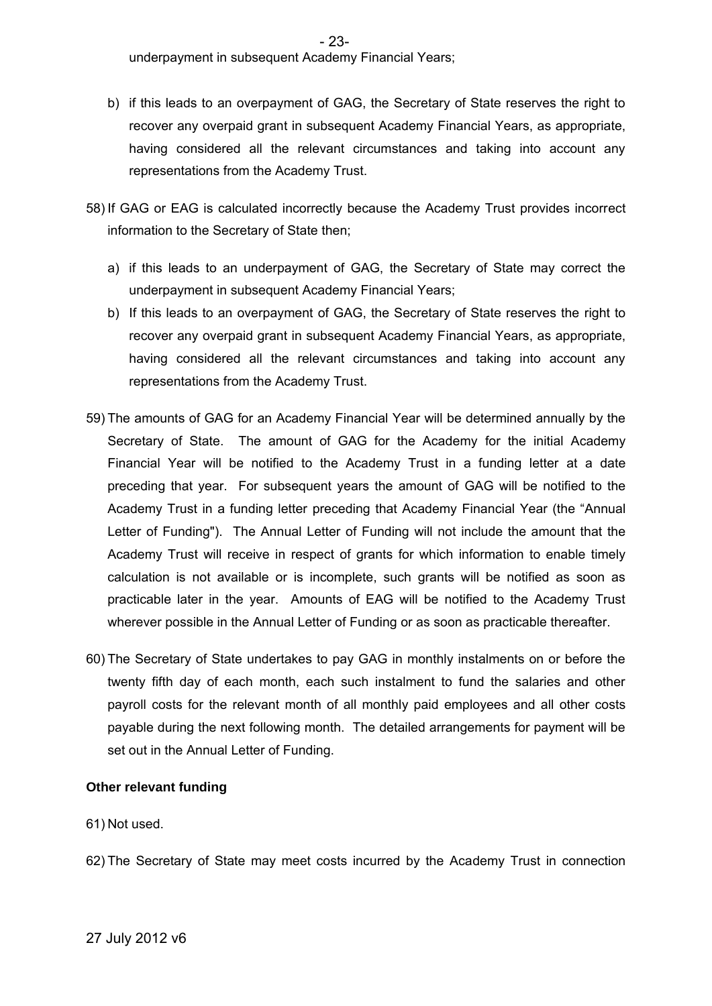underpayment in subsequent Academy Financial Years;

- b) if this leads to an overpayment of GAG, the Secretary of State reserves the right to recover any overpaid grant in subsequent Academy Financial Years, as appropriate, having considered all the relevant circumstances and taking into account any representations from the Academy Trust.
- 58) If GAG or EAG is calculated incorrectly because the Academy Trust provides incorrect information to the Secretary of State then;
	- a) if this leads to an underpayment of GAG, the Secretary of State may correct the underpayment in subsequent Academy Financial Years;
	- b) If this leads to an overpayment of GAG, the Secretary of State reserves the right to recover any overpaid grant in subsequent Academy Financial Years, as appropriate, having considered all the relevant circumstances and taking into account any representations from the Academy Trust.
- 59) The amounts of GAG for an Academy Financial Year will be determined annually by the Secretary of State. The amount of GAG for the Academy for the initial Academy Financial Year will be notified to the Academy Trust in a funding letter at a date preceding that year. For subsequent years the amount of GAG will be notified to the Academy Trust in a funding letter preceding that Academy Financial Year (the "Annual Letter of Funding"). The Annual Letter of Funding will not include the amount that the Academy Trust will receive in respect of grants for which information to enable timely calculation is not available or is incomplete, such grants will be notified as soon as practicable later in the year. Amounts of EAG will be notified to the Academy Trust wherever possible in the Annual Letter of Funding or as soon as practicable thereafter.
- 60) The Secretary of State undertakes to pay GAG in monthly instalments on or before the twenty fifth day of each month, each such instalment to fund the salaries and other payroll costs for the relevant month of all monthly paid employees and all other costs payable during the next following month. The detailed arrangements for payment will be set out in the Annual Letter of Funding.

#### **Other relevant funding**

- 61) Not used.
- 62) The Secretary of State may meet costs incurred by the Academy Trust in connection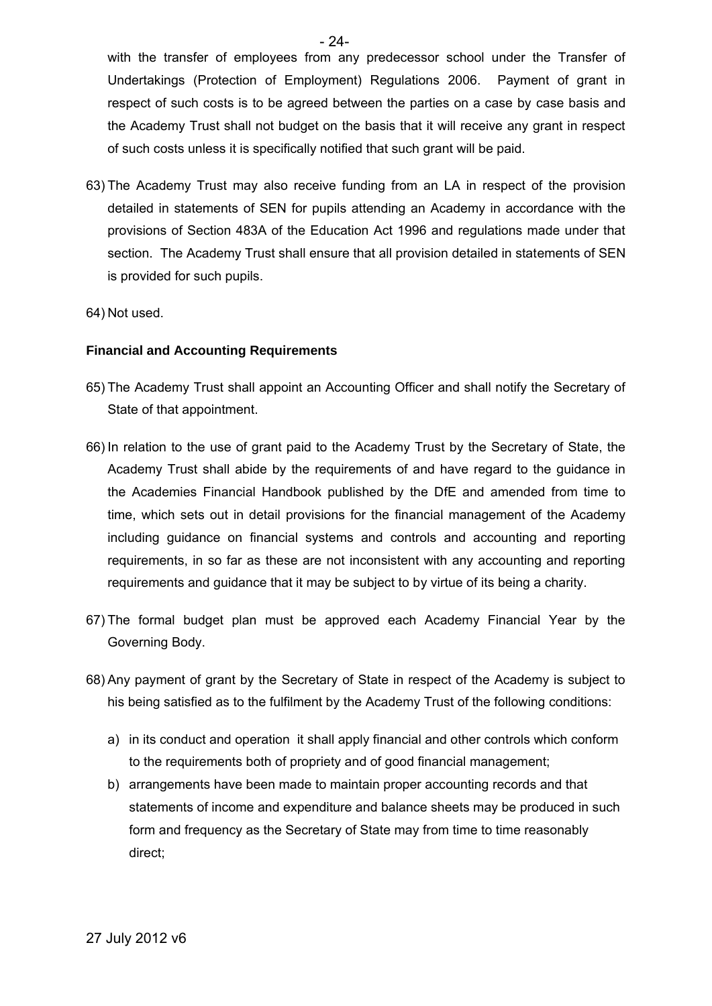with the transfer of employees from any predecessor school under the Transfer of Undertakings (Protection of Employment) Regulations 2006. Payment of grant in respect of such costs is to be agreed between the parties on a case by case basis and the Academy Trust shall not budget on the basis that it will receive any grant in respect of such costs unless it is specifically notified that such grant will be paid.

- 63) The Academy Trust may also receive funding from an LA in respect of the provision detailed in statements of SEN for pupils attending an Academy in accordance with the provisions of Section 483A of the Education Act 1996 and regulations made under that section. The Academy Trust shall ensure that all provision detailed in statements of SEN is provided for such pupils.
- 64) Not used.

#### **Financial and Accounting Requirements**

- 65) The Academy Trust shall appoint an Accounting Officer and shall notify the Secretary of State of that appointment.
- 66) In relation to the use of grant paid to the Academy Trust by the Secretary of State, the Academy Trust shall abide by the requirements of and have regard to the guidance in the Academies Financial Handbook published by the DfE and amended from time to time, which sets out in detail provisions for the financial management of the Academy including guidance on financial systems and controls and accounting and reporting requirements, in so far as these are not inconsistent with any accounting and reporting requirements and guidance that it may be subject to by virtue of its being a charity.
- 67) The formal budget plan must be approved each Academy Financial Year by the Governing Body.
- 68) Any payment of grant by the Secretary of State in respect of the Academy is subject to his being satisfied as to the fulfilment by the Academy Trust of the following conditions:
	- a) in its conduct and operation it shall apply financial and other controls which conform to the requirements both of propriety and of good financial management;
	- b) arrangements have been made to maintain proper accounting records and that statements of income and expenditure and balance sheets may be produced in such form and frequency as the Secretary of State may from time to time reasonably direct;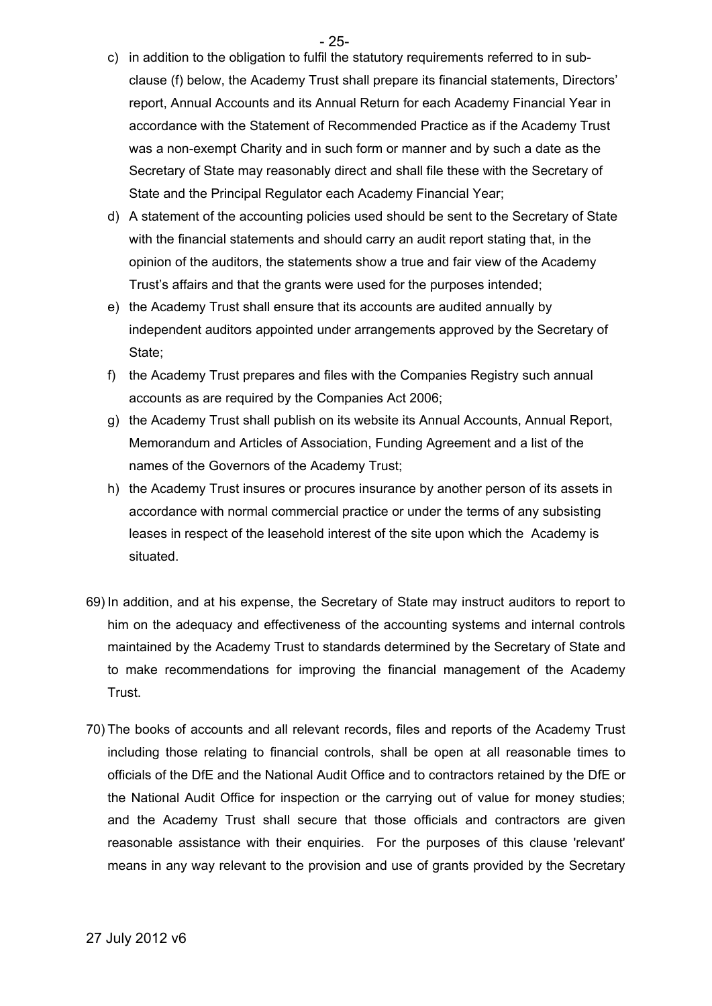- 25-

- c) in addition to the obligation to fulfil the statutory requirements referred to in subclause (f) below, the Academy Trust shall prepare its financial statements, Directors' report, Annual Accounts and its Annual Return for each Academy Financial Year in accordance with the Statement of Recommended Practice as if the Academy Trust was a non-exempt Charity and in such form or manner and by such a date as the Secretary of State may reasonably direct and shall file these with the Secretary of State and the Principal Regulator each Academy Financial Year;
- d) A statement of the accounting policies used should be sent to the Secretary of State with the financial statements and should carry an audit report stating that, in the opinion of the auditors, the statements show a true and fair view of the Academy Trust's affairs and that the grants were used for the purposes intended;
- e) the Academy Trust shall ensure that its accounts are audited annually by independent auditors appointed under arrangements approved by the Secretary of State;
- f) the Academy Trust prepares and files with the Companies Registry such annual accounts as are required by the Companies Act 2006;
- g) the Academy Trust shall publish on its website its Annual Accounts, Annual Report, Memorandum and Articles of Association, Funding Agreement and a list of the names of the Governors of the Academy Trust;
- h) the Academy Trust insures or procures insurance by another person of its assets in accordance with normal commercial practice or under the terms of any subsisting leases in respect of the leasehold interest of the site upon which the Academy is situated.
- 69) In addition, and at his expense, the Secretary of State may instruct auditors to report to him on the adequacy and effectiveness of the accounting systems and internal controls maintained by the Academy Trust to standards determined by the Secretary of State and to make recommendations for improving the financial management of the Academy Trust.
- 70) The books of accounts and all relevant records, files and reports of the Academy Trust including those relating to financial controls, shall be open at all reasonable times to officials of the DfE and the National Audit Office and to contractors retained by the DfE or the National Audit Office for inspection or the carrying out of value for money studies; and the Academy Trust shall secure that those officials and contractors are given reasonable assistance with their enquiries. For the purposes of this clause 'relevant' means in any way relevant to the provision and use of grants provided by the Secretary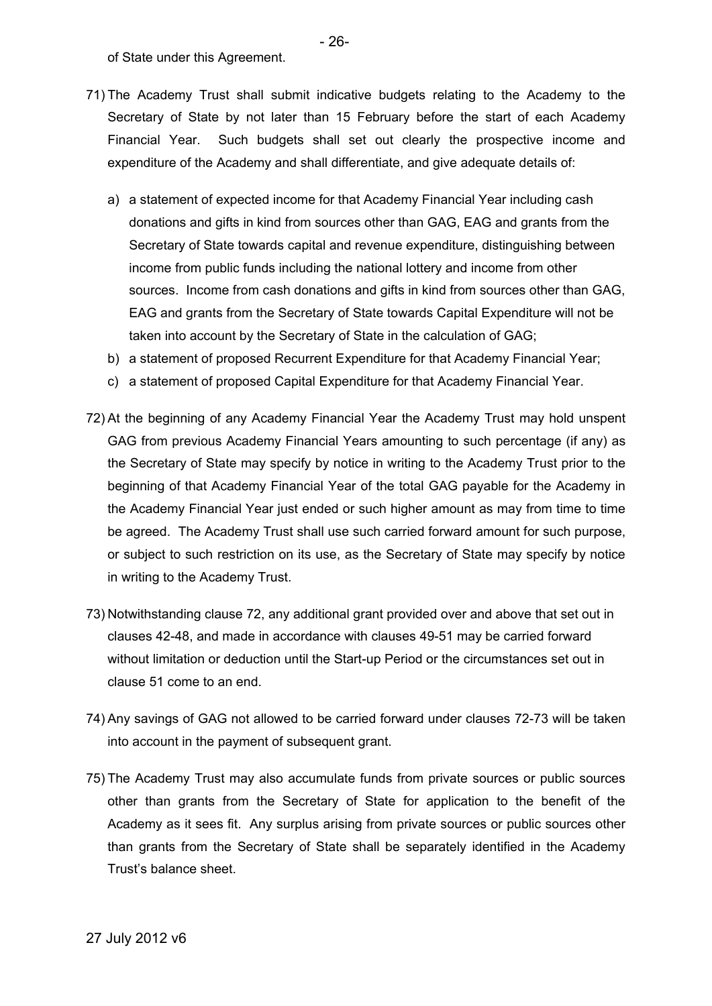of State under this Agreement.

- 71) The Academy Trust shall submit indicative budgets relating to the Academy to the Secretary of State by not later than 15 February before the start of each Academy Financial Year. Such budgets shall set out clearly the prospective income and expenditure of the Academy and shall differentiate, and give adequate details of:
	- a) a statement of expected income for that Academy Financial Year including cash donations and gifts in kind from sources other than GAG, EAG and grants from the Secretary of State towards capital and revenue expenditure, distinguishing between income from public funds including the national lottery and income from other sources. Income from cash donations and gifts in kind from sources other than GAG, EAG and grants from the Secretary of State towards Capital Expenditure will not be taken into account by the Secretary of State in the calculation of GAG;
	- b) a statement of proposed Recurrent Expenditure for that Academy Financial Year;
	- c) a statement of proposed Capital Expenditure for that Academy Financial Year.
- 72) At the beginning of any Academy Financial Year the Academy Trust may hold unspent GAG from previous Academy Financial Years amounting to such percentage (if any) as the Secretary of State may specify by notice in writing to the Academy Trust prior to the beginning of that Academy Financial Year of the total GAG payable for the Academy in the Academy Financial Year just ended or such higher amount as may from time to time be agreed. The Academy Trust shall use such carried forward amount for such purpose, or subject to such restriction on its use, as the Secretary of State may specify by notice in writing to the Academy Trust.
- 73) Notwithstanding clause 72, any additional grant provided over and above that set out in clauses 42-48, and made in accordance with clauses 49-51 may be carried forward without limitation or deduction until the Start-up Period or the circumstances set out in clause 51 come to an end.
- 74) Any savings of GAG not allowed to be carried forward under clauses 72-73 will be taken into account in the payment of subsequent grant.
- 75) The Academy Trust may also accumulate funds from private sources or public sources other than grants from the Secretary of State for application to the benefit of the Academy as it sees fit. Any surplus arising from private sources or public sources other than grants from the Secretary of State shall be separately identified in the Academy Trust's balance sheet.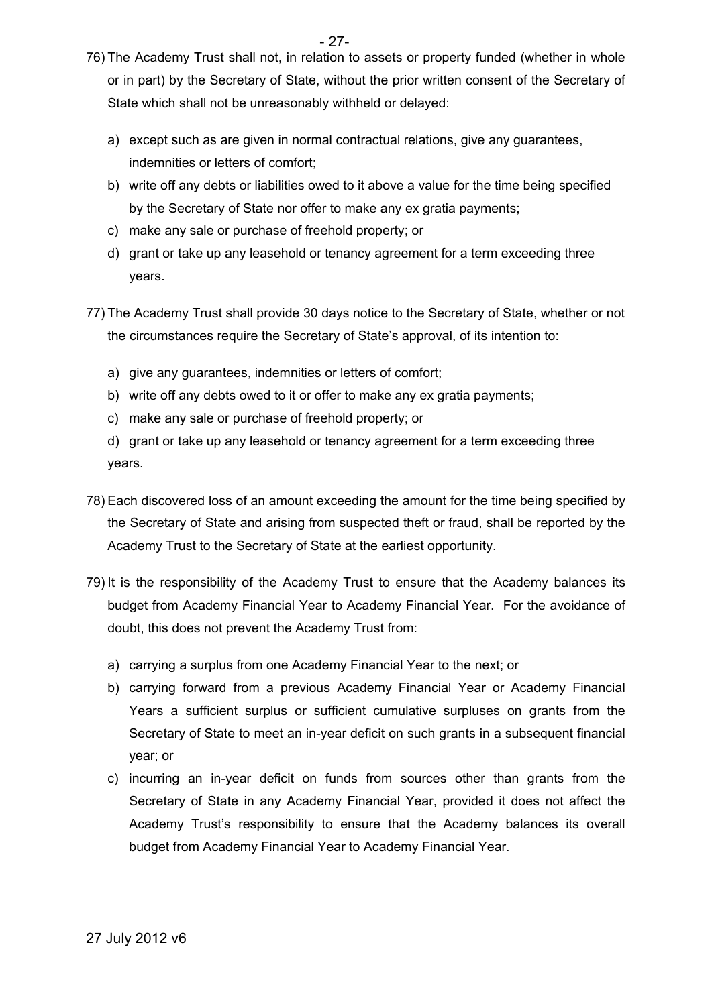- 27-
- 76) The Academy Trust shall not, in relation to assets or property funded (whether in whole or in part) by the Secretary of State, without the prior written consent of the Secretary of State which shall not be unreasonably withheld or delayed:
	- a) except such as are given in normal contractual relations, give any guarantees, indemnities or letters of comfort;
	- b) write off any debts or liabilities owed to it above a value for the time being specified by the Secretary of State nor offer to make any ex gratia payments;
	- c) make any sale or purchase of freehold property; or
	- d) grant or take up any leasehold or tenancy agreement for a term exceeding three years.
- 77) The Academy Trust shall provide 30 days notice to the Secretary of State, whether or not the circumstances require the Secretary of State's approval, of its intention to:
	- a) give any guarantees, indemnities or letters of comfort;
	- b) write off any debts owed to it or offer to make any ex gratia payments;
	- c) make any sale or purchase of freehold property; or
	- d) grant or take up any leasehold or tenancy agreement for a term exceeding three years.
- 78) Each discovered loss of an amount exceeding the amount for the time being specified by the Secretary of State and arising from suspected theft or fraud, shall be reported by the Academy Trust to the Secretary of State at the earliest opportunity.
- 79) It is the responsibility of the Academy Trust to ensure that the Academy balances its budget from Academy Financial Year to Academy Financial Year. For the avoidance of doubt, this does not prevent the Academy Trust from:
	- a) carrying a surplus from one Academy Financial Year to the next; or
	- b) carrying forward from a previous Academy Financial Year or Academy Financial Years a sufficient surplus or sufficient cumulative surpluses on grants from the Secretary of State to meet an in-year deficit on such grants in a subsequent financial year; or
	- c) incurring an in-year deficit on funds from sources other than grants from the Secretary of State in any Academy Financial Year, provided it does not affect the Academy Trust's responsibility to ensure that the Academy balances its overall budget from Academy Financial Year to Academy Financial Year.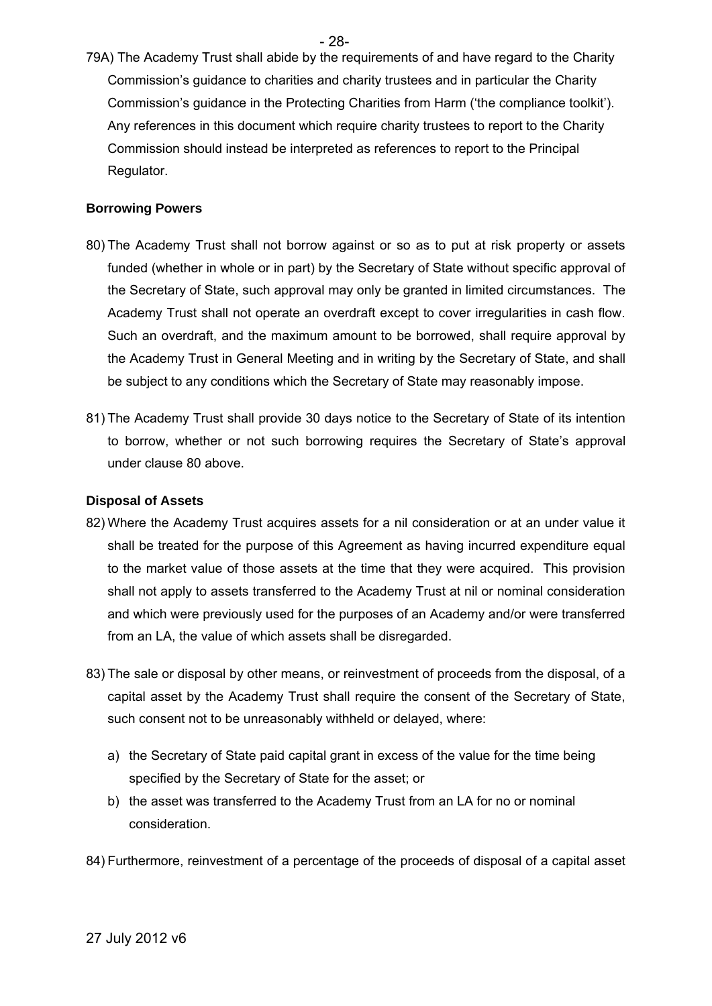- 28-

79A) The Academy Trust shall abide by the requirements of and have regard to the Charity Commission's guidance to charities and charity trustees and in particular the Charity Commission's guidance in the Protecting Charities from Harm ('the compliance toolkit'). Any references in this document which require charity trustees to report to the Charity Commission should instead be interpreted as references to report to the Principal Regulator.

#### **Borrowing Powers**

- 80) The Academy Trust shall not borrow against or so as to put at risk property or assets funded (whether in whole or in part) by the Secretary of State without specific approval of the Secretary of State, such approval may only be granted in limited circumstances. The Academy Trust shall not operate an overdraft except to cover irregularities in cash flow. Such an overdraft, and the maximum amount to be borrowed, shall require approval by the Academy Trust in General Meeting and in writing by the Secretary of State, and shall be subject to any conditions which the Secretary of State may reasonably impose.
- 81) The Academy Trust shall provide 30 days notice to the Secretary of State of its intention to borrow, whether or not such borrowing requires the Secretary of State's approval under clause 80 above.

#### **Disposal of Assets**

- 82) Where the Academy Trust acquires assets for a nil consideration or at an under value it shall be treated for the purpose of this Agreement as having incurred expenditure equal to the market value of those assets at the time that they were acquired. This provision shall not apply to assets transferred to the Academy Trust at nil or nominal consideration and which were previously used for the purposes of an Academy and/or were transferred from an LA, the value of which assets shall be disregarded.
- 83) The sale or disposal by other means, or reinvestment of proceeds from the disposal, of a capital asset by the Academy Trust shall require the consent of the Secretary of State, such consent not to be unreasonably withheld or delayed, where:
	- a) the Secretary of State paid capital grant in excess of the value for the time being specified by the Secretary of State for the asset; or
	- b) the asset was transferred to the Academy Trust from an LA for no or nominal consideration.
- 84) Furthermore, reinvestment of a percentage of the proceeds of disposal of a capital asset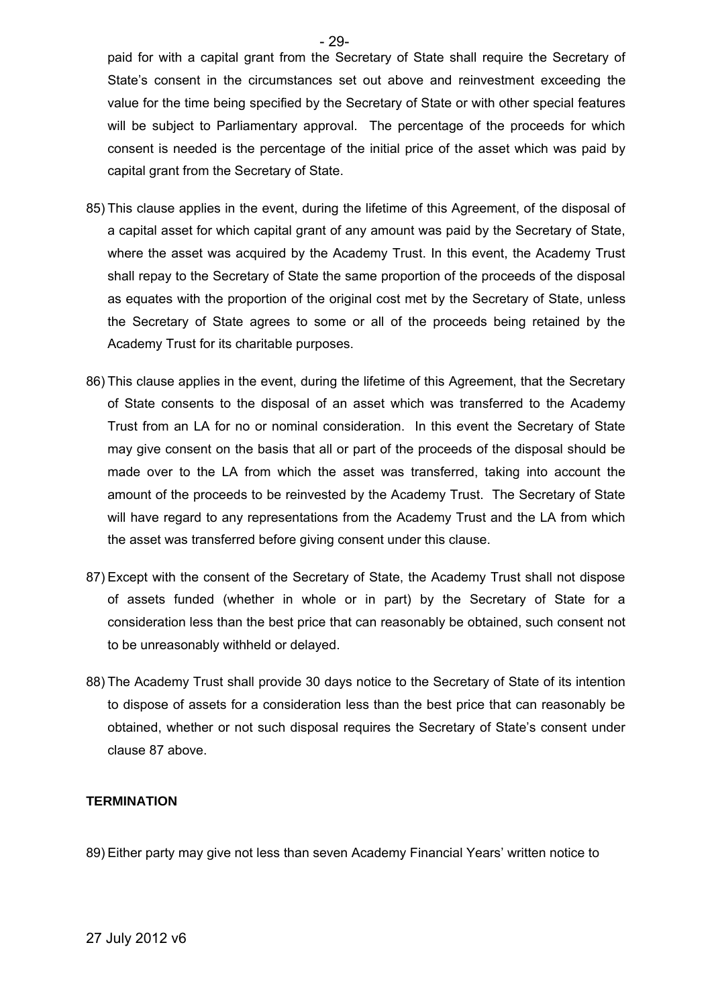paid for with a capital grant from the Secretary of State shall require the Secretary of State's consent in the circumstances set out above and reinvestment exceeding the value for the time being specified by the Secretary of State or with other special features will be subject to Parliamentary approval. The percentage of the proceeds for which consent is needed is the percentage of the initial price of the asset which was paid by capital grant from the Secretary of State.

- 85) This clause applies in the event, during the lifetime of this Agreement, of the disposal of a capital asset for which capital grant of any amount was paid by the Secretary of State, where the asset was acquired by the Academy Trust. In this event, the Academy Trust shall repay to the Secretary of State the same proportion of the proceeds of the disposal as equates with the proportion of the original cost met by the Secretary of State, unless the Secretary of State agrees to some or all of the proceeds being retained by the Academy Trust for its charitable purposes.
- 86) This clause applies in the event, during the lifetime of this Agreement, that the Secretary of State consents to the disposal of an asset which was transferred to the Academy Trust from an LA for no or nominal consideration. In this event the Secretary of State may give consent on the basis that all or part of the proceeds of the disposal should be made over to the LA from which the asset was transferred, taking into account the amount of the proceeds to be reinvested by the Academy Trust. The Secretary of State will have regard to any representations from the Academy Trust and the LA from which the asset was transferred before giving consent under this clause.
- 87) Except with the consent of the Secretary of State, the Academy Trust shall not dispose of assets funded (whether in whole or in part) by the Secretary of State for a consideration less than the best price that can reasonably be obtained, such consent not to be unreasonably withheld or delayed.
- 88) The Academy Trust shall provide 30 days notice to the Secretary of State of its intention to dispose of assets for a consideration less than the best price that can reasonably be obtained, whether or not such disposal requires the Secretary of State's consent under clause 87 above.

#### **TERMINATION**

89) Either party may give not less than seven Academy Financial Years' written notice to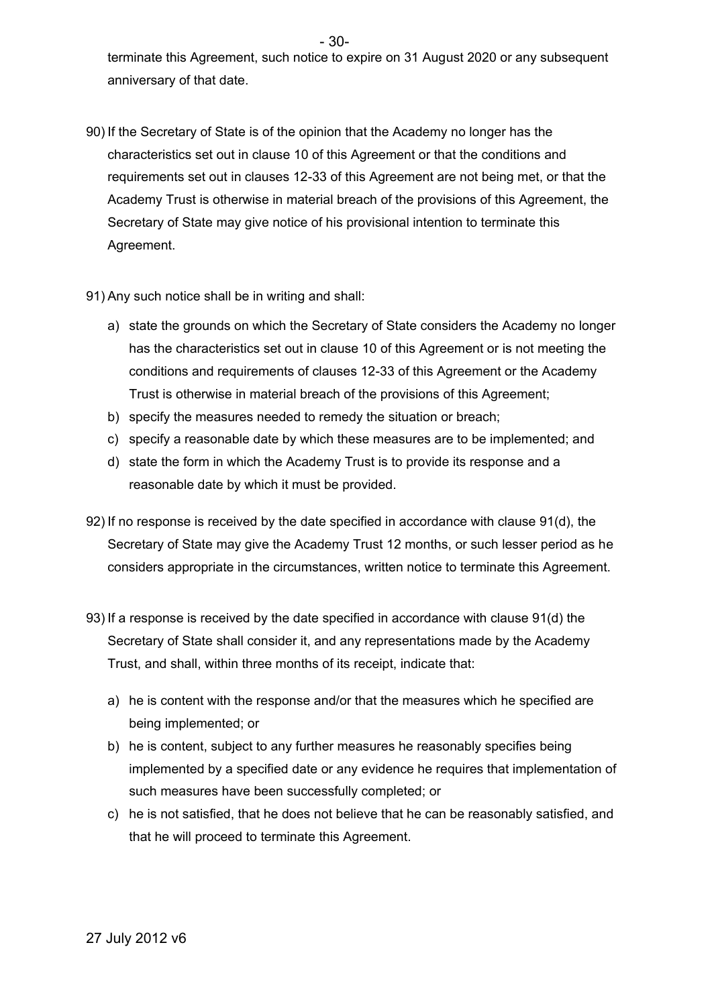terminate this Agreement, such notice to expire on 31 August 2020 or any subsequent anniversary of that date.

- 90) If the Secretary of State is of the opinion that the Academy no longer has the characteristics set out in clause 10 of this Agreement or that the conditions and requirements set out in clauses 12-33 of this Agreement are not being met, or that the Academy Trust is otherwise in material breach of the provisions of this Agreement, the Secretary of State may give notice of his provisional intention to terminate this Agreement.
- 91) Any such notice shall be in writing and shall:
	- a) state the grounds on which the Secretary of State considers the Academy no longer has the characteristics set out in clause 10 of this Agreement or is not meeting the conditions and requirements of clauses 12-33 of this Agreement or the Academy Trust is otherwise in material breach of the provisions of this Agreement;
	- b) specify the measures needed to remedy the situation or breach;
	- c) specify a reasonable date by which these measures are to be implemented; and
	- d) state the form in which the Academy Trust is to provide its response and a reasonable date by which it must be provided.
- 92) If no response is received by the date specified in accordance with clause 91(d), the Secretary of State may give the Academy Trust 12 months, or such lesser period as he considers appropriate in the circumstances, written notice to terminate this Agreement.
- 93) If a response is received by the date specified in accordance with clause 91(d) the Secretary of State shall consider it, and any representations made by the Academy Trust, and shall, within three months of its receipt, indicate that:
	- a) he is content with the response and/or that the measures which he specified are being implemented; or
	- b) he is content, subject to any further measures he reasonably specifies being implemented by a specified date or any evidence he requires that implementation of such measures have been successfully completed; or
	- c) he is not satisfied, that he does not believe that he can be reasonably satisfied, and that he will proceed to terminate this Agreement.

- 30-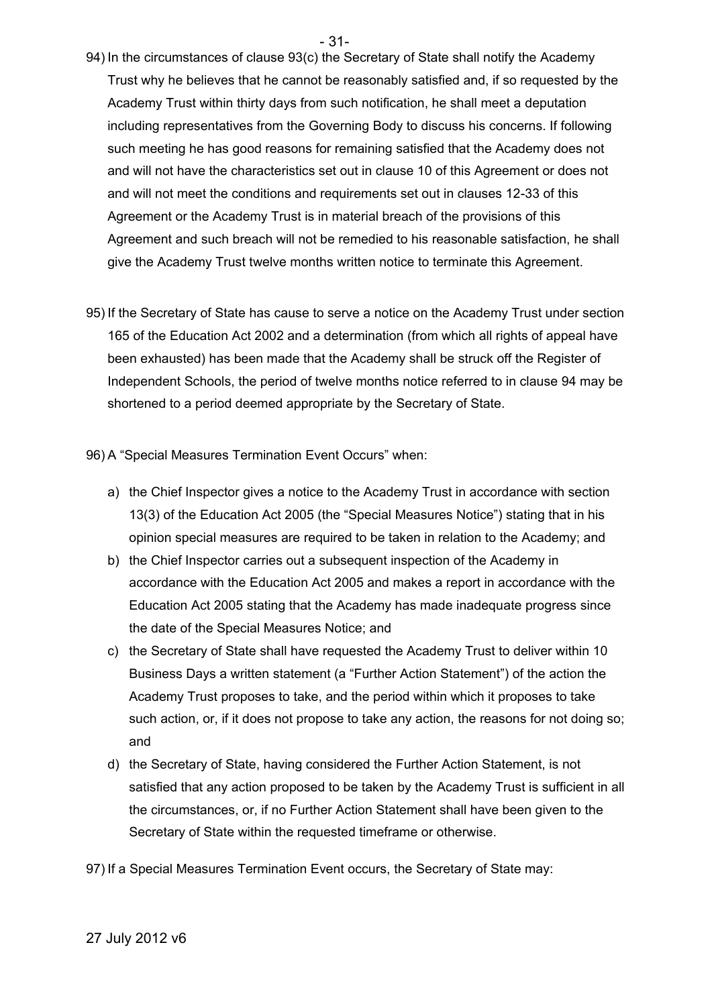- 31-
- 94) In the circumstances of clause 93(c) the Secretary of State shall notify the Academy Trust why he believes that he cannot be reasonably satisfied and, if so requested by the Academy Trust within thirty days from such notification, he shall meet a deputation including representatives from the Governing Body to discuss his concerns. If following such meeting he has good reasons for remaining satisfied that the Academy does not and will not have the characteristics set out in clause 10 of this Agreement or does not and will not meet the conditions and requirements set out in clauses 12-33 of this Agreement or the Academy Trust is in material breach of the provisions of this Agreement and such breach will not be remedied to his reasonable satisfaction, he shall give the Academy Trust twelve months written notice to terminate this Agreement.
- 95) If the Secretary of State has cause to serve a notice on the Academy Trust under section 165 of the Education Act 2002 and a determination (from which all rights of appeal have been exhausted) has been made that the Academy shall be struck off the Register of Independent Schools, the period of twelve months notice referred to in clause 94 may be shortened to a period deemed appropriate by the Secretary of State.

96) A "Special Measures Termination Event Occurs" when:

- a) the Chief Inspector gives a notice to the Academy Trust in accordance with section 13(3) of the Education Act 2005 (the "Special Measures Notice") stating that in his opinion special measures are required to be taken in relation to the Academy; and
- b) the Chief Inspector carries out a subsequent inspection of the Academy in accordance with the Education Act 2005 and makes a report in accordance with the Education Act 2005 stating that the Academy has made inadequate progress since the date of the Special Measures Notice; and
- c) the Secretary of State shall have requested the Academy Trust to deliver within 10 Business Days a written statement (a "Further Action Statement") of the action the Academy Trust proposes to take, and the period within which it proposes to take such action, or, if it does not propose to take any action, the reasons for not doing so; and
- d) the Secretary of State, having considered the Further Action Statement, is not satisfied that any action proposed to be taken by the Academy Trust is sufficient in all the circumstances, or, if no Further Action Statement shall have been given to the Secretary of State within the requested timeframe or otherwise.
- 97) If a Special Measures Termination Event occurs, the Secretary of State may: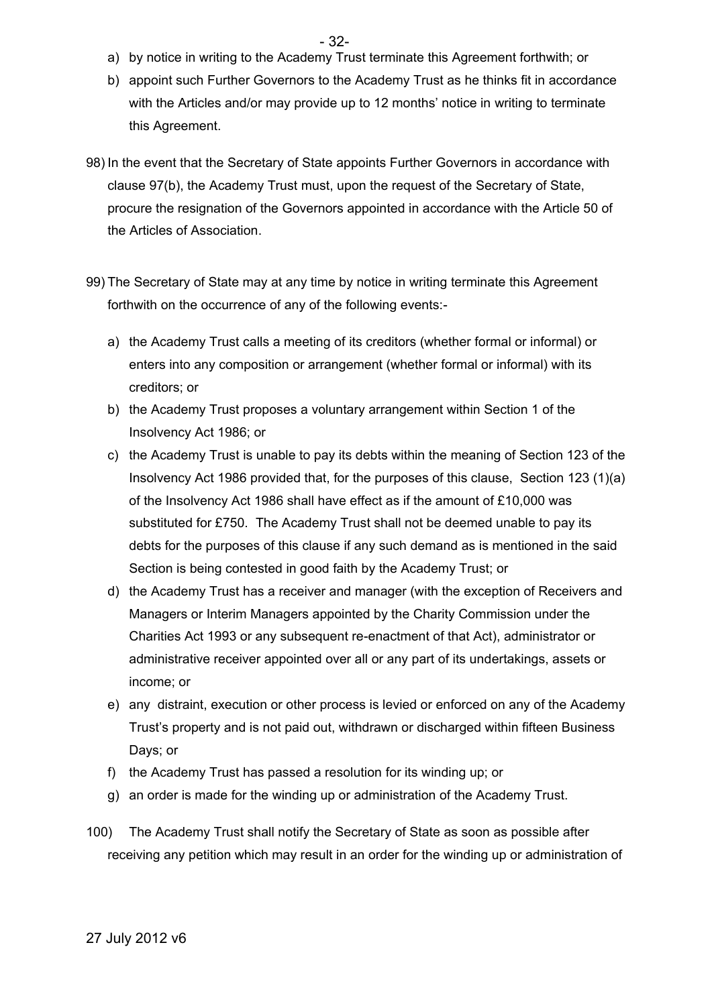- a) by notice in writing to the Academy Trust terminate this Agreement forthwith; or
- b) appoint such Further Governors to the Academy Trust as he thinks fit in accordance with the Articles and/or may provide up to 12 months' notice in writing to terminate this Agreement.
- 98) In the event that the Secretary of State appoints Further Governors in accordance with clause 97(b), the Academy Trust must, upon the request of the Secretary of State, procure the resignation of the Governors appointed in accordance with the Article 50 of the Articles of Association.
- 99) The Secretary of State may at any time by notice in writing terminate this Agreement forthwith on the occurrence of any of the following events:
	- a) the Academy Trust calls a meeting of its creditors (whether formal or informal) or enters into any composition or arrangement (whether formal or informal) with its creditors; or
	- b) the Academy Trust proposes a voluntary arrangement within Section 1 of the Insolvency Act 1986; or
	- c) the Academy Trust is unable to pay its debts within the meaning of Section 123 of the Insolvency Act 1986 provided that, for the purposes of this clause, Section 123 (1)(a) of the Insolvency Act 1986 shall have effect as if the amount of £10,000 was substituted for £750. The Academy Trust shall not be deemed unable to pay its debts for the purposes of this clause if any such demand as is mentioned in the said Section is being contested in good faith by the Academy Trust; or
	- d) the Academy Trust has a receiver and manager (with the exception of Receivers and Managers or Interim Managers appointed by the Charity Commission under the Charities Act 1993 or any subsequent re-enactment of that Act), administrator or administrative receiver appointed over all or any part of its undertakings, assets or income; or
	- e) any distraint, execution or other process is levied or enforced on any of the Academy Trust's property and is not paid out, withdrawn or discharged within fifteen Business Days; or
	- f) the Academy Trust has passed a resolution for its winding up; or
	- g) an order is made for the winding up or administration of the Academy Trust.
- 100) The Academy Trust shall notify the Secretary of State as soon as possible after receiving any petition which may result in an order for the winding up or administration of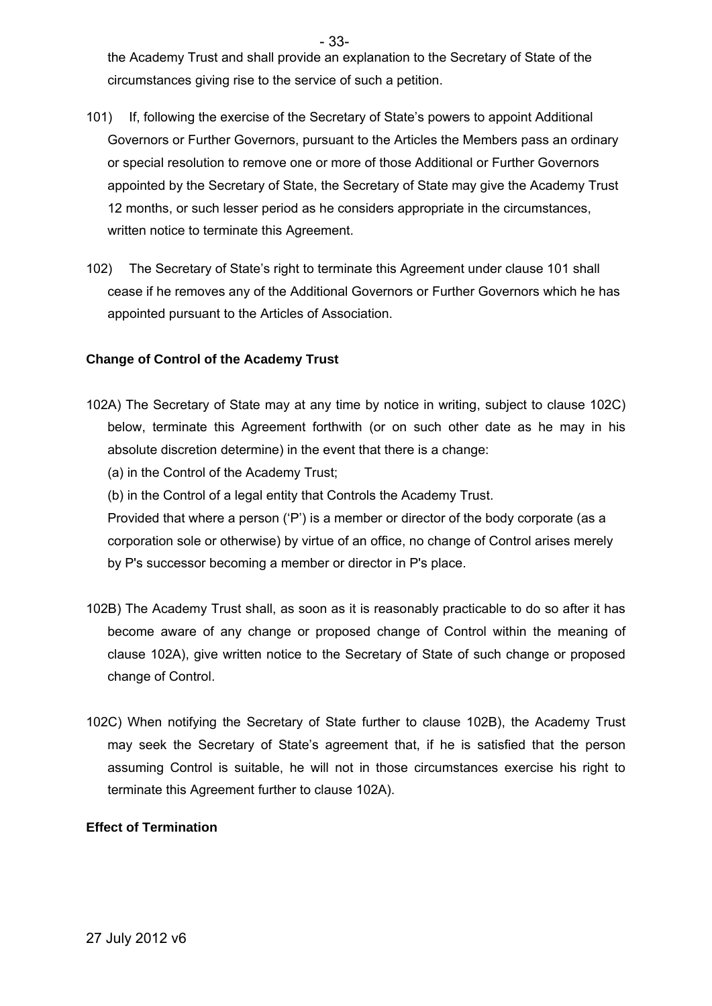the Academy Trust and shall provide an explanation to the Secretary of State of the circumstances giving rise to the service of such a petition.

- 101) If, following the exercise of the Secretary of State's powers to appoint Additional Governors or Further Governors, pursuant to the Articles the Members pass an ordinary or special resolution to remove one or more of those Additional or Further Governors appointed by the Secretary of State, the Secretary of State may give the Academy Trust 12 months, or such lesser period as he considers appropriate in the circumstances, written notice to terminate this Agreement.
- 102) The Secretary of State's right to terminate this Agreement under clause 101 shall cease if he removes any of the Additional Governors or Further Governors which he has appointed pursuant to the Articles of Association.

### **Change of Control of the Academy Trust**

- 102A) The Secretary of State may at any time by notice in writing, subject to clause 102C) below, terminate this Agreement forthwith (or on such other date as he may in his absolute discretion determine) in the event that there is a change:
	- (a) in the Control of the Academy Trust;
	- (b) in the Control of a legal entity that Controls the Academy Trust.

Provided that where a person ('P') is a member or director of the body corporate (as a corporation sole or otherwise) by virtue of an office, no change of Control arises merely by P's successor becoming a member or director in P's place.

- 102B) The Academy Trust shall, as soon as it is reasonably practicable to do so after it has become aware of any change or proposed change of Control within the meaning of clause 102A), give written notice to the Secretary of State of such change or proposed change of Control.
- 102C) When notifying the Secretary of State further to clause 102B), the Academy Trust may seek the Secretary of State's agreement that, if he is satisfied that the person assuming Control is suitable, he will not in those circumstances exercise his right to terminate this Agreement further to clause 102A).

### **Effect of Termination**

- 33-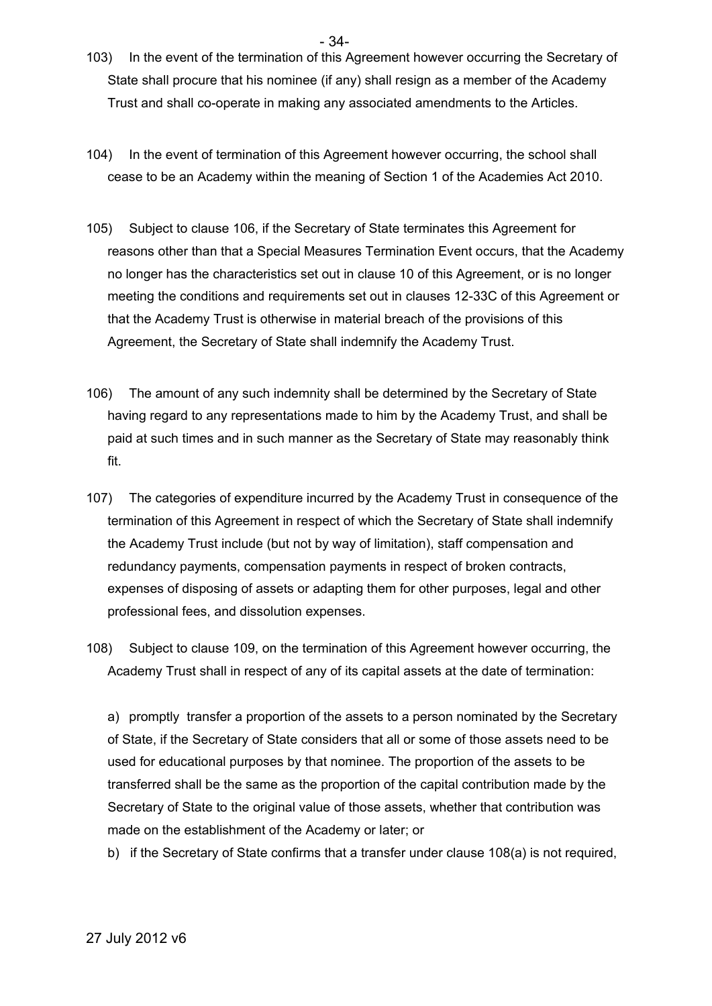103) In the event of the termination of this Agreement however occurring the Secretary of State shall procure that his nominee (if any) shall resign as a member of the Academy Trust and shall co-operate in making any associated amendments to the Articles.

 $-34$ 

- 104) In the event of termination of this Agreement however occurring, the school shall cease to be an Academy within the meaning of Section 1 of the Academies Act 2010.
- 105) Subject to clause 106, if the Secretary of State terminates this Agreement for reasons other than that a Special Measures Termination Event occurs, that the Academy no longer has the characteristics set out in clause 10 of this Agreement, or is no longer meeting the conditions and requirements set out in clauses 12-33C of this Agreement or that the Academy Trust is otherwise in material breach of the provisions of this Agreement, the Secretary of State shall indemnify the Academy Trust.
- 106) The amount of any such indemnity shall be determined by the Secretary of State having regard to any representations made to him by the Academy Trust, and shall be paid at such times and in such manner as the Secretary of State may reasonably think fit.
- 107) The categories of expenditure incurred by the Academy Trust in consequence of the termination of this Agreement in respect of which the Secretary of State shall indemnify the Academy Trust include (but not by way of limitation), staff compensation and redundancy payments, compensation payments in respect of broken contracts, expenses of disposing of assets or adapting them for other purposes, legal and other professional fees, and dissolution expenses.
- 108) Subject to clause 109, on the termination of this Agreement however occurring, the Academy Trust shall in respect of any of its capital assets at the date of termination:

a) promptly transfer a proportion of the assets to a person nominated by the Secretary of State, if the Secretary of State considers that all or some of those assets need to be used for educational purposes by that nominee. The proportion of the assets to be transferred shall be the same as the proportion of the capital contribution made by the Secretary of State to the original value of those assets, whether that contribution was made on the establishment of the Academy or later; or

b) if the Secretary of State confirms that a transfer under clause 108(a) is not required,

27 July 2012 v6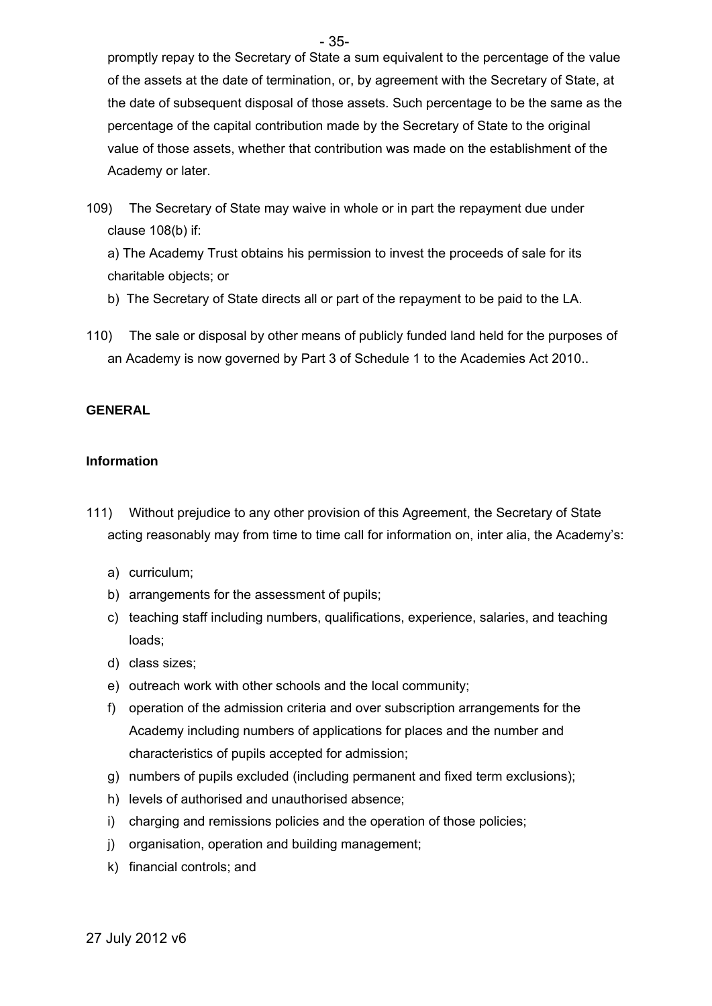promptly repay to the Secretary of State a sum equivalent to the percentage of the value of the assets at the date of termination, or, by agreement with the Secretary of State, at the date of subsequent disposal of those assets. Such percentage to be the same as the percentage of the capital contribution made by the Secretary of State to the original value of those assets, whether that contribution was made on the establishment of the Academy or later.

109) The Secretary of State may waive in whole or in part the repayment due under clause 108(b) if:

a) The Academy Trust obtains his permission to invest the proceeds of sale for its charitable objects; or

- b) The Secretary of State directs all or part of the repayment to be paid to the LA.
- 110) The sale or disposal by other means of publicly funded land held for the purposes of an Academy is now governed by Part 3 of Schedule 1 to the Academies Act 2010..

### **GENERAL**

### **Information**

- 111) Without prejudice to any other provision of this Agreement, the Secretary of State acting reasonably may from time to time call for information on, inter alia, the Academy's:
	- a) curriculum;
	- b) arrangements for the assessment of pupils;
	- c) teaching staff including numbers, qualifications, experience, salaries, and teaching loads;
	- d) class sizes;
	- e) outreach work with other schools and the local community;
	- f) operation of the admission criteria and over subscription arrangements for the Academy including numbers of applications for places and the number and characteristics of pupils accepted for admission;
	- g) numbers of pupils excluded (including permanent and fixed term exclusions);
	- h) levels of authorised and unauthorised absence;
	- i) charging and remissions policies and the operation of those policies;
	- j) organisation, operation and building management;
	- k) financial controls; and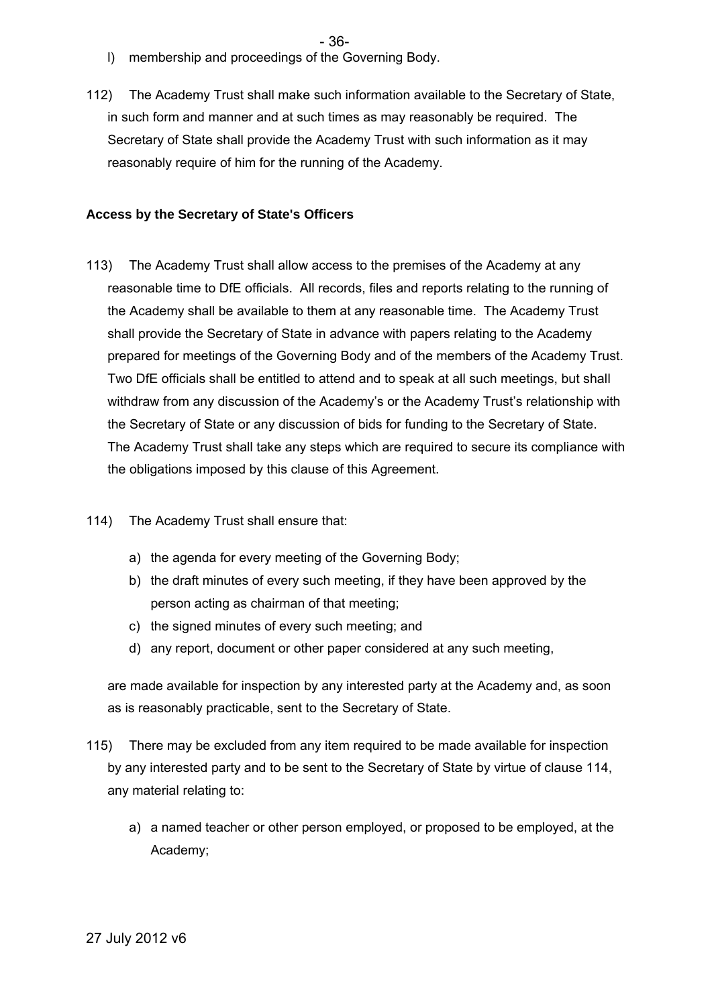- l) membership and proceedings of the Governing Body.
- 112) The Academy Trust shall make such information available to the Secretary of State, in such form and manner and at such times as may reasonably be required. The Secretary of State shall provide the Academy Trust with such information as it may reasonably require of him for the running of the Academy.

#### **Access by the Secretary of State's Officers**

- 113) The Academy Trust shall allow access to the premises of the Academy at any reasonable time to DfE officials. All records, files and reports relating to the running of the Academy shall be available to them at any reasonable time. The Academy Trust shall provide the Secretary of State in advance with papers relating to the Academy prepared for meetings of the Governing Body and of the members of the Academy Trust. Two DfE officials shall be entitled to attend and to speak at all such meetings, but shall withdraw from any discussion of the Academy's or the Academy Trust's relationship with the Secretary of State or any discussion of bids for funding to the Secretary of State. The Academy Trust shall take any steps which are required to secure its compliance with the obligations imposed by this clause of this Agreement.
- 114) The Academy Trust shall ensure that:
	- a) the agenda for every meeting of the Governing Body;
	- b) the draft minutes of every such meeting, if they have been approved by the person acting as chairman of that meeting;
	- c) the signed minutes of every such meeting; and
	- d) any report, document or other paper considered at any such meeting,

are made available for inspection by any interested party at the Academy and, as soon as is reasonably practicable, sent to the Secretary of State.

- 115) There may be excluded from any item required to be made available for inspection by any interested party and to be sent to the Secretary of State by virtue of clause 114, any material relating to:
	- a) a named teacher or other person employed, or proposed to be employed, at the Academy;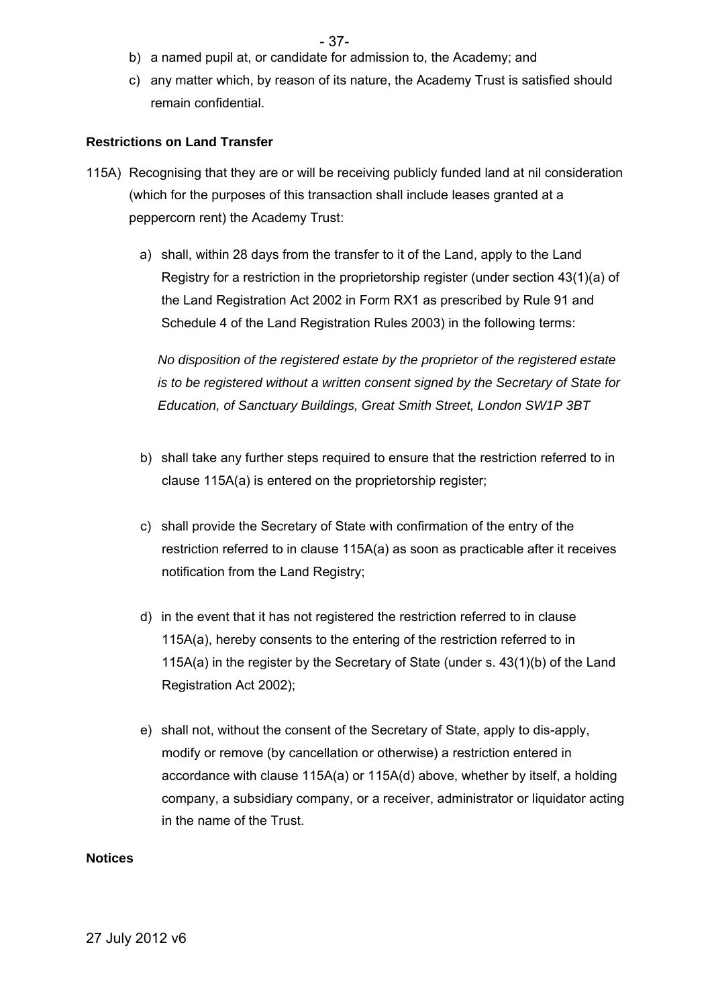- b) a named pupil at, or candidate for admission to, the Academy; and
- c) any matter which, by reason of its nature, the Academy Trust is satisfied should remain confidential.

### **Restrictions on Land Transfer**

- 115A) Recognising that they are or will be receiving publicly funded land at nil consideration (which for the purposes of this transaction shall include leases granted at a peppercorn rent) the Academy Trust:
	- a) shall, within 28 days from the transfer to it of the Land, apply to the Land Registry for a restriction in the proprietorship register (under section 43(1)(a) of the Land Registration Act 2002 in Form RX1 as prescribed by Rule 91 and Schedule 4 of the Land Registration Rules 2003) in the following terms:

*No disposition of the registered estate by the proprietor of the registered estate is to be registered without a written consent signed by the Secretary of State for Education, of Sanctuary Buildings, Great Smith Street, London SW1P 3BT* 

- b) shall take any further steps required to ensure that the restriction referred to in clause 115A(a) is entered on the proprietorship register;
- c) shall provide the Secretary of State with confirmation of the entry of the restriction referred to in clause 115A(a) as soon as practicable after it receives notification from the Land Registry;
- d) in the event that it has not registered the restriction referred to in clause 115A(a), hereby consents to the entering of the restriction referred to in 115A(a) in the register by the Secretary of State (under s. 43(1)(b) of the Land Registration Act 2002);
- e) shall not, without the consent of the Secretary of State, apply to dis-apply, modify or remove (by cancellation or otherwise) a restriction entered in accordance with clause 115A(a) or 115A(d) above, whether by itself, a holding company, a subsidiary company, or a receiver, administrator or liquidator acting in the name of the Trust.

### **Notices**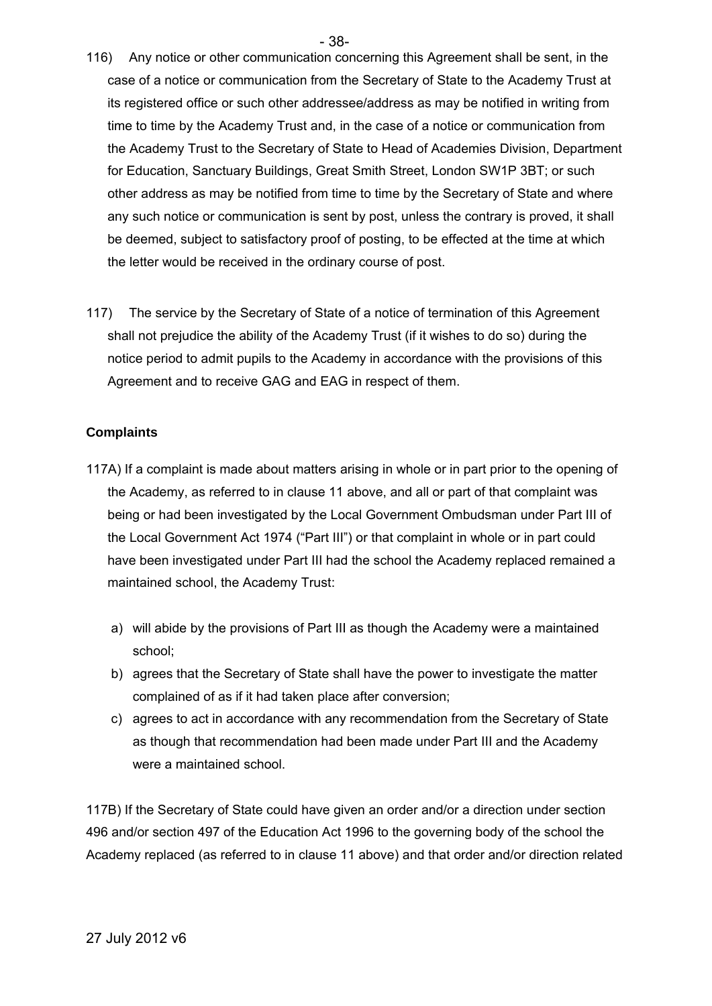- 38-
- 116) Any notice or other communication concerning this Agreement shall be sent, in the case of a notice or communication from the Secretary of State to the Academy Trust at its registered office or such other addressee/address as may be notified in writing from time to time by the Academy Trust and, in the case of a notice or communication from the Academy Trust to the Secretary of State to Head of Academies Division, Department for Education, Sanctuary Buildings, Great Smith Street, London SW1P 3BT; or such other address as may be notified from time to time by the Secretary of State and where any such notice or communication is sent by post, unless the contrary is proved, it shall be deemed, subject to satisfactory proof of posting, to be effected at the time at which the letter would be received in the ordinary course of post.
- 117) The service by the Secretary of State of a notice of termination of this Agreement shall not prejudice the ability of the Academy Trust (if it wishes to do so) during the notice period to admit pupils to the Academy in accordance with the provisions of this Agreement and to receive GAG and EAG in respect of them.

### **Complaints**

- 117A) If a complaint is made about matters arising in whole or in part prior to the opening of the Academy, as referred to in clause 11 above, and all or part of that complaint was being or had been investigated by the Local Government Ombudsman under Part III of the Local Government Act 1974 ("Part III") or that complaint in whole or in part could have been investigated under Part III had the school the Academy replaced remained a maintained school, the Academy Trust:
	- a) will abide by the provisions of Part III as though the Academy were a maintained school;
	- b) agrees that the Secretary of State shall have the power to investigate the matter complained of as if it had taken place after conversion;
	- c) agrees to act in accordance with any recommendation from the Secretary of State as though that recommendation had been made under Part III and the Academy were a maintained school.

117B) If the Secretary of State could have given an order and/or a direction under section 496 and/or section 497 of the Education Act 1996 to the governing body of the school the Academy replaced (as referred to in clause 11 above) and that order and/or direction related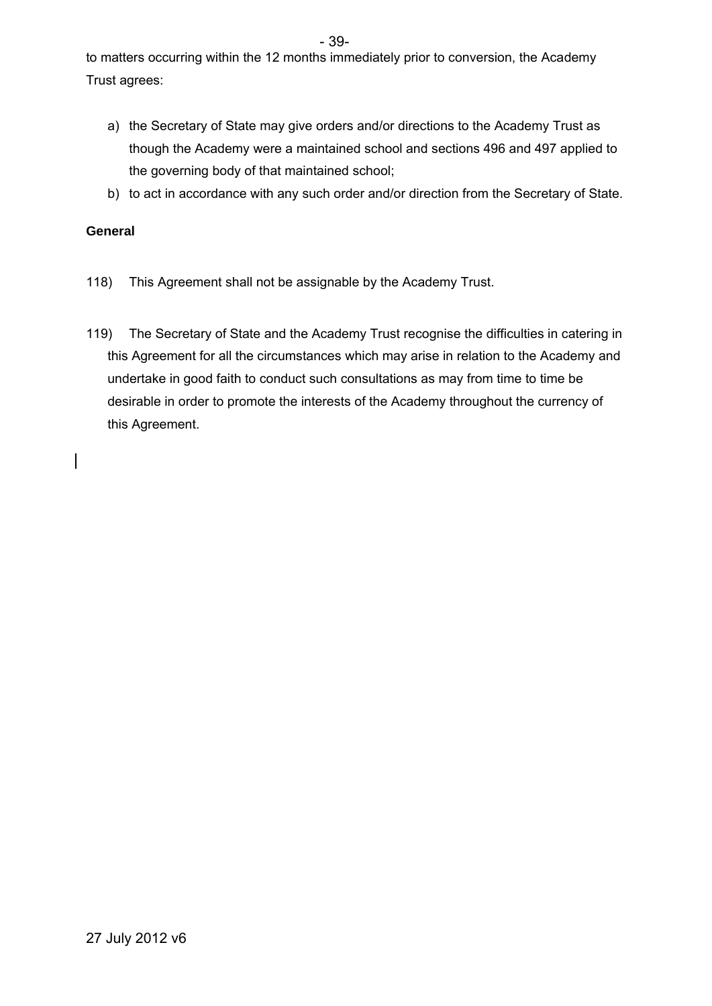- 39-

to matters occurring within the 12 months immediately prior to conversion, the Academy Trust agrees:

- a) the Secretary of State may give orders and/or directions to the Academy Trust as though the Academy were a maintained school and sections 496 and 497 applied to the governing body of that maintained school;
- b) to act in accordance with any such order and/or direction from the Secretary of State.

### **General**

- 118) This Agreement shall not be assignable by the Academy Trust.
- 119) The Secretary of State and the Academy Trust recognise the difficulties in catering in this Agreement for all the circumstances which may arise in relation to the Academy and undertake in good faith to conduct such consultations as may from time to time be desirable in order to promote the interests of the Academy throughout the currency of this Agreement.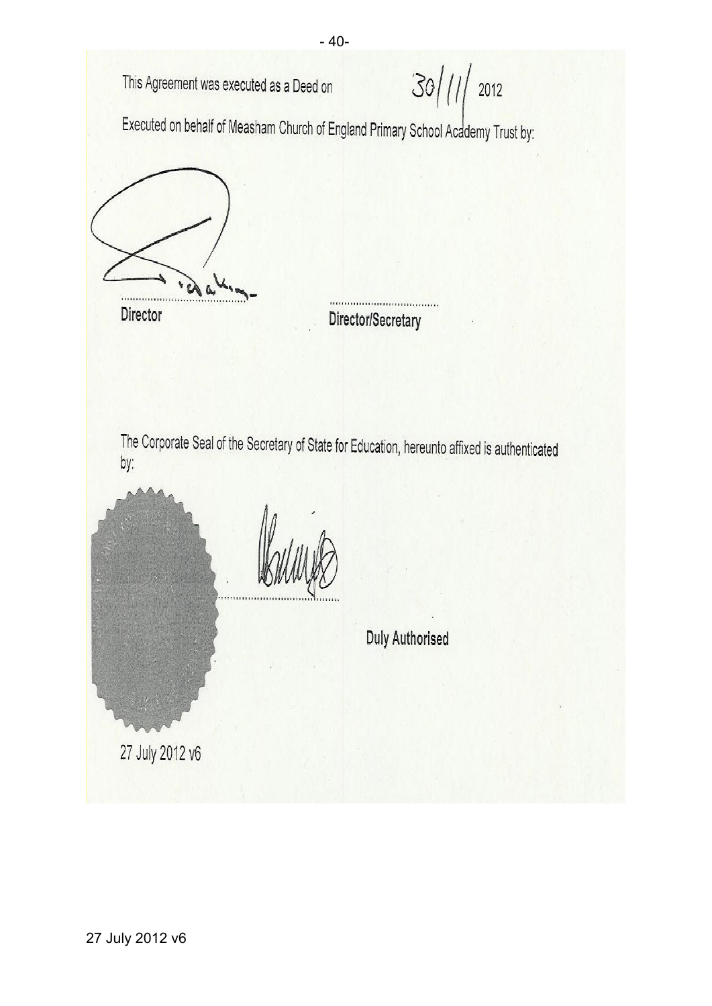- 40-  $30/11/2012$ This Agreement was executed as a Deed on Executed on behalf of Measham Church of England Primary School Academy Trust by: Director Director/Secretary The Corporate Seal of the Secretary of State for Education, hereunto affixed is authenticated by: **Duly Authorised** 27 July 2012 v6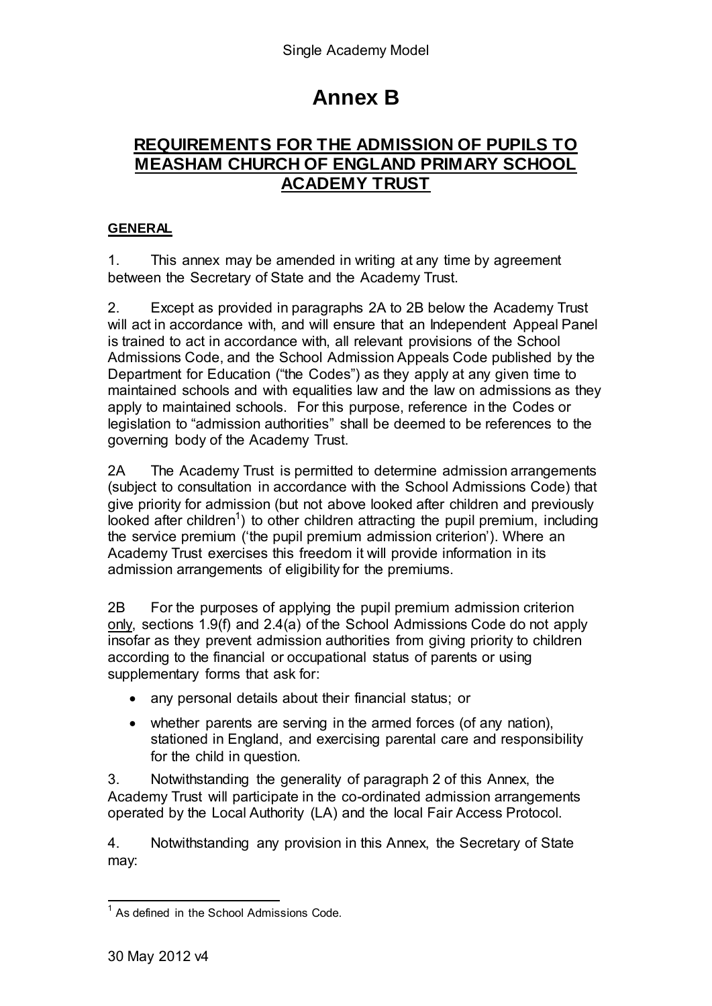# **Annex B**

### **REQUIREMENTS FOR THE ADMISSION OF PUPILS TO MEASHAM CHURCH OF ENGLAND PRIMARY SCHOOL ACADEMY TRUST**

### **GENERAL**

1. This annex may be amended in writing at any time by agreement between the Secretary of State and the Academy Trust.

2. Except as provided in paragraphs 2A to 2B below the Academy Trust will act in accordance with, and will ensure that an Independent Appeal Panel is trained to act in accordance with, all relevant provisions of the School Admissions Code, and the School Admission Appeals Code published by the Department for Education ("the Codes") as they apply at any given time to maintained schools and with equalities law and the law on admissions as they apply to maintained schools. For this purpose, reference in the Codes or legislation to "admission authorities" shall be deemed to be references to the governing body of the Academy Trust.

2A The Academy Trust is permitted to determine admission arrangements (subject to consultation in accordance with the School Admissions Code) that give priority for admission (but not above looked after children and previously looked after children<sup>1</sup>) to other children attracting the pupil premium, including the service premium ('the pupil premium admission criterion'). Where an Academy Trust exercises this freedom it will provide information in its admission arrangements of eligibility for the premiums.

2B For the purposes of applying the pupil premium admission criterion only, sections 1.9(f) and 2.4(a) of the School Admissions Code do not apply insofar as they prevent admission authorities from giving priority to children according to the financial or occupational status of parents or using supplementary forms that ask for:

- any personal details about their financial status; or
- whether parents are serving in the armed forces (of any nation), stationed in England, and exercising parental care and responsibility for the child in question.

3. Notwithstanding the generality of paragraph 2 of this Annex, the Academy Trust will participate in the co-ordinated admission arrangements operated by the Local Authority (LA) and the local Fair Access Protocol.

4. Notwithstanding any provision in this Annex, the Secretary of State may:

 1 As defined in the School Admissions Code.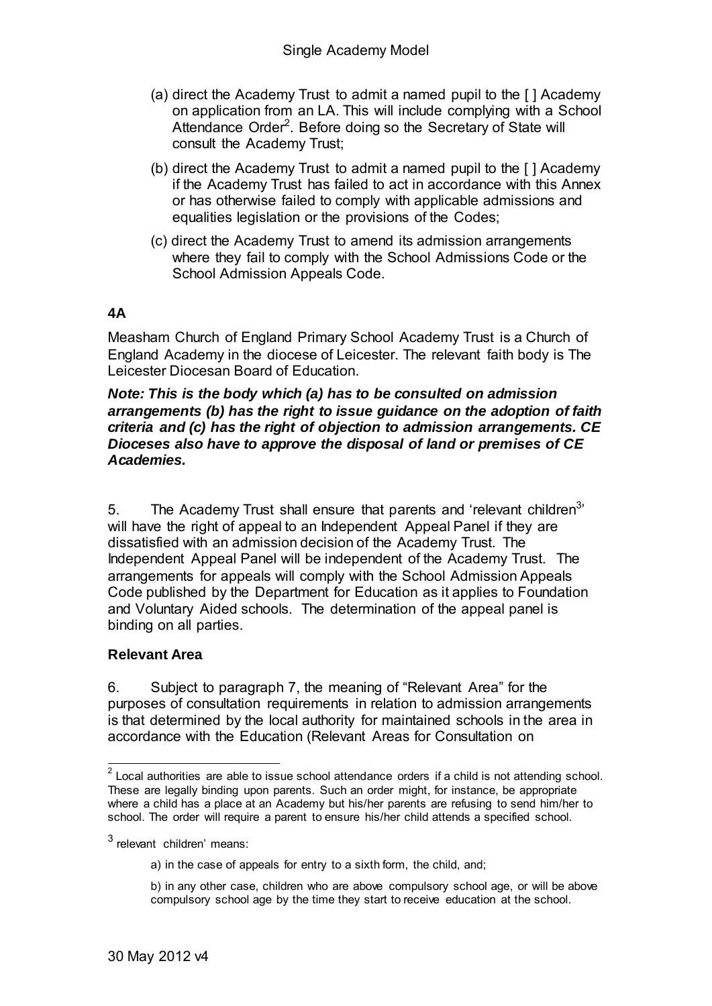- (a) direct the Academy Trust to admit a named pupil to the [ ] Academy on application from an LA. This will include complying with a School Attendance Order<sup>2</sup>. Before doing so the Secretary of State will consult the Academy Trust;
- (b) direct the Academy Trust to admit a named pupil to the [ ] Academy if the Academy Trust has failed to act in accordance with this Annex or has otherwise failed to comply with applicable admissions and equalities legislation or the provisions of the Codes;
- (c) direct the Academy Trust to amend its admission arrangements where they fail to comply with the School Admissions Code or the School Admission Appeals Code.

### **4A**

Measham Church of England Primary School Academy Trust is a Church of England Academy in the diocese of Leicester. The relevant faith body is The Leicester Diocesan Board of Education.

### *Note: This is the body which (a) has to be consulted on admission arrangements (b) has the right to issue guidance on the adoption of faith criteria and (c) has the right of objection to admission arrangements. CE Dioceses also have to approve the disposal of land or premises of CE Academies.*

5. The Academy Trust shall ensure that parents and 'relevant children $3$ ' will have the right of appeal to an Independent Appeal Panel if they are dissatisfied with an admission decision of the Academy Trust. The Independent Appeal Panel will be independent of the Academy Trust. The arrangements for appeals will comply with the School Admission Appeals Code published by the Department for Education as it applies to Foundation and Voluntary Aided schools. The determination of the appeal panel is binding on all parties.

### **Relevant Area**

6. Subject to paragraph 7, the meaning of "Relevant Area" for the purposes of consultation requirements in relation to admission arrangements is that determined by the local authority for maintained schools in the area in accordance with the Education (Relevant Areas for Consultation on

<sup>&</sup>lt;u>2</u><br><sup>2</sup> Local authorities are able to issue school attendance orders if a child is not attending school. These are legally binding upon parents. Such an order might, for instance, be appropriate where a child has a place at an Academy but his/her parents are refusing to send him/her to school. The order will require a parent to ensure his/her child attends a specified school.

<sup>&</sup>lt;sup>3</sup> relevant children' means:

a) in the case of appeals for entry to a sixth form, the child, and;

b) in any other case, children who are above compulsory school age, or will be above compulsory school age by the time they start to receive education at the school.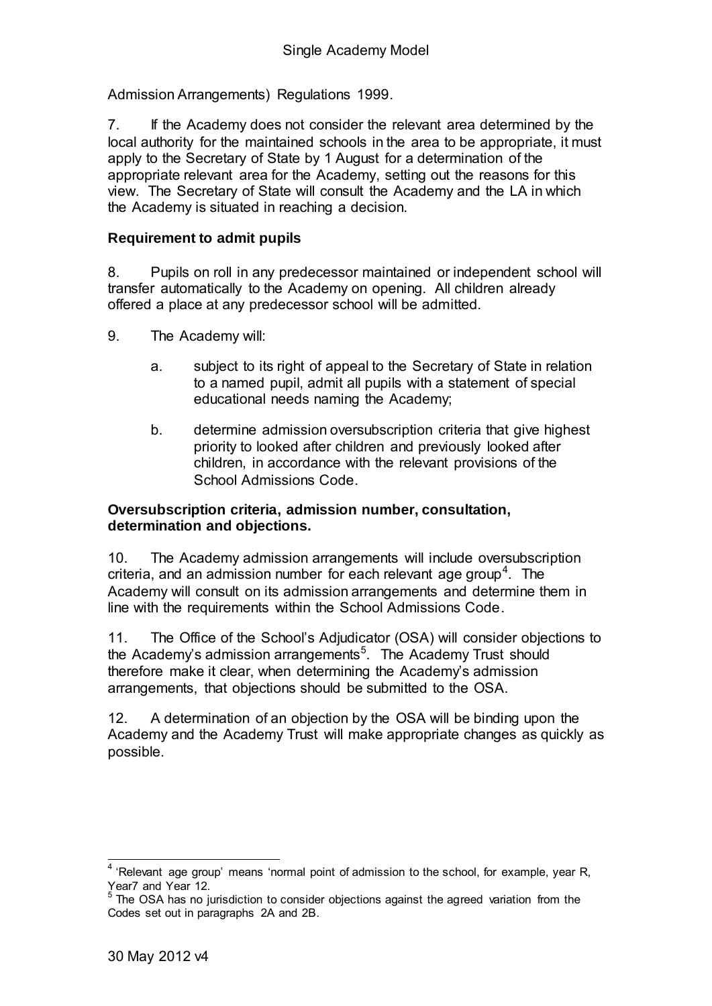Admission Arrangements) Regulations 1999.

7. If the Academy does not consider the relevant area determined by the local authority for the maintained schools in the area to be appropriate, it must apply to the Secretary of State by 1 August for a determination of the appropriate relevant area for the Academy, setting out the reasons for this view. The Secretary of State will consult the Academy and the LA in which the Academy is situated in reaching a decision.

### **Requirement to admit pupils**

8. Pupils on roll in any predecessor maintained or independent school will transfer automatically to the Academy on opening. All children already offered a place at any predecessor school will be admitted.

- 9. The Academy will:
	- a. subject to its right of appeal to the Secretary of State in relation to a named pupil, admit all pupils with a statement of special educational needs naming the Academy;
	- b. determine admission oversubscription criteria that give highest priority to looked after children and previously looked after children, in accordance with the relevant provisions of the School Admissions Code.

### **Oversubscription criteria, admission number, consultation, determination and objections.**

10. The Academy admission arrangements will include oversubscription criteria, and an admission number for each relevant age group<sup>4</sup>. The Academy will consult on its admission arrangements and determine them in line with the requirements within the School Admissions Code.

11. The Office of the School's Adjudicator (OSA) will consider objections to the Academy's admission arrangements<sup>5</sup>. The Academy Trust should therefore make it clear, when determining the Academy's admission arrangements, that objections should be submitted to the OSA.

12. A determination of an objection by the OSA will be binding upon the Academy and the Academy Trust will make appropriate changes as quickly as possible.

<sup>4 &#</sup>x27;Relevant age group' means 'normal point of admission to the school, for example, year R, Year7 and Year 12.

<sup>5</sup> The OSA has no jurisdiction to consider objections against the agreed variation from the Codes set out in paragraphs 2A and 2B.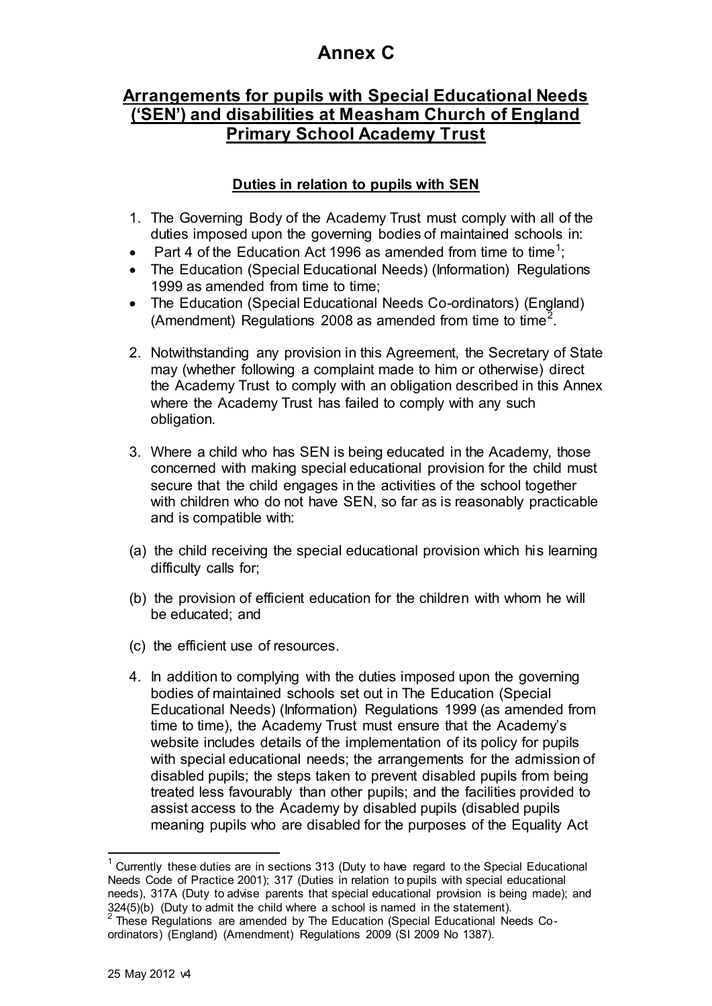# **Annex C**

# **Arrangements for pupils with Special Educational Needs ('SEN') and disabilities at Measham Church of England Primary School Academy Trust**

### **Duties in relation to pupils with SEN**

- 1. The Governing Body of the Academy Trust must comply with all of the duties imposed upon the governing bodies of maintained schools in:
- Part 4 of the Education Act 1996 as amended from time to time<sup>1</sup>;
- The Education (Special Educational Needs) (Information) Regulations 1999 as amended from time to time;
- The Education (Special Educational Needs Co-ordinators) (England) (Amendment) Regulations 2008 as amended from time to time<sup>2</sup>.
- 2. Notwithstanding any provision in this Agreement, the Secretary of State may (whether following a complaint made to him or otherwise) direct the Academy Trust to comply with an obligation described in this Annex where the Academy Trust has failed to comply with any such obligation.
- 3. Where a child who has SEN is being educated in the Academy, those concerned with making special educational provision for the child must secure that the child engages in the activities of the school together with children who do not have SEN, so far as is reasonably practicable and is compatible with:
- (a) the child receiving the special educational provision which his learning difficulty calls for;
- (b) the provision of efficient education for the children with whom he will be educated; and
- (c) the efficient use of resources.
- 4. In addition to complying with the duties imposed upon the governing bodies of maintained schools set out in The Education (Special Educational Needs) (Information) Regulations 1999 (as amended from time to time), the Academy Trust must ensure that the Academy's website includes details of the implementation of its policy for pupils with special educational needs; the arrangements for the admission of disabled pupils; the steps taken to prevent disabled pupils from being treated less favourably than other pupils; and the facilities provided to assist access to the Academy by disabled pupils (disabled pupils meaning pupils who are disabled for the purposes of the Equality Act

 1 Currently these duties are in sections 313 (Duty to have regard to the Special Educational Needs Code of Practice 2001); 317 (Duties in relation to pupils with special educational needs), 317A (Duty to advise parents that special educational provision is being made); and

<sup>324(5)(</sup>b) (Duty to admit the child where a school is named in the statement).<br><sup>2</sup> These Regulations are amended by The Education (Special Educational Needs Coordinators) (England) (Amendment) Regulations 2009 (SI 2009 No 1387).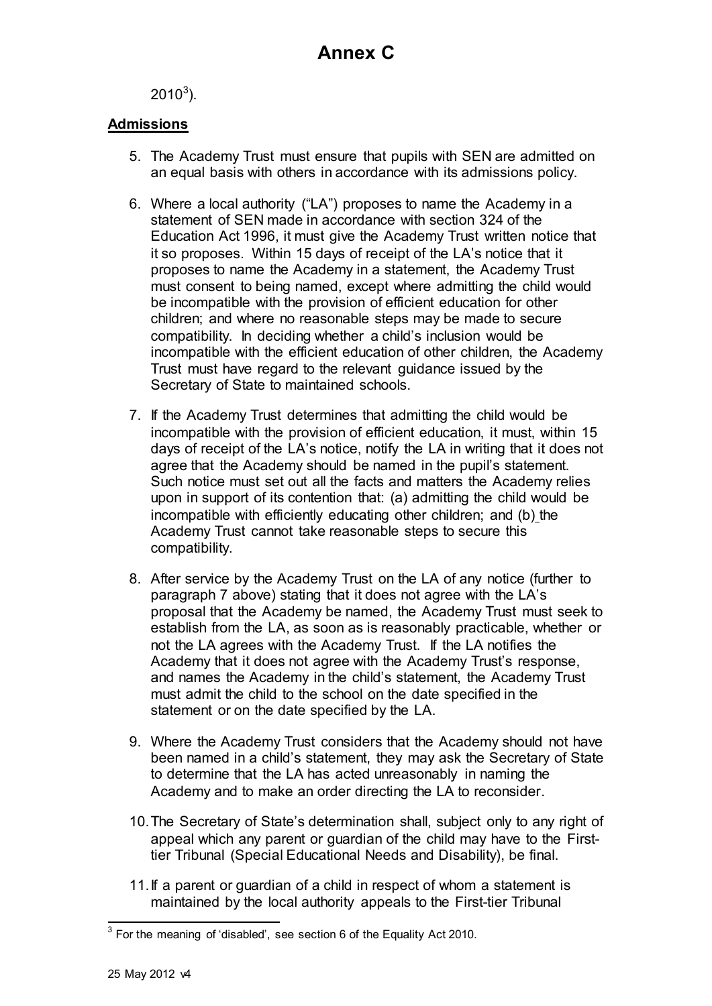$2010^3$ ).

### **Admissions**

- 5. The Academy Trust must ensure that pupils with SEN are admitted on an equal basis with others in accordance with its admissions policy.
- 6. Where a local authority ("LA") proposes to name the Academy in a statement of SEN made in accordance with section 324 of the Education Act 1996, it must give the Academy Trust written notice that it so proposes. Within 15 days of receipt of the LA's notice that it proposes to name the Academy in a statement, the Academy Trust must consent to being named, except where admitting the child would be incompatible with the provision of efficient education for other children; and where no reasonable steps may be made to secure compatibility. In deciding whether a child's inclusion would be incompatible with the efficient education of other children, the Academy Trust must have regard to the relevant guidance issued by the Secretary of State to maintained schools.
- 7. If the Academy Trust determines that admitting the child would be incompatible with the provision of efficient education, it must, within 15 days of receipt of the LA's notice, notify the LA in writing that it does not agree that the Academy should be named in the pupil's statement. Such notice must set out all the facts and matters the Academy relies upon in support of its contention that: (a) admitting the child would be incompatible with efficiently educating other children; and (b) the Academy Trust cannot take reasonable steps to secure this compatibility.
- 8. After service by the Academy Trust on the LA of any notice (further to paragraph 7 above) stating that it does not agree with the LA's proposal that the Academy be named, the Academy Trust must seek to establish from the LA, as soon as is reasonably practicable, whether or not the LA agrees with the Academy Trust. If the LA notifies the Academy that it does not agree with the Academy Trust's response, and names the Academy in the child's statement, the Academy Trust must admit the child to the school on the date specified in the statement or on the date specified by the LA.
- 9. Where the Academy Trust considers that the Academy should not have been named in a child's statement, they may ask the Secretary of State to determine that the LA has acted unreasonably in naming the Academy and to make an order directing the LA to reconsider.
- 10.The Secretary of State's determination shall, subject only to any right of appeal which any parent or guardian of the child may have to the Firsttier Tribunal (Special Educational Needs and Disability), be final.
- 11.If a parent or guardian of a child in respect of whom a statement is maintained by the local authority appeals to the First-tier Tribunal

**EXECUTE:**<br><sup>3</sup> For the meaning of 'disabled', see section 6 of the Equality Act 2010.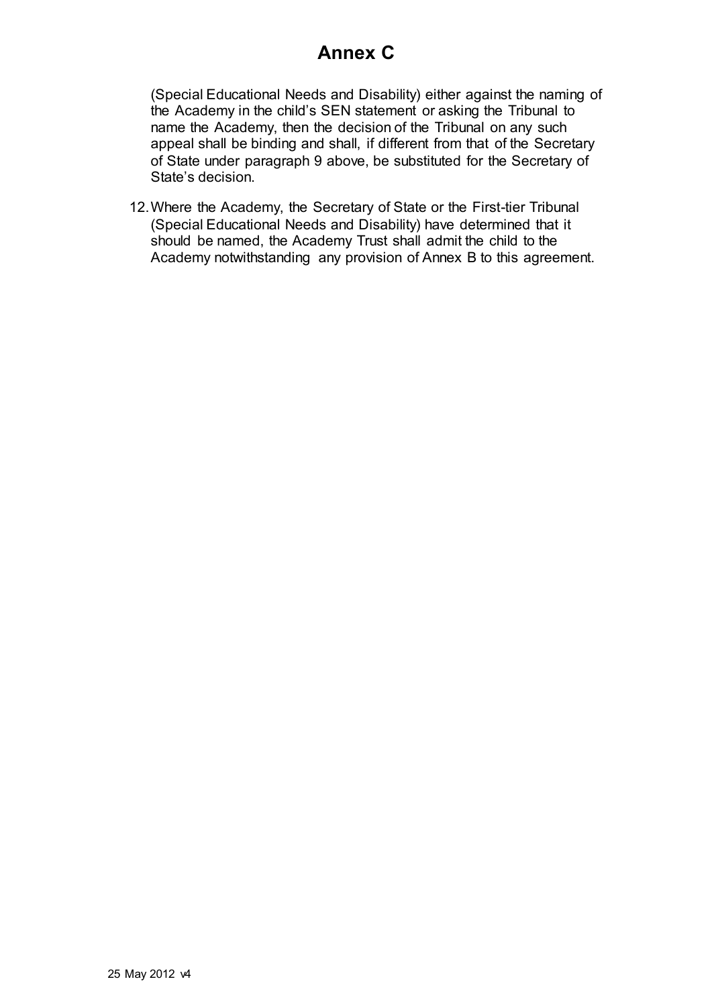# **Annex C**

(Special Educational Needs and Disability) either against the naming of the Academy in the child's SEN statement or asking the Tribunal to name the Academy, then the decision of the Tribunal on any such appeal shall be binding and shall, if different from that of the Secretary of State under paragraph 9 above, be substituted for the Secretary of State's decision.

12.Where the Academy, the Secretary of State or the First-tier Tribunal (Special Educational Needs and Disability) have determined that it should be named, the Academy Trust shall admit the child to the Academy notwithstanding any provision of Annex B to this agreement.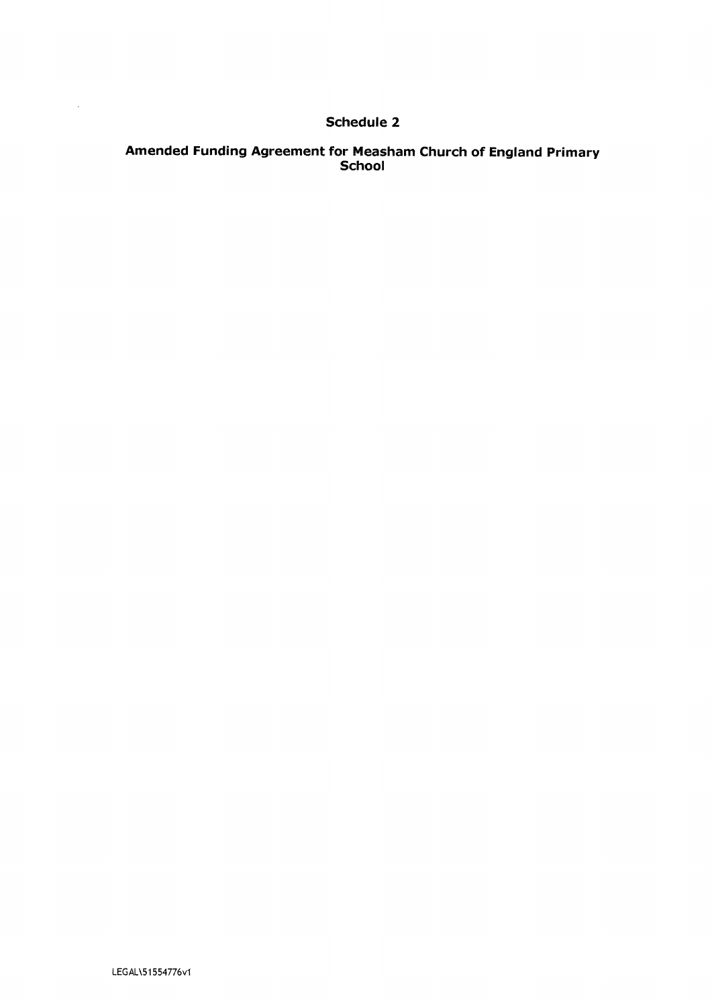### **Schedule 2**

# Amended Funding Agreement for Measham Church of England Primary<br>School

 $\mathcal{A}^{\mathcal{A}}$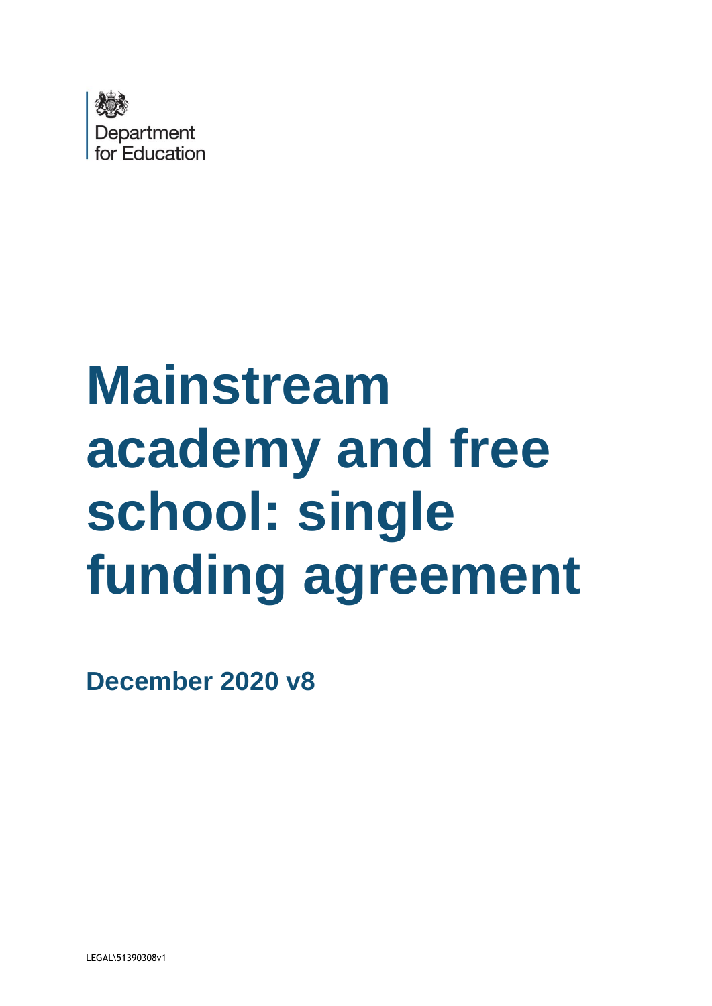

# **Mainstream academy and free school: single funding agreement**

**December 2020 v8**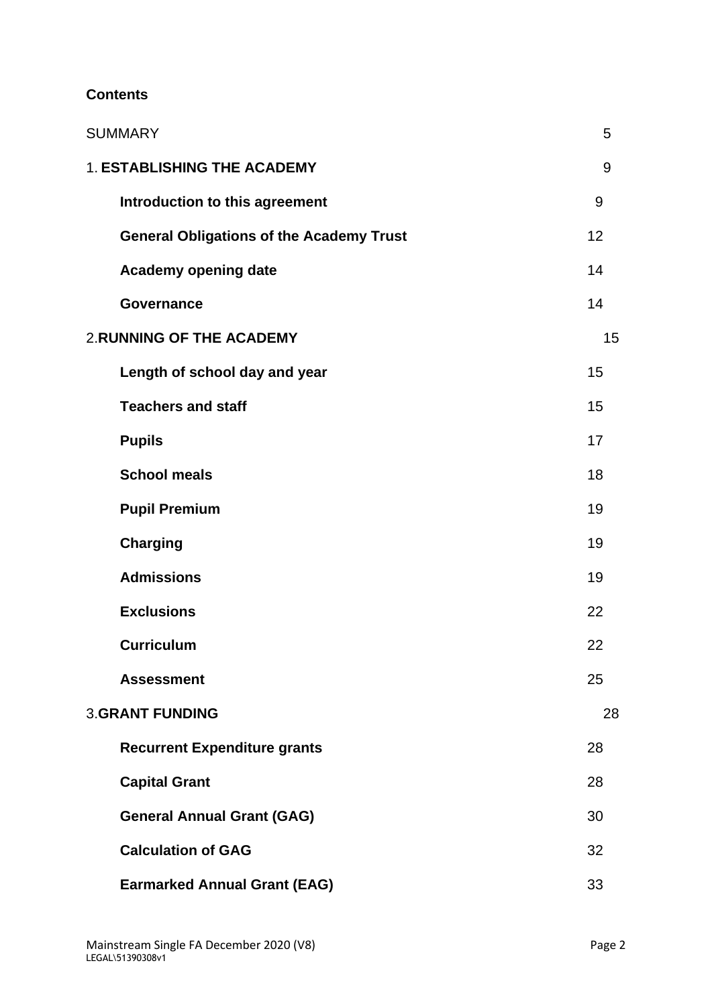### **Contents**

| <b>SUMMARY</b>                                  | 5  |
|-------------------------------------------------|----|
| <b>1. ESTABLISHING THE ACADEMY</b>              | 9  |
| Introduction to this agreement                  | 9  |
| <b>General Obligations of the Academy Trust</b> | 12 |
| Academy opening date                            | 14 |
| Governance                                      | 14 |
| <b>2. RUNNING OF THE ACADEMY</b>                | 15 |
| Length of school day and year                   | 15 |
| <b>Teachers and staff</b>                       | 15 |
| <b>Pupils</b>                                   | 17 |
| <b>School meals</b>                             | 18 |
| <b>Pupil Premium</b>                            | 19 |
| <b>Charging</b>                                 | 19 |
| <b>Admissions</b>                               | 19 |
| <b>Exclusions</b>                               | 22 |
| <b>Curriculum</b>                               | 22 |
| <b>Assessment</b>                               | 25 |
| <b>3.GRANT FUNDING</b>                          | 28 |
| <b>Recurrent Expenditure grants</b>             | 28 |
| <b>Capital Grant</b>                            | 28 |
| <b>General Annual Grant (GAG)</b>               | 30 |
| <b>Calculation of GAG</b>                       | 32 |
| <b>Earmarked Annual Grant (EAG)</b>             | 33 |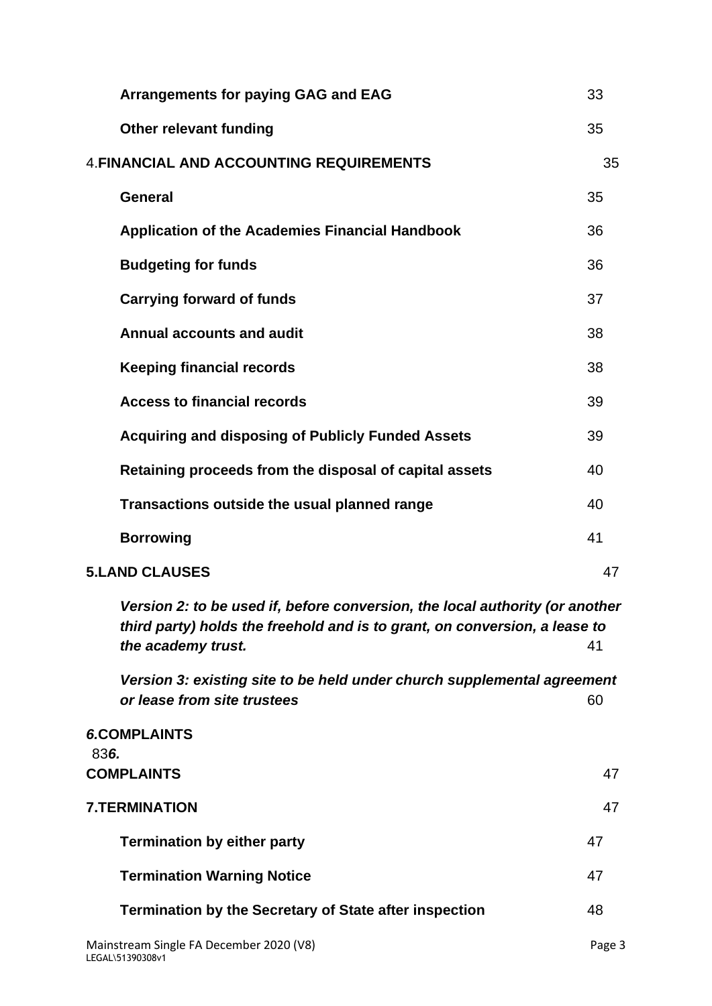| <b>Arrangements for paying GAG and EAG</b>                                                                                                                                       | 33     |
|----------------------------------------------------------------------------------------------------------------------------------------------------------------------------------|--------|
| <b>Other relevant funding</b>                                                                                                                                                    | 35     |
| <b>4. FINANCIAL AND ACCOUNTING REQUIREMENTS</b>                                                                                                                                  | 35     |
| <b>General</b>                                                                                                                                                                   | 35     |
| <b>Application of the Academies Financial Handbook</b>                                                                                                                           | 36     |
| <b>Budgeting for funds</b>                                                                                                                                                       | 36     |
| <b>Carrying forward of funds</b>                                                                                                                                                 | 37     |
| <b>Annual accounts and audit</b>                                                                                                                                                 | 38     |
| <b>Keeping financial records</b>                                                                                                                                                 | 38     |
| <b>Access to financial records</b>                                                                                                                                               | 39     |
| <b>Acquiring and disposing of Publicly Funded Assets</b>                                                                                                                         | 39     |
| Retaining proceeds from the disposal of capital assets                                                                                                                           | 40     |
| Transactions outside the usual planned range                                                                                                                                     | 40     |
| <b>Borrowing</b>                                                                                                                                                                 | 41     |
| <b>5.LAND CLAUSES</b>                                                                                                                                                            | 47     |
| Version 2: to be used if, before conversion, the local authority (or another<br>third party) holds the freehold and is to grant, on conversion, a lease to<br>the academy trust. | 41     |
| Version 3: existing site to be held under church supplemental agreement<br>or lease from site trustees                                                                           | 60     |
| <b>6.COMPLAINTS</b><br>836.<br><b>COMPLAINTS</b>                                                                                                                                 | 47     |
| <b>7.TERMINATION</b>                                                                                                                                                             | 47     |
| <b>Termination by either party</b>                                                                                                                                               | 47     |
| <b>Termination Warning Notice</b>                                                                                                                                                | 47     |
| <b>Termination by the Secretary of State after inspection</b>                                                                                                                    | 48     |
| Mainstream Single FA December 2020 (V8)<br>LEGAL\51390308v1                                                                                                                      | Page 3 |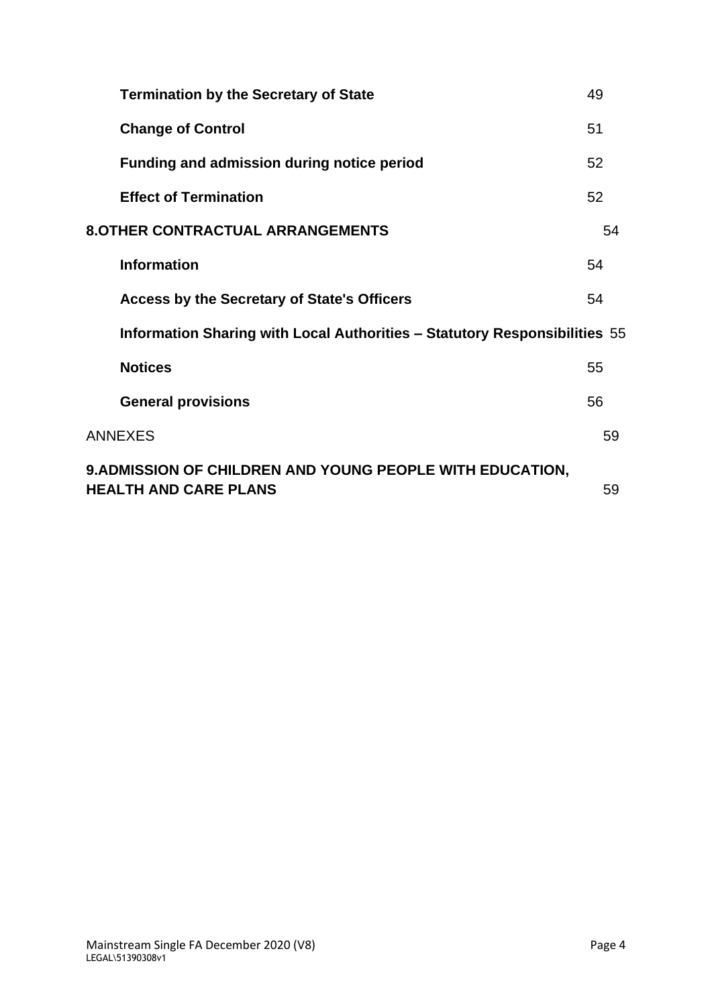| <b>Termination by the Secretary of State</b>                                              | 49 |
|-------------------------------------------------------------------------------------------|----|
| <b>Change of Control</b>                                                                  | 51 |
| <b>Funding and admission during notice period</b>                                         | 52 |
| <b>Effect of Termination</b>                                                              | 52 |
| <b>8.OTHER CONTRACTUAL ARRANGEMENTS</b>                                                   | 54 |
| <b>Information</b>                                                                        | 54 |
| Access by the Secretary of State's Officers                                               | 54 |
| Information Sharing with Local Authorities - Statutory Responsibilities 55                |    |
| <b>Notices</b>                                                                            | 55 |
| <b>General provisions</b>                                                                 | 56 |
| <b>ANNEXES</b>                                                                            | 59 |
| 9. ADMISSION OF CHILDREN AND YOUNG PEOPLE WITH EDUCATION,<br><b>HEALTH AND CARE PLANS</b> | 59 |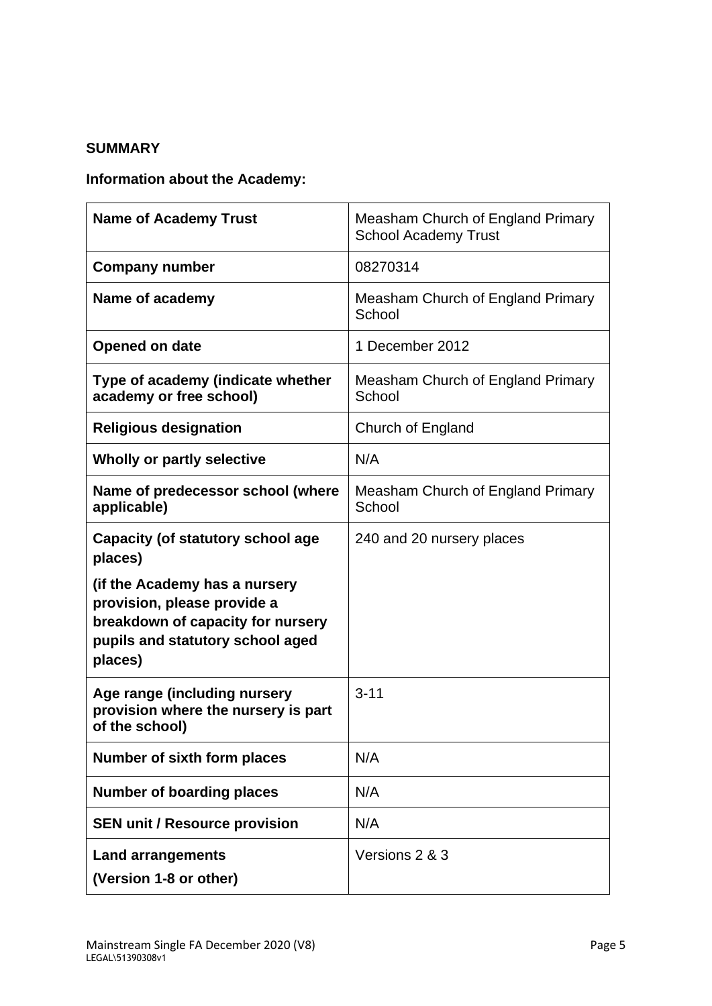### <span id="page-55-0"></span>**SUMMARY**

# **Information about the Academy:**

| <b>Name of Academy Trust</b>                                                                                                                     | Measham Church of England Primary<br><b>School Academy Trust</b> |
|--------------------------------------------------------------------------------------------------------------------------------------------------|------------------------------------------------------------------|
| <b>Company number</b>                                                                                                                            | 08270314                                                         |
| Name of academy                                                                                                                                  | Measham Church of England Primary<br>School                      |
| Opened on date                                                                                                                                   | 1 December 2012                                                  |
| Type of academy (indicate whether<br>academy or free school)                                                                                     | Measham Church of England Primary<br>School                      |
| <b>Religious designation</b>                                                                                                                     | Church of England                                                |
| Wholly or partly selective                                                                                                                       | N/A                                                              |
| Name of predecessor school (where<br>applicable)                                                                                                 | Measham Church of England Primary<br>School                      |
| Capacity (of statutory school age<br>places)                                                                                                     | 240 and 20 nursery places                                        |
| (if the Academy has a nursery<br>provision, please provide a<br>breakdown of capacity for nursery<br>pupils and statutory school aged<br>places) |                                                                  |
| Age range (including nursery<br>provision where the nursery is part<br>of the school)                                                            | $3 - 11$                                                         |
| <b>Number of sixth form places</b>                                                                                                               | N/A                                                              |
| <b>Number of boarding places</b>                                                                                                                 | N/A                                                              |
| <b>SEN unit / Resource provision</b>                                                                                                             | N/A                                                              |
| <b>Land arrangements</b><br>(Version 1-8 or other)                                                                                               | Versions 2 & 3                                                   |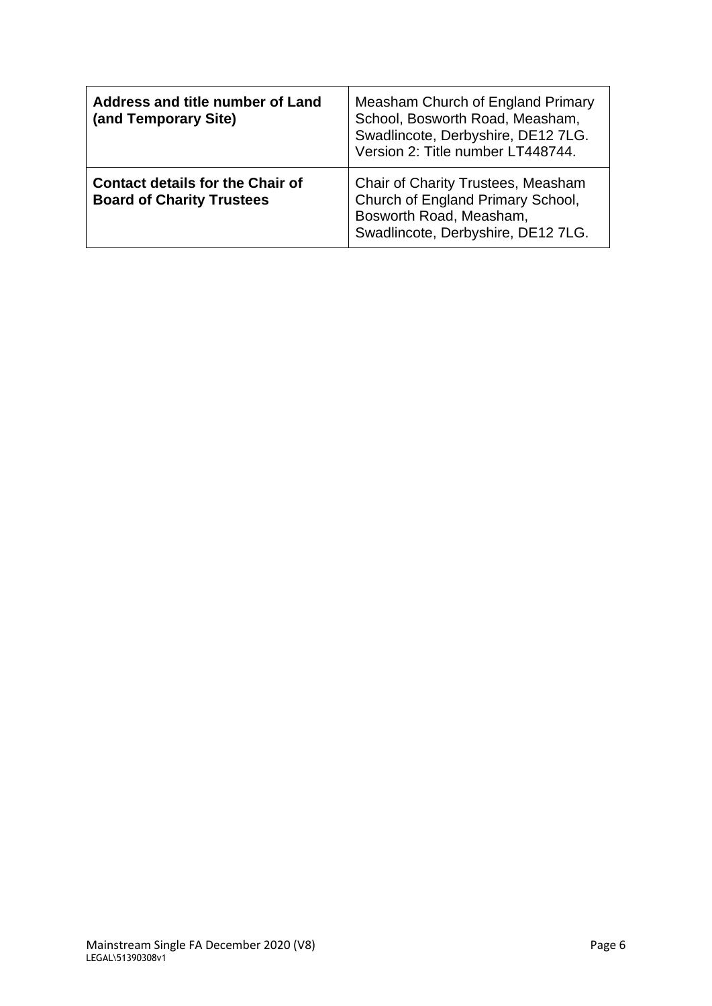| Address and title number of Land<br>(and Temporary Site)                    | Measham Church of England Primary<br>School, Bosworth Road, Measham,<br>Swadlincote, Derbyshire, DE12 7LG.<br>Version 2: Title number LT448744. |
|-----------------------------------------------------------------------------|-------------------------------------------------------------------------------------------------------------------------------------------------|
| <b>Contact details for the Chair of</b><br><b>Board of Charity Trustees</b> | Chair of Charity Trustees, Measham<br>Church of England Primary School,<br>Bosworth Road, Measham,<br>Swadlincote, Derbyshire, DE12 7LG.        |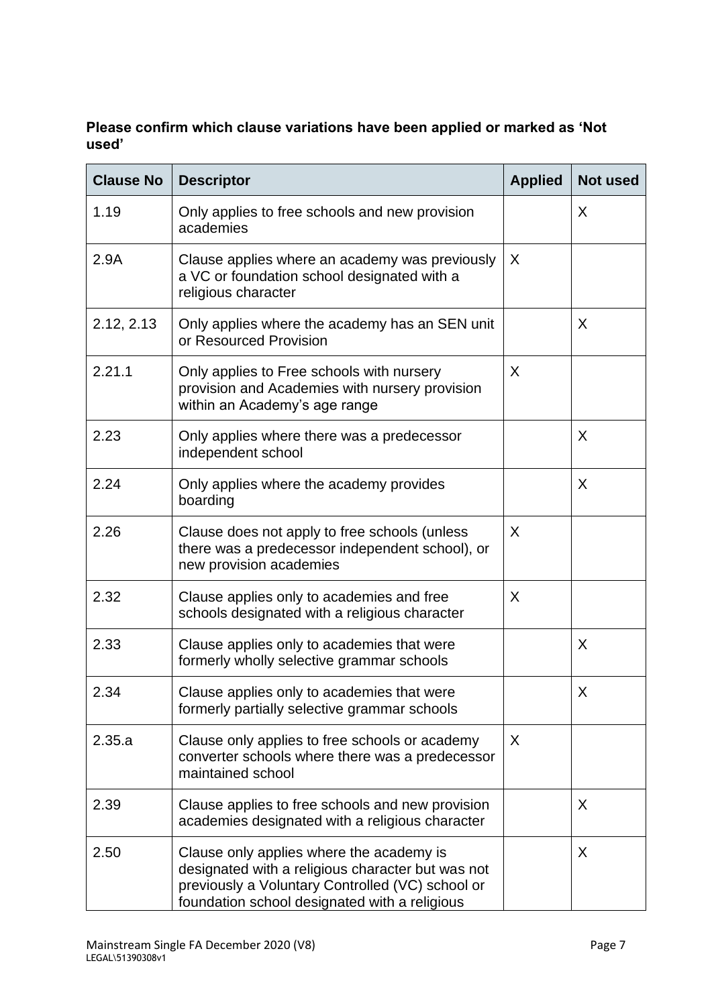### **Please confirm which clause variations have been applied or marked as 'Not used'**

| <b>Clause No</b> | <b>Descriptor</b>                                                                                                                                                                                  | <b>Applied</b> | <b>Not used</b> |
|------------------|----------------------------------------------------------------------------------------------------------------------------------------------------------------------------------------------------|----------------|-----------------|
| 1.19             | Only applies to free schools and new provision<br>academies                                                                                                                                        |                | X               |
| 2.9A             | Clause applies where an academy was previously<br>a VC or foundation school designated with a<br>religious character                                                                               | X              |                 |
| 2.12, 2.13       | Only applies where the academy has an SEN unit<br>or Resourced Provision                                                                                                                           |                | X               |
| 2.21.1           | Only applies to Free schools with nursery<br>provision and Academies with nursery provision<br>within an Academy's age range                                                                       | X              |                 |
| 2.23             | Only applies where there was a predecessor<br>independent school                                                                                                                                   |                | X               |
| 2.24             | Only applies where the academy provides<br>boarding                                                                                                                                                |                | X               |
| 2.26             | Clause does not apply to free schools (unless<br>there was a predecessor independent school), or<br>new provision academies                                                                        | X              |                 |
| 2.32             | Clause applies only to academies and free<br>schools designated with a religious character                                                                                                         | X              |                 |
| 2.33             | Clause applies only to academies that were<br>formerly wholly selective grammar schools                                                                                                            |                | X               |
| 2.34             | Clause applies only to academies that were<br>formerly partially selective grammar schools                                                                                                         |                | X               |
| 2.35.a           | Clause only applies to free schools or academy<br>converter schools where there was a predecessor<br>maintained school                                                                             | X              |                 |
| 2.39             | Clause applies to free schools and new provision<br>academies designated with a religious character                                                                                                |                | X               |
| 2.50             | Clause only applies where the academy is<br>designated with a religious character but was not<br>previously a Voluntary Controlled (VC) school or<br>foundation school designated with a religious |                | X               |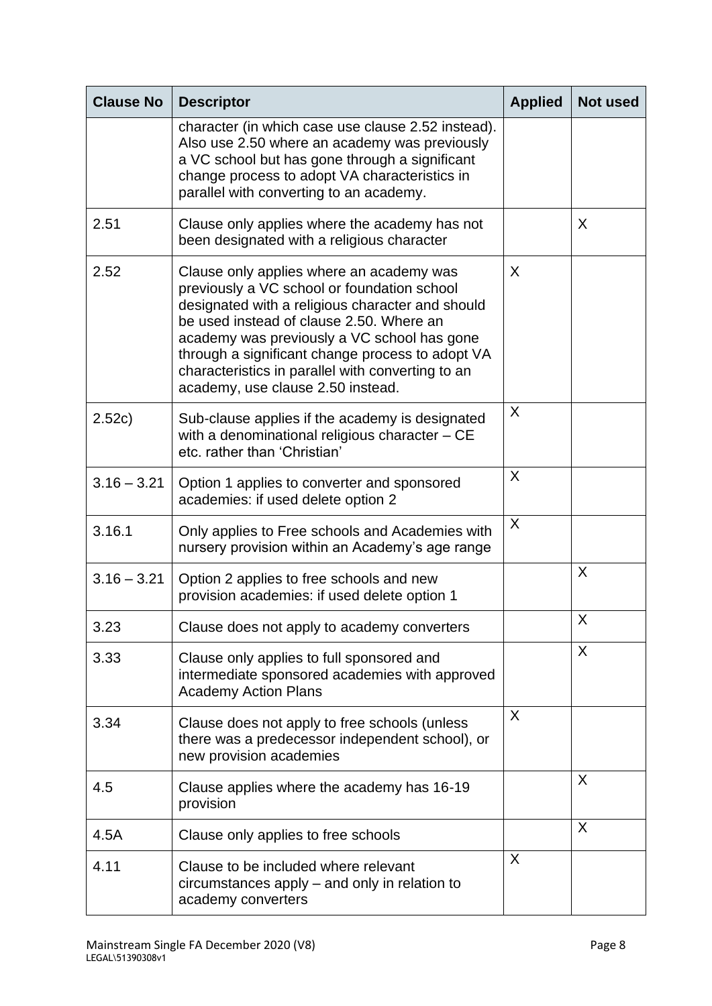| <b>Clause No</b> | <b>Descriptor</b>                                                                                                                                                                                                                                                                                                                                                                    | <b>Applied</b> | <b>Not used</b> |
|------------------|--------------------------------------------------------------------------------------------------------------------------------------------------------------------------------------------------------------------------------------------------------------------------------------------------------------------------------------------------------------------------------------|----------------|-----------------|
|                  | character (in which case use clause 2.52 instead).<br>Also use 2.50 where an academy was previously<br>a VC school but has gone through a significant<br>change process to adopt VA characteristics in<br>parallel with converting to an academy.                                                                                                                                    |                |                 |
| 2.51             | Clause only applies where the academy has not<br>been designated with a religious character                                                                                                                                                                                                                                                                                          |                | X               |
| 2.52             | Clause only applies where an academy was<br>previously a VC school or foundation school<br>designated with a religious character and should<br>be used instead of clause 2.50. Where an<br>academy was previously a VC school has gone<br>through a significant change process to adopt VA<br>characteristics in parallel with converting to an<br>academy, use clause 2.50 instead. | X              |                 |
| 2.52c)           | Sub-clause applies if the academy is designated<br>with a denominational religious character - CE<br>etc. rather than 'Christian'                                                                                                                                                                                                                                                    | X              |                 |
| $3.16 - 3.21$    | Option 1 applies to converter and sponsored<br>academies: if used delete option 2                                                                                                                                                                                                                                                                                                    | X              |                 |
| 3.16.1           | Only applies to Free schools and Academies with<br>nursery provision within an Academy's age range                                                                                                                                                                                                                                                                                   | X              |                 |
| $3.16 - 3.21$    | Option 2 applies to free schools and new<br>provision academies: if used delete option 1                                                                                                                                                                                                                                                                                             |                | X               |
| 3.23             | Clause does not apply to academy converters                                                                                                                                                                                                                                                                                                                                          |                | X               |
| 3.33             | Clause only applies to full sponsored and<br>intermediate sponsored academies with approved<br><b>Academy Action Plans</b>                                                                                                                                                                                                                                                           |                | X               |
| 3.34             | Clause does not apply to free schools (unless<br>there was a predecessor independent school), or<br>new provision academies                                                                                                                                                                                                                                                          | X              |                 |
| 4.5              | Clause applies where the academy has 16-19<br>provision                                                                                                                                                                                                                                                                                                                              |                | X               |
| 4.5A             | Clause only applies to free schools                                                                                                                                                                                                                                                                                                                                                  |                | X               |
| 4.11             | Clause to be included where relevant<br>circumstances apply - and only in relation to<br>academy converters                                                                                                                                                                                                                                                                          | X              |                 |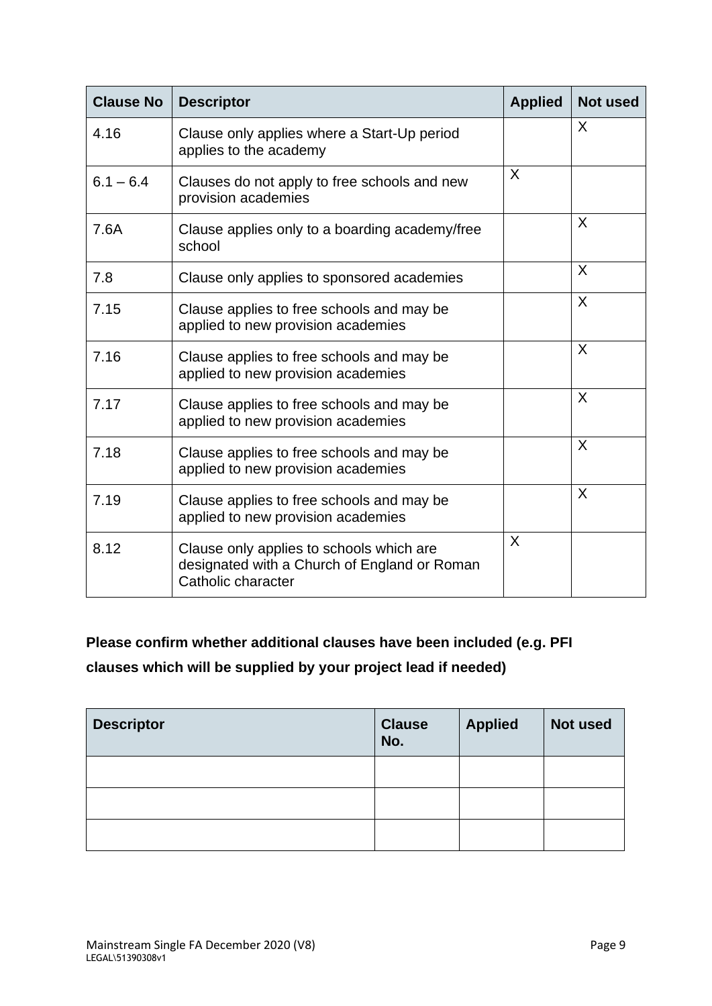| <b>Clause No</b> | <b>Descriptor</b>                                                                                              | <b>Applied</b> | <b>Not used</b> |
|------------------|----------------------------------------------------------------------------------------------------------------|----------------|-----------------|
| 4.16             | Clause only applies where a Start-Up period<br>applies to the academy                                          |                | X               |
| $6.1 - 6.4$      | Clauses do not apply to free schools and new<br>provision academies                                            | X              |                 |
| 7.6A             | Clause applies only to a boarding academy/free<br>school                                                       |                | X               |
| 7.8              | Clause only applies to sponsored academies                                                                     |                | X               |
| 7.15             | Clause applies to free schools and may be<br>applied to new provision academies                                |                | X               |
| 7.16             | Clause applies to free schools and may be<br>applied to new provision academies                                |                | X               |
| 7.17             | Clause applies to free schools and may be<br>applied to new provision academies                                |                | X               |
| 7.18             | Clause applies to free schools and may be<br>applied to new provision academies                                |                | X               |
| 7.19             | Clause applies to free schools and may be<br>applied to new provision academies                                |                | X               |
| 8.12             | Clause only applies to schools which are<br>designated with a Church of England or Roman<br>Catholic character | X              |                 |

# **Please confirm whether additional clauses have been included (e.g. PFI clauses which will be supplied by your project lead if needed)**

| <b>Descriptor</b> | <b>Clause</b><br>No. | <b>Applied</b> | Not used |
|-------------------|----------------------|----------------|----------|
|                   |                      |                |          |
|                   |                      |                |          |
|                   |                      |                |          |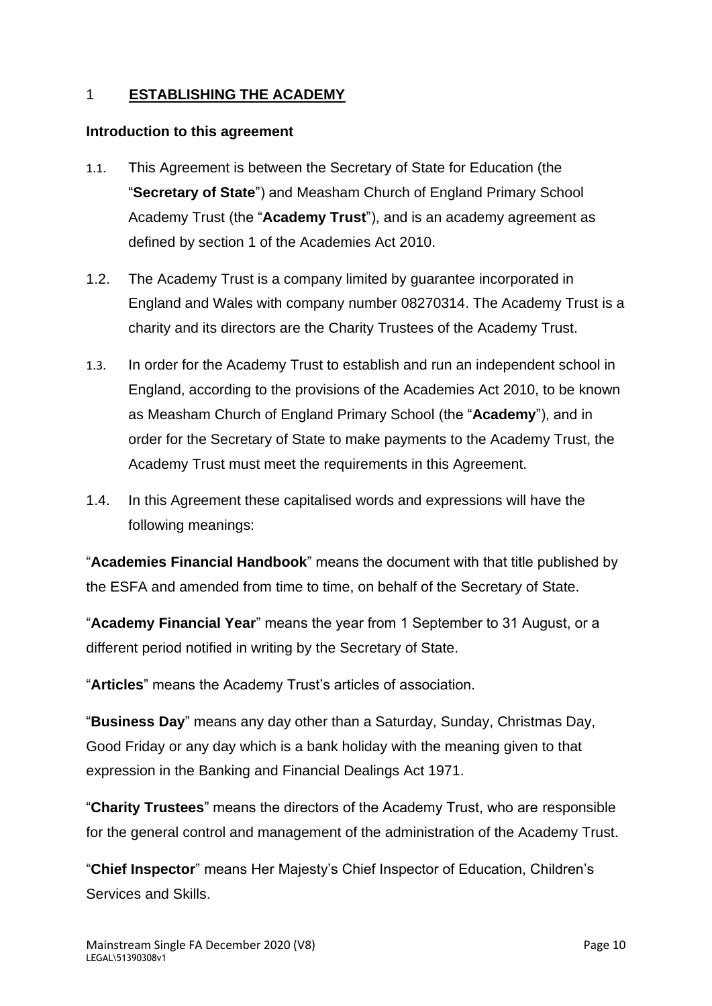### <span id="page-60-0"></span>1 **ESTABLISHING THE ACADEMY**

### <span id="page-60-1"></span>**Introduction to this agreement**

- 1.1. This Agreement is between the Secretary of State for Education (the "**Secretary of State**") and Measham Church of England Primary School Academy Trust (the "**Academy Trust**"), and is an academy agreement as defined by section 1 of the Academies Act 2010.
- 1.2. The Academy Trust is a company limited by guarantee incorporated in England and Wales with company number 08270314. The Academy Trust is a charity and its directors are the Charity Trustees of the Academy Trust.
- 1.3. In order for the Academy Trust to establish and run an independent school in England, according to the provisions of the Academies Act 2010, to be known as Measham Church of England Primary School (the "**Academy**"), and in order for the Secretary of State to make payments to the Academy Trust, the Academy Trust must meet the requirements in this Agreement.
- 1.4. In this Agreement these capitalised words and expressions will have the following meanings:

"**Academies Financial Handbook**" means the document with that title published by the ESFA and amended from time to time, on behalf of the Secretary of State.

"**Academy Financial Year**" means the year from 1 September to 31 August, or a different period notified in writing by the Secretary of State.

"**Articles**" means the Academy Trust's articles of association.

"**Business Day**" means any day other than a Saturday, Sunday, Christmas Day, Good Friday or any day which is a bank holiday with the meaning given to that expression in the Banking and Financial Dealings Act 1971.

"**Charity Trustees**" means the directors of the Academy Trust, who are responsible for the general control and management of the administration of the Academy Trust.

"**Chief Inspector**" means Her Majesty's Chief Inspector of Education, Children's Services and Skills.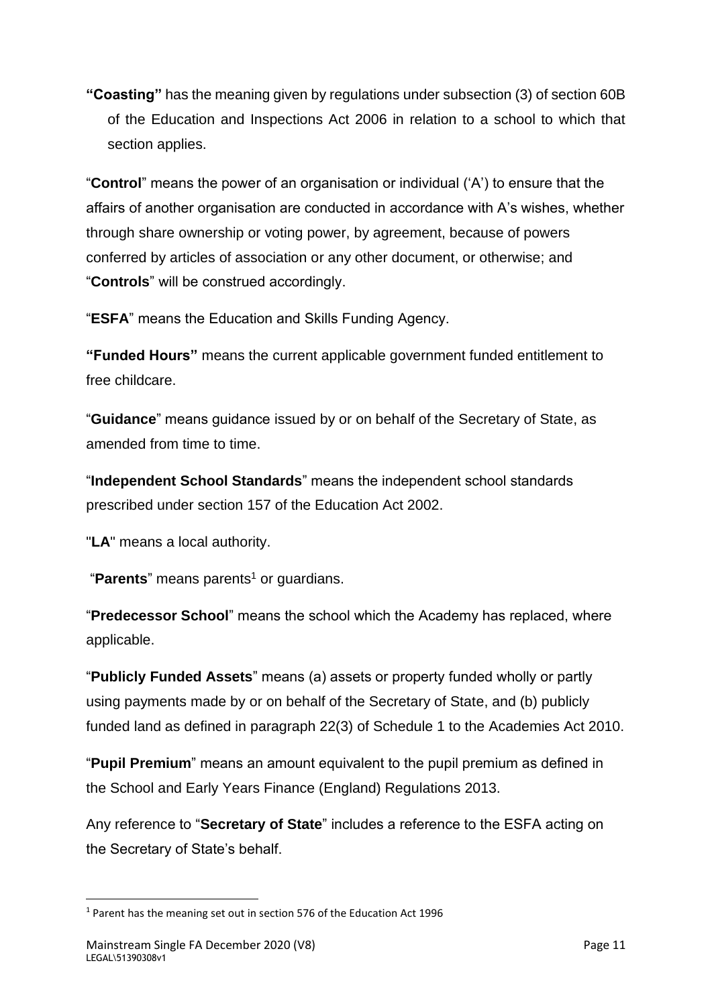**"Coasting"** has the meaning given by regulations under subsection (3) of section 60B of the Education and Inspections Act 2006 in relation to a school to which that section applies.

"**Control**" means the power of an organisation or individual ('A') to ensure that the affairs of another organisation are conducted in accordance with A's wishes, whether through share ownership or voting power, by agreement, because of powers conferred by articles of association or any other document, or otherwise; and "**Controls**" will be construed accordingly.

"**ESFA**" means the Education and Skills Funding Agency.

**"Funded Hours"** means the current applicable government funded entitlement to free childcare.

"**Guidance**" means guidance issued by or on behalf of the Secretary of State, as amended from time to time.

"**Independent School Standards**" means the independent school standards prescribed under section 157 of the Education Act 2002.

"**LA**" means a local authority.

"**Parents**" means parents<sup>1</sup> or guardians.

"**Predecessor School**" means the school which the Academy has replaced, where applicable.

"**Publicly Funded Assets**" means (a) assets or property funded wholly or partly using payments made by or on behalf of the Secretary of State, and (b) publicly funded land as defined in paragraph 22(3) of Schedule 1 to the Academies Act 2010.

"**Pupil Premium**" means an amount equivalent to the pupil premium as defined in the School and Early Years Finance (England) Regulations 2013.

Any reference to "**Secretary of State**" includes a reference to the ESFA acting on the Secretary of State's behalf.

<sup>1</sup> Parent has the meaning set out in section 576 of the Education Act 1996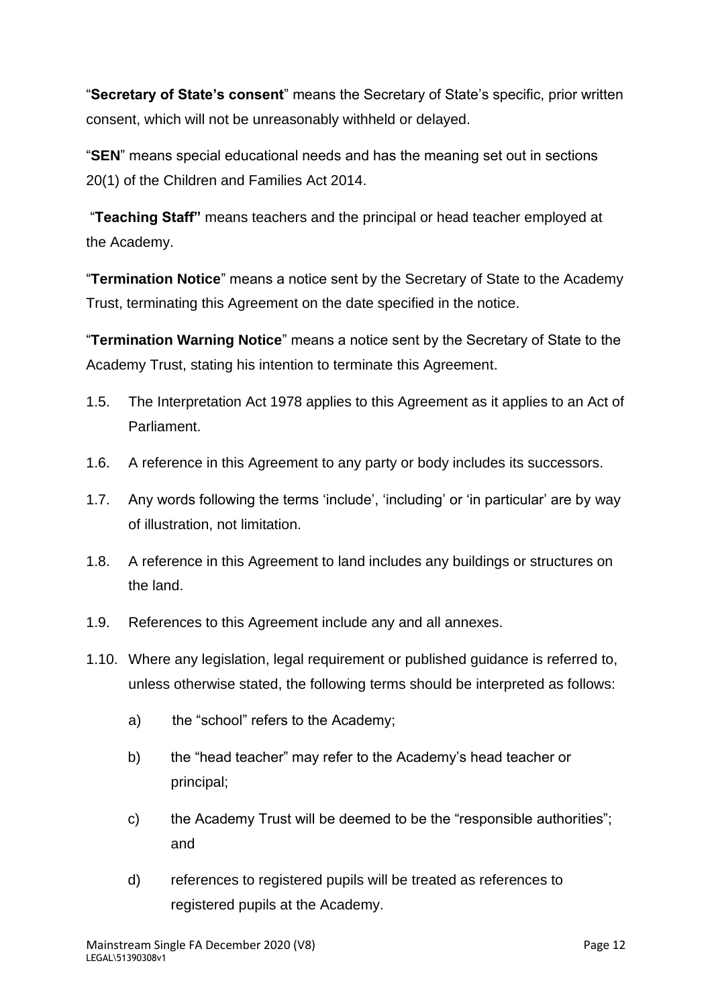"**Secretary of State's consent**" means the Secretary of State's specific, prior written consent, which will not be unreasonably withheld or delayed.

"**SEN**" means special educational needs and has the meaning set out in sections 20(1) of the Children and Families Act 2014.

"**Teaching Staff"** means teachers and the principal or head teacher employed at the Academy.

"**Termination Notice**" means a notice sent by the Secretary of State to the Academy Trust, terminating this Agreement on the date specified in the notice.

"**Termination Warning Notice**" means a notice sent by the Secretary of State to the Academy Trust, stating his intention to terminate this Agreement.

- 1.5. The Interpretation Act 1978 applies to this Agreement as it applies to an Act of Parliament.
- 1.6. A reference in this Agreement to any party or body includes its successors.
- 1.7. Any words following the terms 'include', 'including' or 'in particular' are by way of illustration, not limitation.
- 1.8. A reference in this Agreement to land includes any buildings or structures on the land.
- 1.9. References to this Agreement include any and all annexes.
- 1.10. Where any legislation, legal requirement or published guidance is referred to, unless otherwise stated, the following terms should be interpreted as follows:
	- a) the "school" refers to the Academy;
	- b) the "head teacher" may refer to the Academy's head teacher or principal;
	- c) the Academy Trust will be deemed to be the "responsible authorities"; and
	- d) references to registered pupils will be treated as references to registered pupils at the Academy.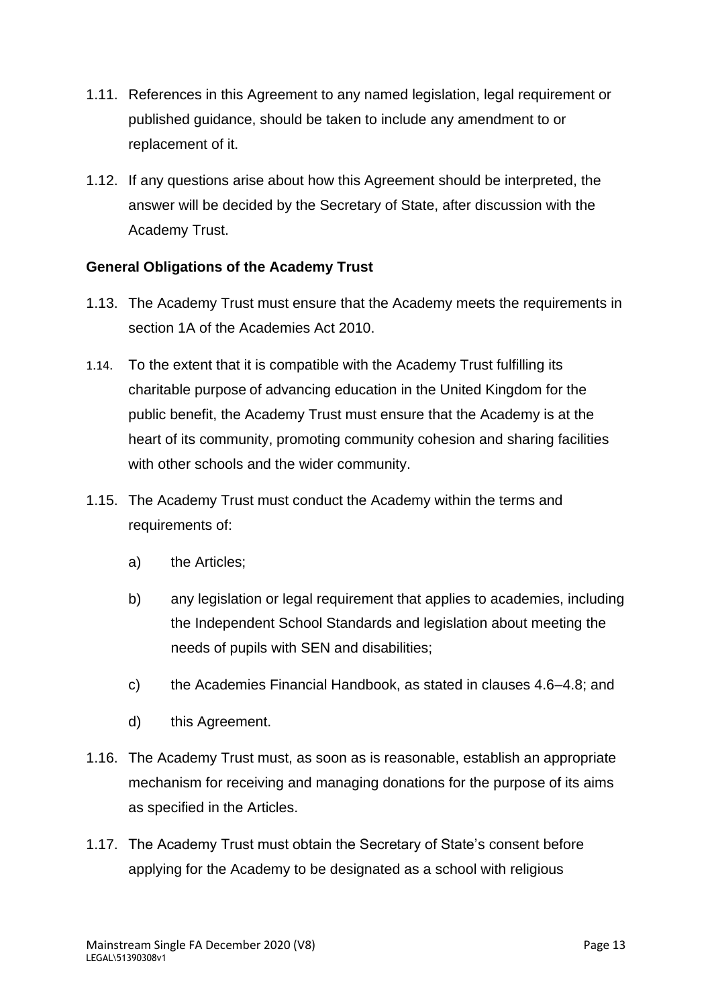- 1.11. References in this Agreement to any named legislation, legal requirement or published guidance, should be taken to include any amendment to or replacement of it.
- 1.12. If any questions arise about how this Agreement should be interpreted, the answer will be decided by the Secretary of State, after discussion with the Academy Trust.

### <span id="page-63-0"></span>**General Obligations of the Academy Trust**

- 1.13. The Academy Trust must ensure that the Academy meets the requirements in section 1A of the Academies Act 2010.
- 1.14. To the extent that it is compatible with the Academy Trust fulfilling its charitable purpose of advancing education in the United Kingdom for the public benefit, the Academy Trust must ensure that the Academy is at the heart of its community, promoting community cohesion and sharing facilities with other schools and the wider community.
- 1.15. The Academy Trust must conduct the Academy within the terms and requirements of:
	- a) the Articles;
	- b) any legislation or legal requirement that applies to academies, including the Independent School Standards and legislation about meeting the needs of pupils with SEN and disabilities;
	- c) the Academies Financial Handbook, as stated in clauses 4.6–4.8; and
	- d) this Agreement.
- 1.16. The Academy Trust must, as soon as is reasonable, establish an appropriate mechanism for receiving and managing donations for the purpose of its aims as specified in the Articles.
- 1.17. The Academy Trust must obtain the Secretary of State's consent before applying for the Academy to be designated as a school with religious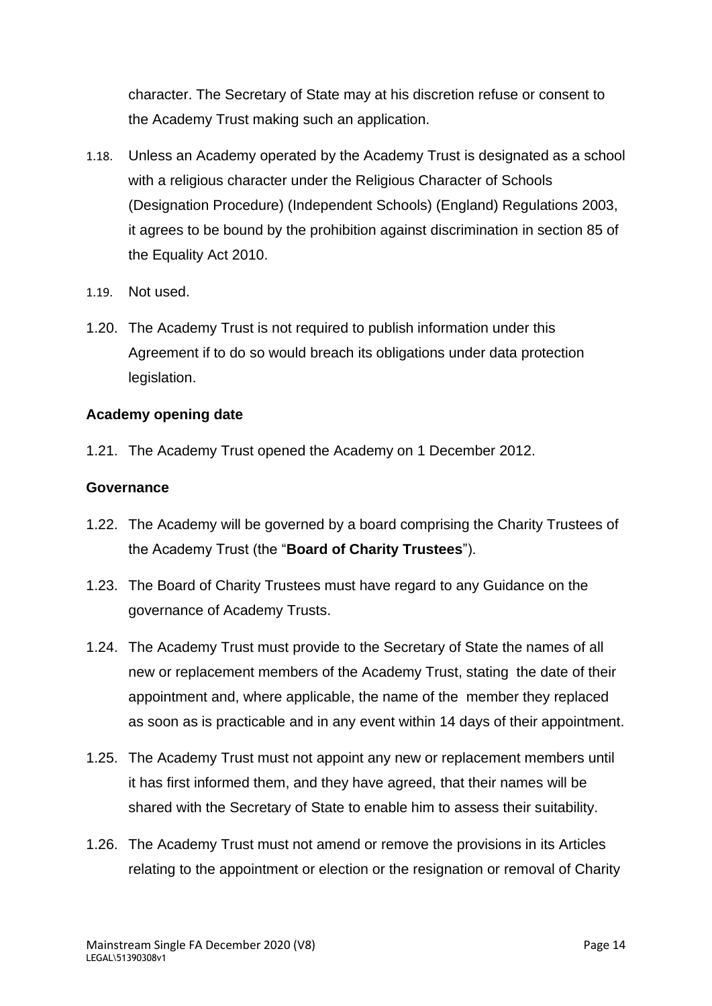character. The Secretary of State may at his discretion refuse or consent to the Academy Trust making such an application.

- 1.18. Unless an Academy operated by the Academy Trust is designated as a school with a religious character under the Religious Character of Schools (Designation Procedure) (Independent Schools) (England) Regulations 2003, it agrees to be bound by the prohibition against discrimination in section 85 of the Equality Act 2010.
- 1.19. Not used.
- 1.20. The Academy Trust is not required to publish information under this Agreement if to do so would breach its obligations under data protection legislation.

### <span id="page-64-0"></span>**Academy opening date**

1.21. The Academy Trust opened the Academy on 1 December 2012.

### <span id="page-64-1"></span>**Governance**

- 1.22. The Academy will be governed by a board comprising the Charity Trustees of the Academy Trust (the "**Board of Charity Trustees**").
- 1.23. The Board of Charity Trustees must have regard to any Guidance on the governance of Academy Trusts.
- 1.24. The Academy Trust must provide to the Secretary of State the names of all new or replacement members of the Academy Trust, stating the date of their appointment and, where applicable, the name of the member they replaced as soon as is practicable and in any event within 14 days of their appointment.
- 1.25. The Academy Trust must not appoint any new or replacement members until it has first informed them, and they have agreed, that their names will be shared with the Secretary of State to enable him to assess their suitability.
- 1.26. The Academy Trust must not amend or remove the provisions in its Articles relating to the appointment or election or the resignation or removal of Charity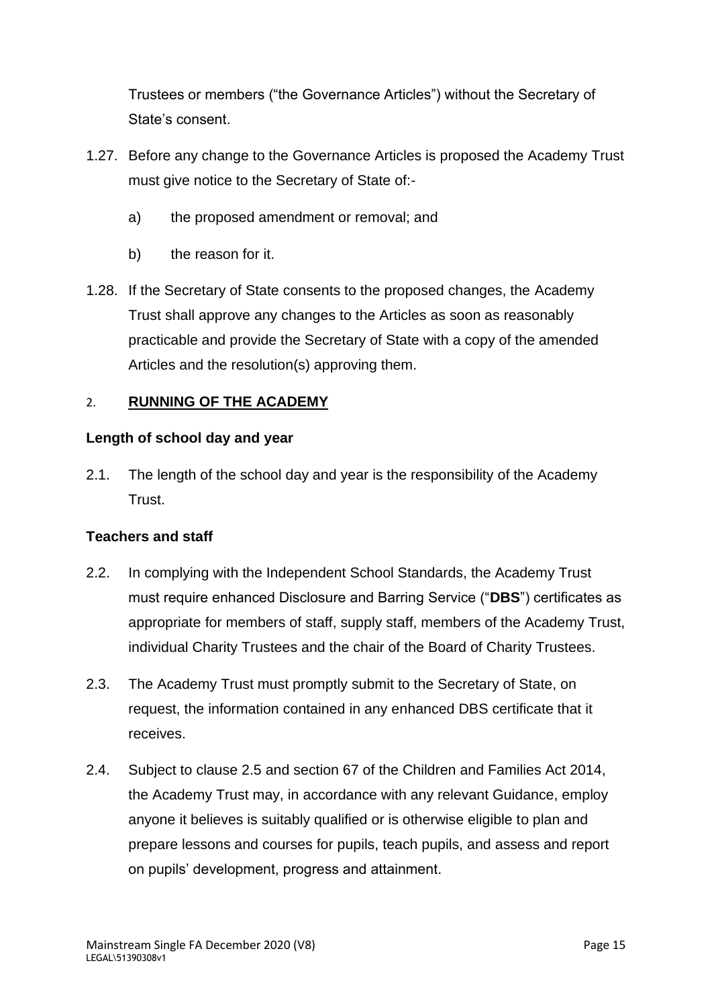Trustees or members ("the Governance Articles") without the Secretary of State's consent.

- 1.27. Before any change to the Governance Articles is proposed the Academy Trust must give notice to the Secretary of State of:
	- a) the proposed amendment or removal; and
	- b) the reason for it.
- 1.28. If the Secretary of State consents to the proposed changes, the Academy Trust shall approve any changes to the Articles as soon as reasonably practicable and provide the Secretary of State with a copy of the amended Articles and the resolution(s) approving them.

### <span id="page-65-0"></span>2. **RUNNING OF THE ACADEMY**

### <span id="page-65-1"></span>**Length of school day and year**

2.1. The length of the school day and year is the responsibility of the Academy **Trust** 

### <span id="page-65-2"></span>**Teachers and staff**

- 2.2. In complying with the Independent School Standards, the Academy Trust must require enhanced Disclosure and Barring Service ("**DBS**") certificates as appropriate for members of staff, supply staff, members of the Academy Trust, individual Charity Trustees and the chair of the Board of Charity Trustees.
- 2.3. The Academy Trust must promptly submit to the Secretary of State, on request, the information contained in any enhanced DBS certificate that it receives.
- 2.4. Subject to clause 2.5 and section 67 of the Children and Families Act 2014, the Academy Trust may, in accordance with any relevant Guidance, employ anyone it believes is suitably qualified or is otherwise eligible to plan and prepare lessons and courses for pupils, teach pupils, and assess and report on pupils' development, progress and attainment.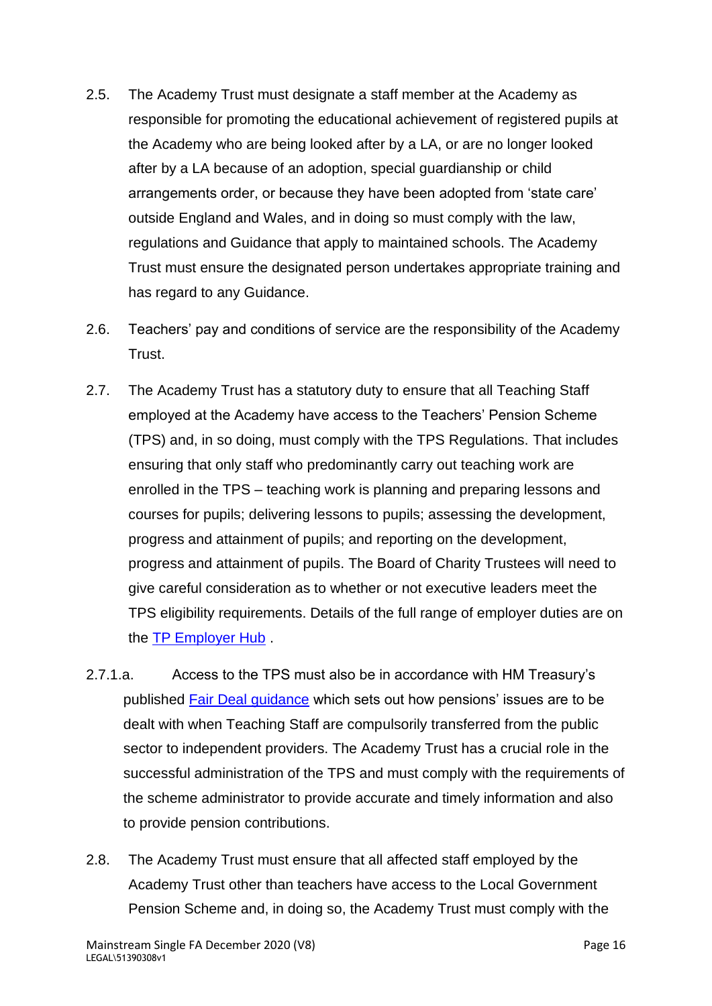- 2.5. The Academy Trust must designate a staff member at the Academy as responsible for promoting the educational achievement of registered pupils at the Academy who are being looked after by a LA, or are no longer looked after by a LA because of an adoption, special guardianship or child arrangements order, or because they have been adopted from 'state care' outside England and Wales, and in doing so must comply with the law, regulations and Guidance that apply to maintained schools. The Academy Trust must ensure the designated person undertakes appropriate training and has regard to any Guidance.
- 2.6. Teachers' pay and conditions of service are the responsibility of the Academy Trust.
- 2.7. The Academy Trust has a statutory duty to ensure that all Teaching Staff employed at the Academy have access to the Teachers' Pension Scheme (TPS) and, in so doing, must comply with the TPS Regulations. That includes ensuring that only staff who predominantly carry out teaching work are enrolled in the TPS – teaching work is planning and preparing lessons and courses for pupils; delivering lessons to pupils; assessing the development, progress and attainment of pupils; and reporting on the development, progress and attainment of pupils. The Board of Charity Trustees will need to give careful consideration as to whether or not executive leaders meet the TPS eligibility requirements. Details of the full range of employer duties are on the [TP Employer Hub](https://www.teacherspensions.co.uk/employers/employer-hub.aspx) .
- 2.7.1.a. Access to the TPS must also be in accordance with HM Treasury's published [Fair Deal guidance](https://www.gov.uk/government/publications/fair-deal-guidance) which sets out how pensions' issues are to be dealt with when Teaching Staff are compulsorily transferred from the public sector to independent providers. The Academy Trust has a crucial role in the successful administration of the TPS and must comply with the requirements of the scheme administrator to provide accurate and timely information and also to provide pension contributions.
- 2.8. The Academy Trust must ensure that all affected staff employed by the Academy Trust other than teachers have access to the Local Government Pension Scheme and, in doing so, the Academy Trust must comply with the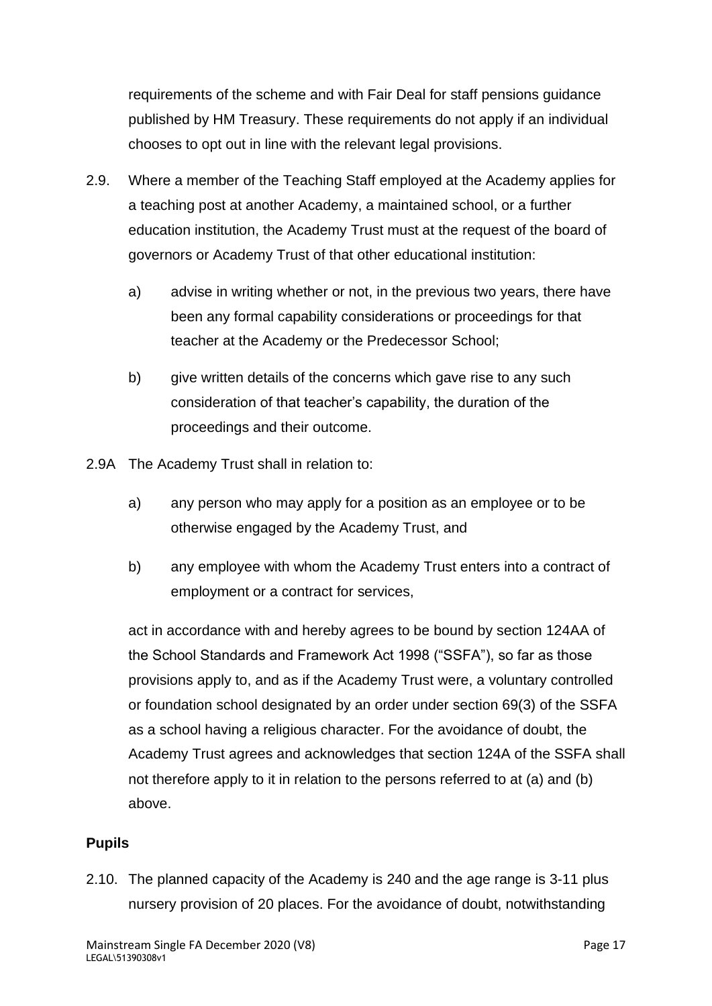requirements of the scheme and with Fair Deal for staff pensions guidance published by HM Treasury. These requirements do not apply if an individual chooses to opt out in line with the relevant legal provisions.

- 2.9. Where a member of the Teaching Staff employed at the Academy applies for a teaching post at another Academy, a maintained school, or a further education institution, the Academy Trust must at the request of the board of governors or Academy Trust of that other educational institution:
	- a) advise in writing whether or not, in the previous two years, there have been any formal capability considerations or proceedings for that teacher at the Academy or the Predecessor School;
	- b) give written details of the concerns which gave rise to any such consideration of that teacher's capability, the duration of the proceedings and their outcome.
- 2.9A The Academy Trust shall in relation to:
	- a) any person who may apply for a position as an employee or to be otherwise engaged by the Academy Trust, and
	- b) any employee with whom the Academy Trust enters into a contract of employment or a contract for services,

act in accordance with and hereby agrees to be bound by section 124AA of the School Standards and Framework Act 1998 ("SSFA"), so far as those provisions apply to, and as if the Academy Trust were, a voluntary controlled or foundation school designated by an order under section 69(3) of the SSFA as a school having a religious character. For the avoidance of doubt, the Academy Trust agrees and acknowledges that section 124A of the SSFA shall not therefore apply to it in relation to the persons referred to at (a) and (b) above.

### <span id="page-67-0"></span>**Pupils**

2.10. The planned capacity of the Academy is 240 and the age range is 3-11 plus nursery provision of 20 places. For the avoidance of doubt, notwithstanding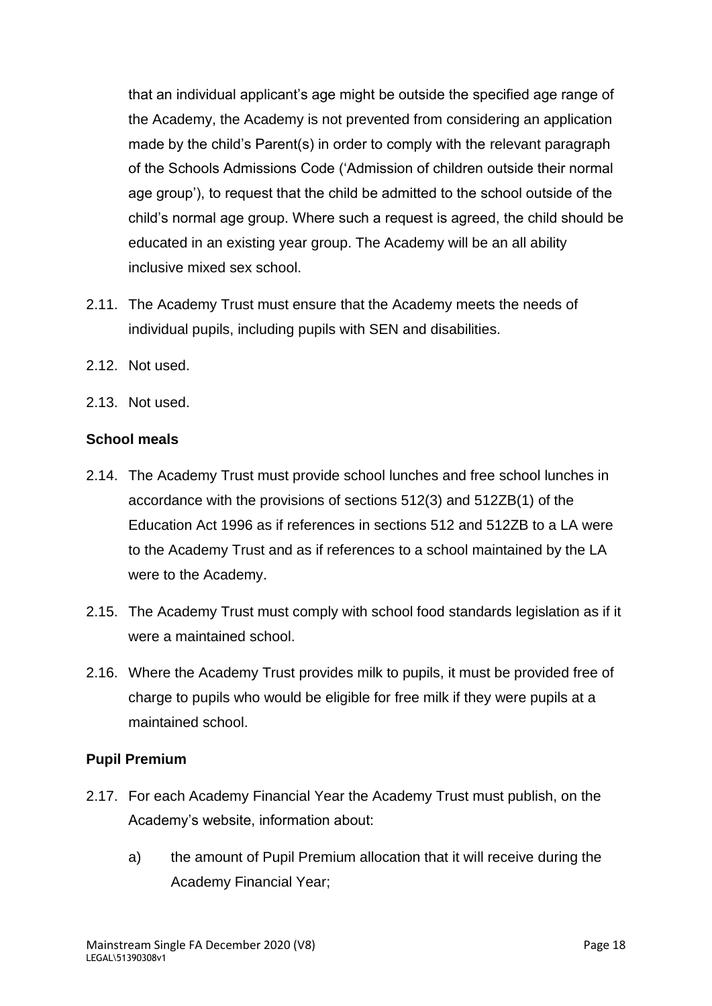that an individual applicant's age might be outside the specified age range of the Academy, the Academy is not prevented from considering an application made by the child's Parent(s) in order to comply with the relevant paragraph of the Schools Admissions Code ('Admission of children outside their normal age group'), to request that the child be admitted to the school outside of the child's normal age group. Where such a request is agreed, the child should be educated in an existing year group. The Academy will be an all ability inclusive mixed sex school.

- 2.11. The Academy Trust must ensure that the Academy meets the needs of individual pupils, including pupils with SEN and disabilities.
- 2.12. Not used.
- 2.13. Not used.

### <span id="page-68-0"></span>**School meals**

- 2.14. The Academy Trust must provide school lunches and free school lunches in accordance with the provisions of sections 512(3) and 512ZB(1) of the Education Act 1996 as if references in sections 512 and 512ZB to a LA were to the Academy Trust and as if references to a school maintained by the LA were to the Academy.
- 2.15. The Academy Trust must comply with school food standards legislation as if it were a maintained school.
- 2.16. Where the Academy Trust provides milk to pupils, it must be provided free of charge to pupils who would be eligible for free milk if they were pupils at a maintained school.

### <span id="page-68-1"></span>**Pupil Premium**

- 2.17. For each Academy Financial Year the Academy Trust must publish, on the Academy's website, information about:
	- a) the amount of Pupil Premium allocation that it will receive during the Academy Financial Year;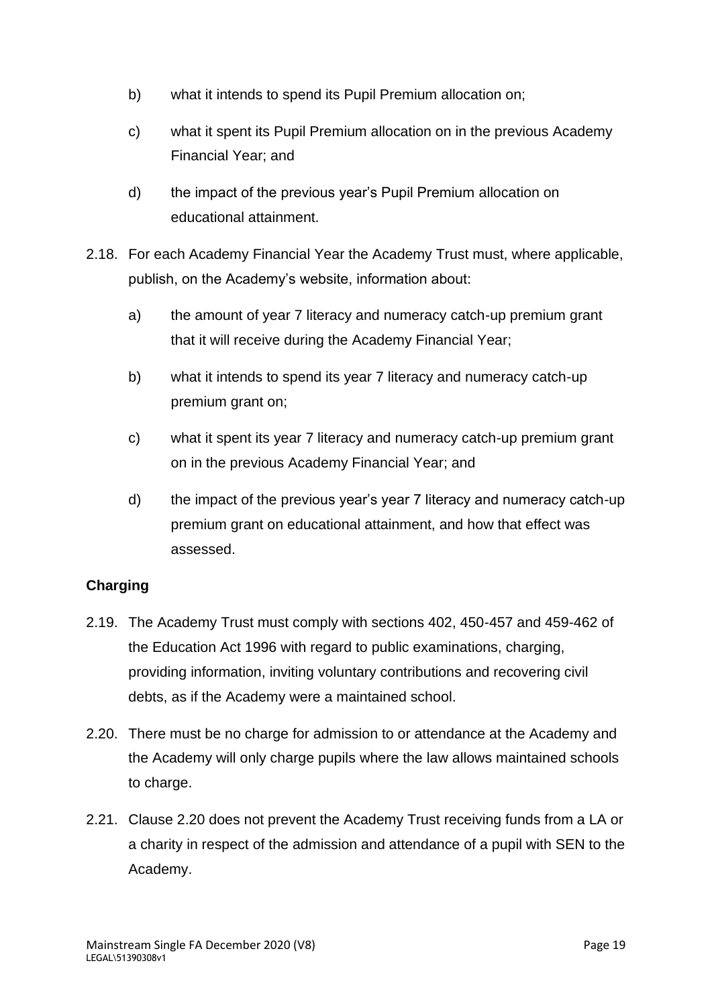- b) what it intends to spend its Pupil Premium allocation on;
- c) what it spent its Pupil Premium allocation on in the previous Academy Financial Year; and
- d) the impact of the previous year's Pupil Premium allocation on educational attainment.
- 2.18. For each Academy Financial Year the Academy Trust must, where applicable, publish, on the Academy's website, information about:
	- a) the amount of year 7 literacy and numeracy catch-up premium grant that it will receive during the Academy Financial Year;
	- b) what it intends to spend its year 7 literacy and numeracy catch-up premium grant on;
	- c) what it spent its year 7 literacy and numeracy catch-up premium grant on in the previous Academy Financial Year; and
	- d) the impact of the previous year's year 7 literacy and numeracy catch-up premium grant on educational attainment, and how that effect was assessed.

### <span id="page-69-0"></span>**Charging**

- 2.19. The Academy Trust must comply with sections 402, 450-457 and 459-462 of the Education Act 1996 with regard to public examinations, charging, providing information, inviting voluntary contributions and recovering civil debts, as if the Academy were a maintained school.
- 2.20. There must be no charge for admission to or attendance at the Academy and the Academy will only charge pupils where the law allows maintained schools to charge.
- 2.21. Clause 2.20 does not prevent the Academy Trust receiving funds from a LA or a charity in respect of the admission and attendance of a pupil with SEN to the Academy.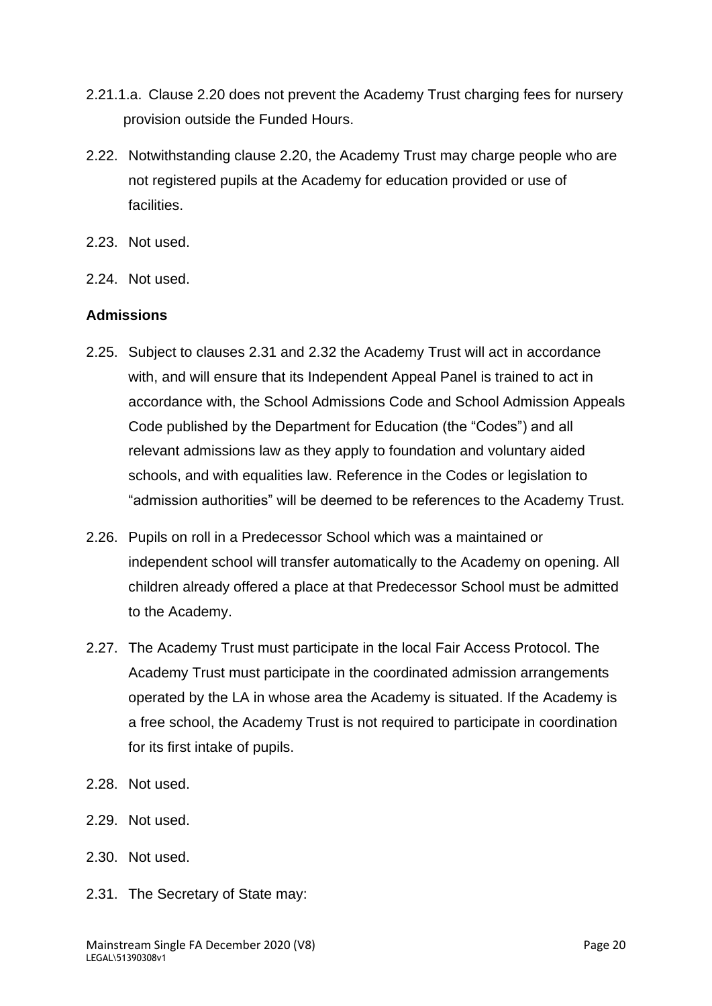- 2.21.1.a. Clause 2.20 does not prevent the Academy Trust charging fees for nursery provision outside the Funded Hours.
- 2.22. Notwithstanding clause 2.20, the Academy Trust may charge people who are not registered pupils at the Academy for education provided or use of facilities.
- 2.23. Not used.
- 2.24. Not used.

### <span id="page-70-0"></span>**Admissions**

- 2.25. Subject to clauses 2.31 and 2.32 the Academy Trust will act in accordance with, and will ensure that its Independent Appeal Panel is trained to act in accordance with, the School Admissions Code and School Admission Appeals Code published by the Department for Education (the "Codes") and all relevant admissions law as they apply to foundation and voluntary aided schools, and with equalities law. Reference in the Codes or legislation to "admission authorities" will be deemed to be references to the Academy Trust.
- 2.26. Pupils on roll in a Predecessor School which was a maintained or independent school will transfer automatically to the Academy on opening. All children already offered a place at that Predecessor School must be admitted to the Academy.
- 2.27. The Academy Trust must participate in the local Fair Access Protocol. The Academy Trust must participate in the coordinated admission arrangements operated by the LA in whose area the Academy is situated. If the Academy is a free school, the Academy Trust is not required to participate in coordination for its first intake of pupils.
- 2.28. Not used.
- 2.29. Not used.
- 2.30. Not used.
- 2.31. The Secretary of State may: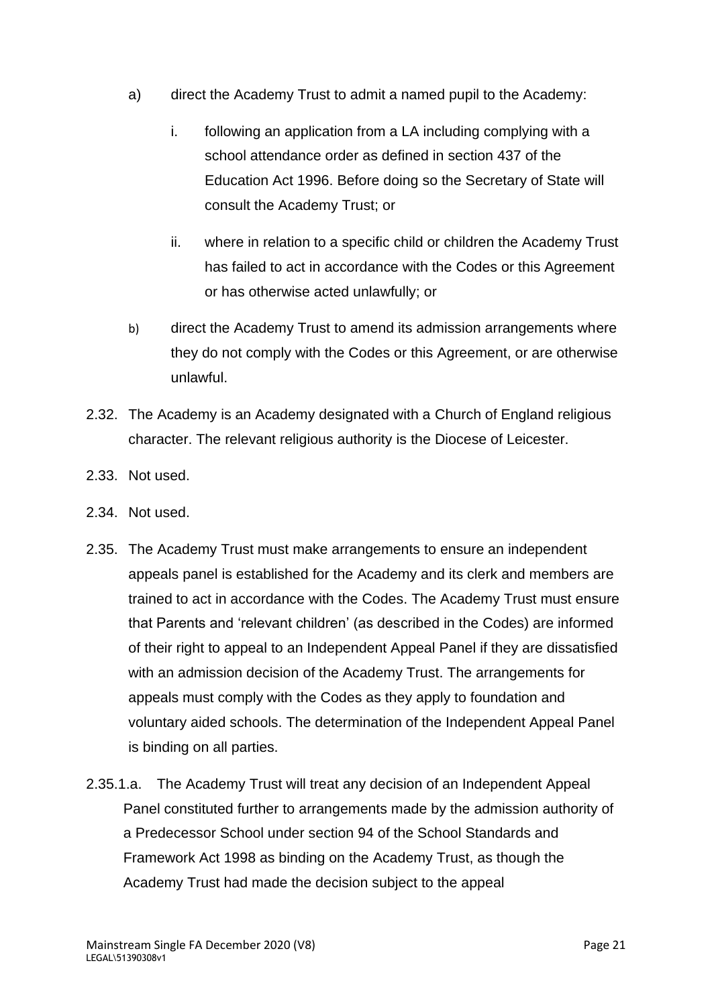- a) direct the Academy Trust to admit a named pupil to the Academy:
	- i. following an application from a LA including complying with a school attendance order as defined in section 437 of the Education Act 1996. Before doing so the Secretary of State will consult the Academy Trust; or
	- ii. where in relation to a specific child or children the Academy Trust has failed to act in accordance with the Codes or this Agreement or has otherwise acted unlawfully; or
- b) direct the Academy Trust to amend its admission arrangements where they do not comply with the Codes or this Agreement, or are otherwise unlawful.
- 2.32. The Academy is an Academy designated with a Church of England religious character. The relevant religious authority is the Diocese of Leicester.
- 2.33. Not used.
- 2.34. Not used.
- 2.35. The Academy Trust must make arrangements to ensure an independent appeals panel is established for the Academy and its clerk and members are trained to act in accordance with the Codes. The Academy Trust must ensure that Parents and 'relevant children' (as described in the Codes) are informed of their right to appeal to an Independent Appeal Panel if they are dissatisfied with an admission decision of the Academy Trust. The arrangements for appeals must comply with the Codes as they apply to foundation and voluntary aided schools. The determination of the Independent Appeal Panel is binding on all parties.
- 2.35.1.a. The Academy Trust will treat any decision of an Independent Appeal Panel constituted further to arrangements made by the admission authority of a Predecessor School under section 94 of the School Standards and Framework Act 1998 as binding on the Academy Trust, as though the Academy Trust had made the decision subject to the appeal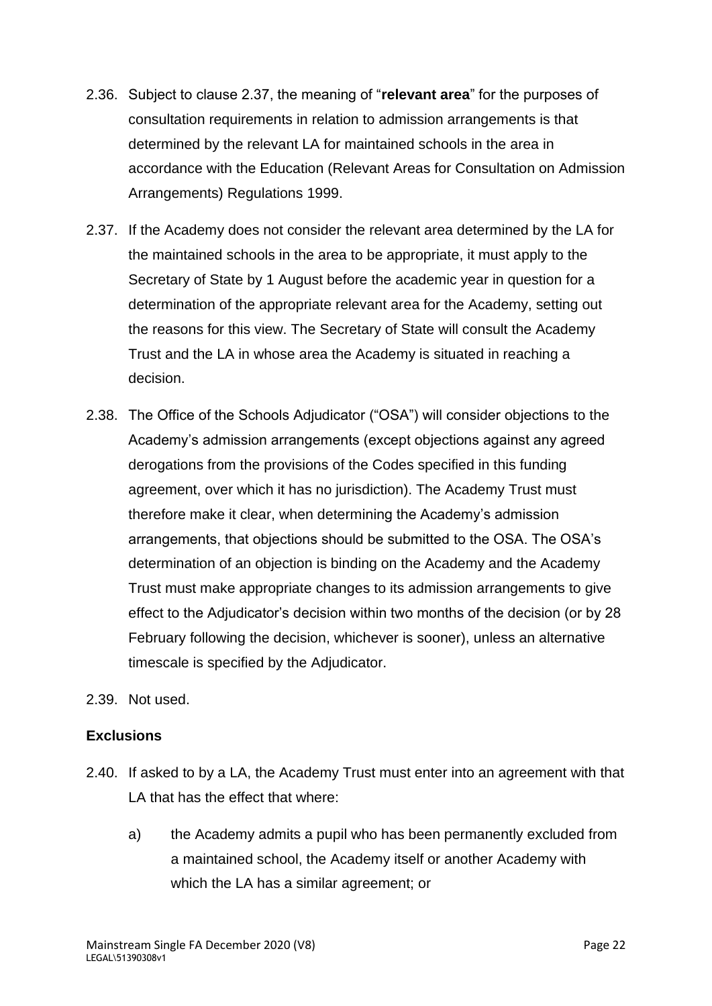- 2.36. Subject to clause 2.37, the meaning of "**relevant area**" for the purposes of consultation requirements in relation to admission arrangements is that determined by the relevant LA for maintained schools in the area in accordance with the Education (Relevant Areas for Consultation on Admission Arrangements) Regulations 1999.
- 2.37. If the Academy does not consider the relevant area determined by the LA for the maintained schools in the area to be appropriate, it must apply to the Secretary of State by 1 August before the academic year in question for a determination of the appropriate relevant area for the Academy, setting out the reasons for this view. The Secretary of State will consult the Academy Trust and the LA in whose area the Academy is situated in reaching a decision.
- 2.38. The Office of the Schools Adjudicator ("OSA") will consider objections to the Academy's admission arrangements (except objections against any agreed derogations from the provisions of the Codes specified in this funding agreement, over which it has no jurisdiction). The Academy Trust must therefore make it clear, when determining the Academy's admission arrangements, that objections should be submitted to the OSA. The OSA's determination of an objection is binding on the Academy and the Academy Trust must make appropriate changes to its admission arrangements to give effect to the Adjudicator's decision within two months of the decision (or by 28 February following the decision, whichever is sooner), unless an alternative timescale is specified by the Adjudicator.
- 2.39. Not used.

# **Exclusions**

- 2.40. If asked to by a LA, the Academy Trust must enter into an agreement with that LA that has the effect that where:
	- a) the Academy admits a pupil who has been permanently excluded from a maintained school, the Academy itself or another Academy with which the LA has a similar agreement; or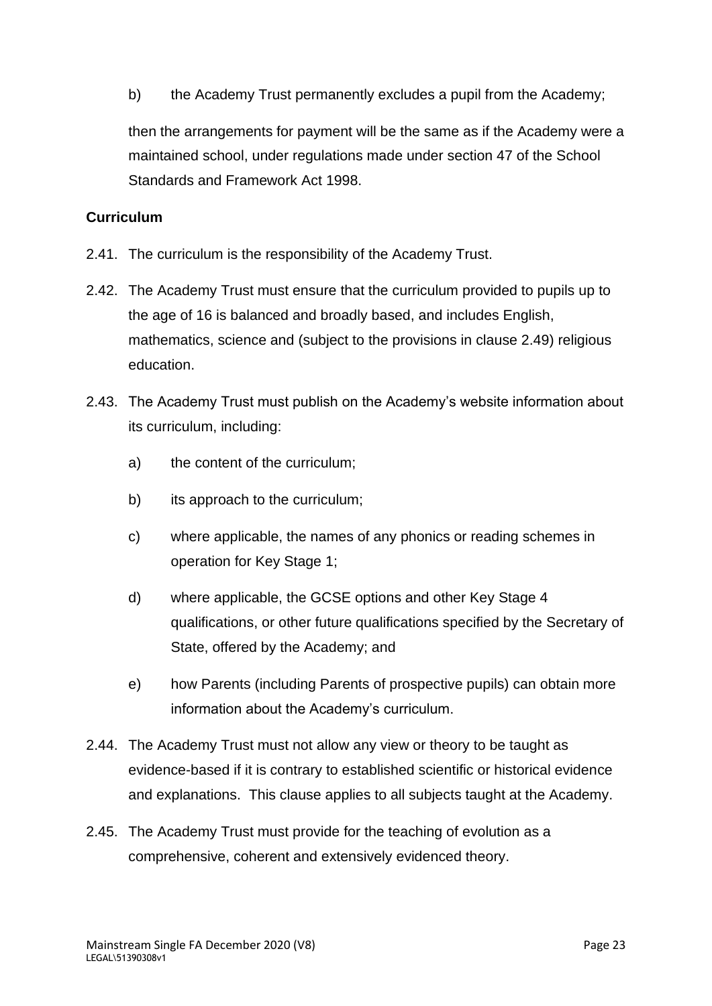b) the Academy Trust permanently excludes a pupil from the Academy;

then the arrangements for payment will be the same as if the Academy were a maintained school, under regulations made under section 47 of the School Standards and Framework Act 1998.

# **Curriculum**

- 2.41. The curriculum is the responsibility of the Academy Trust.
- 2.42. The Academy Trust must ensure that the curriculum provided to pupils up to the age of 16 is balanced and broadly based, and includes English, mathematics, science and (subject to the provisions in clause 2.49) religious education.
- 2.43. The Academy Trust must publish on the Academy's website information about its curriculum, including:
	- a) the content of the curriculum;
	- b) its approach to the curriculum;
	- c) where applicable, the names of any phonics or reading schemes in operation for Key Stage 1;
	- d) where applicable, the GCSE options and other Key Stage 4 qualifications, or other future qualifications specified by the Secretary of State, offered by the Academy; and
	- e) how Parents (including Parents of prospective pupils) can obtain more information about the Academy's curriculum.
- 2.44. The Academy Trust must not allow any view or theory to be taught as evidence-based if it is contrary to established scientific or historical evidence and explanations. This clause applies to all subjects taught at the Academy.
- 2.45. The Academy Trust must provide for the teaching of evolution as a comprehensive, coherent and extensively evidenced theory.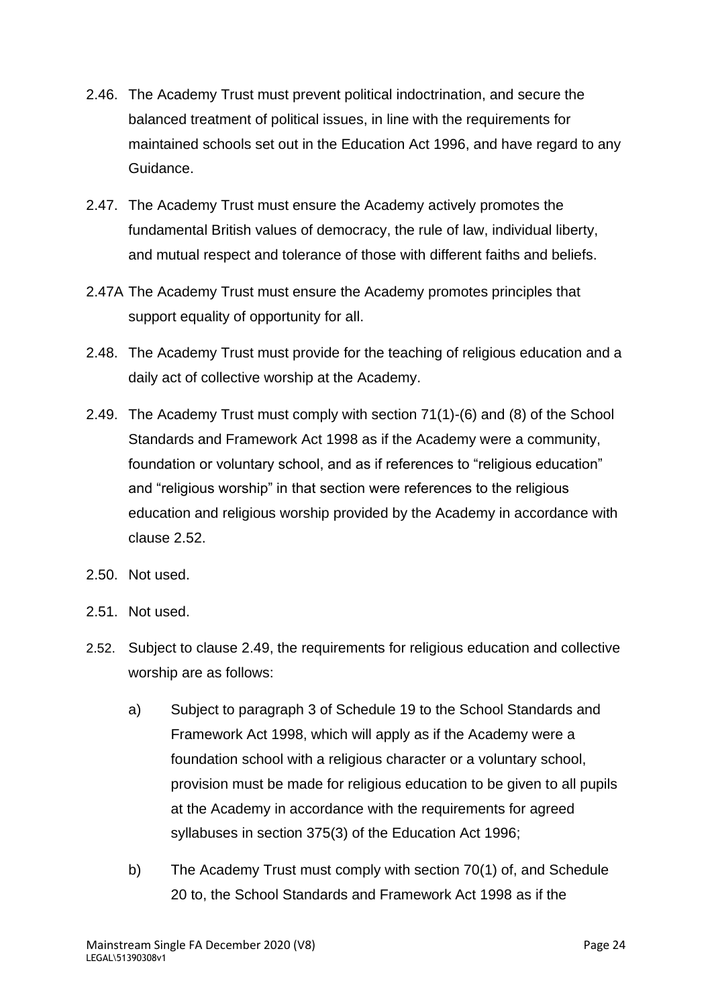- 2.46. The Academy Trust must prevent political indoctrination, and secure the balanced treatment of political issues, in line with the requirements for maintained schools set out in the Education Act 1996, and have regard to any Guidance.
- 2.47. The Academy Trust must ensure the Academy actively promotes the fundamental British values of democracy, the rule of law, individual liberty, and mutual respect and tolerance of those with different faiths and beliefs.
- 2.47A The Academy Trust must ensure the Academy promotes principles that support equality of opportunity for all.
- 2.48. The Academy Trust must provide for the teaching of religious education and a daily act of collective worship at the Academy.
- 2.49. The Academy Trust must comply with section 71(1)-(6) and (8) of the School Standards and Framework Act 1998 as if the Academy were a community, foundation or voluntary school, and as if references to "religious education" and "religious worship" in that section were references to the religious education and religious worship provided by the Academy in accordance with clause 2.52.
- 2.50. Not used.
- 2.51. Not used.
- 2.52. Subject to clause 2.49, the requirements for religious education and collective worship are as follows:
	- a) Subject to paragraph 3 of Schedule 19 to the School Standards and Framework Act 1998, which will apply as if the Academy were a foundation school with a religious character or a voluntary school, provision must be made for religious education to be given to all pupils at the Academy in accordance with the requirements for agreed syllabuses in section 375(3) of the Education Act 1996;
	- b) The Academy Trust must comply with section 70(1) of, and Schedule 20 to, the School Standards and Framework Act 1998 as if the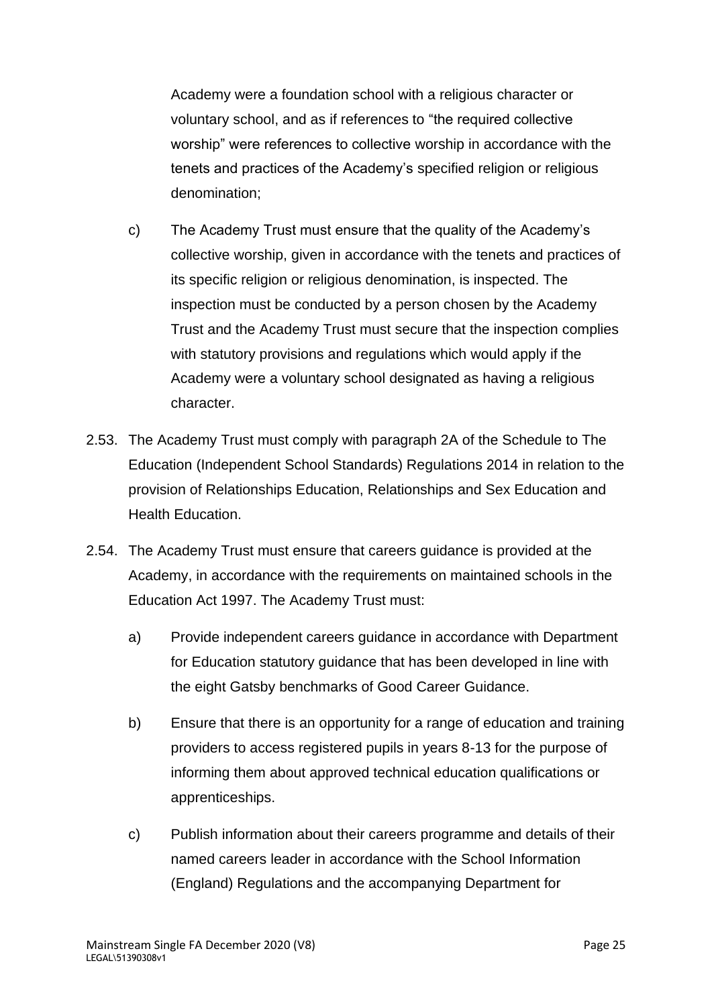Academy were a foundation school with a religious character or voluntary school, and as if references to "the required collective worship" were references to collective worship in accordance with the tenets and practices of the Academy's specified religion or religious denomination;

- c) The Academy Trust must ensure that the quality of the Academy's collective worship, given in accordance with the tenets and practices of its specific religion or religious denomination, is inspected. The inspection must be conducted by a person chosen by the Academy Trust and the Academy Trust must secure that the inspection complies with statutory provisions and regulations which would apply if the Academy were a voluntary school designated as having a religious character.
- 2.53. The Academy Trust must comply with paragraph 2A of the Schedule to The Education (Independent School Standards) Regulations 2014 in relation to the provision of Relationships Education, Relationships and Sex Education and Health Education.
- 2.54. The Academy Trust must ensure that careers guidance is provided at the Academy, in accordance with the requirements on maintained schools in the Education Act 1997. The Academy Trust must:
	- a) Provide independent careers guidance in accordance with Department for Education statutory guidance that has been developed in line with the eight Gatsby benchmarks of Good Career Guidance.
	- b) Ensure that there is an opportunity for a range of education and training providers to access registered pupils in years 8-13 for the purpose of informing them about approved technical education qualifications or apprenticeships.
	- c) Publish information about their careers programme and details of their named careers leader in accordance with the School Information (England) Regulations and the accompanying Department for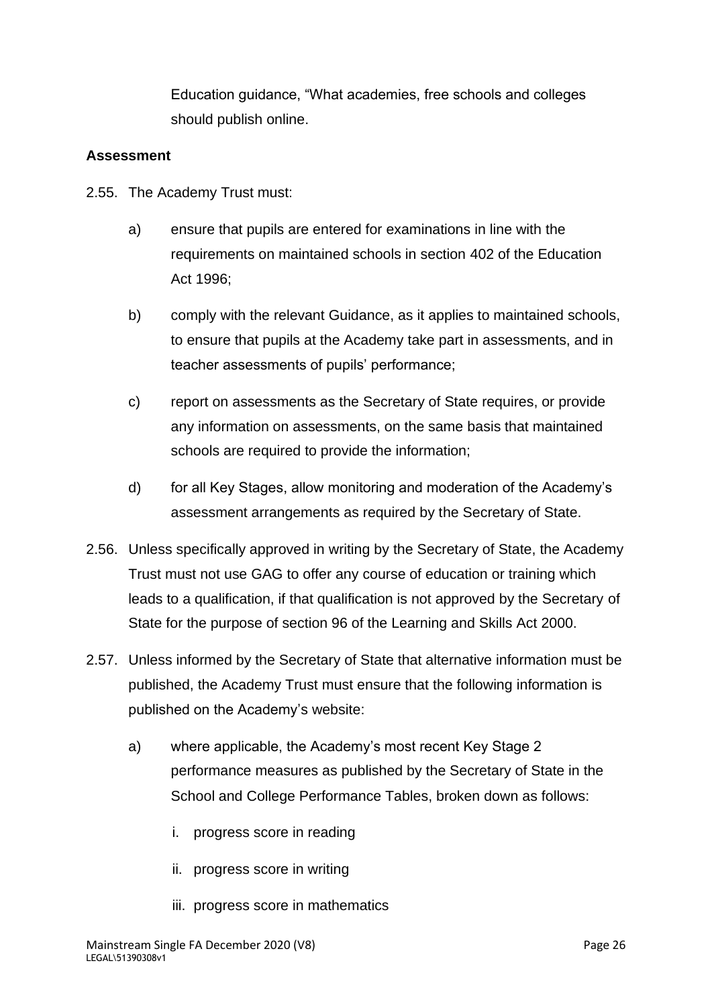Education guidance, "What academies, free schools and colleges should publish online.

### **Assessment**

- 2.55. The Academy Trust must:
	- a) ensure that pupils are entered for examinations in line with the requirements on maintained schools in section 402 of the Education Act 1996;
	- b) comply with the relevant Guidance, as it applies to maintained schools, to ensure that pupils at the Academy take part in assessments, and in teacher assessments of pupils' performance;
	- c) report on assessments as the Secretary of State requires, or provide any information on assessments, on the same basis that maintained schools are required to provide the information;
	- d) for all Key Stages, allow monitoring and moderation of the Academy's assessment arrangements as required by the Secretary of State.
- 2.56. Unless specifically approved in writing by the Secretary of State, the Academy Trust must not use GAG to offer any course of education or training which leads to a qualification, if that qualification is not approved by the Secretary of State for the purpose of section 96 of the Learning and Skills Act 2000.
- 2.57. Unless informed by the Secretary of State that alternative information must be published, the Academy Trust must ensure that the following information is published on the Academy's website:
	- a) where applicable, the Academy's most recent Key Stage 2 performance measures as published by the Secretary of State in the School and College Performance Tables, broken down as follows:
		- i. progress score in reading
		- ii. progress score in writing
		- iii. progress score in mathematics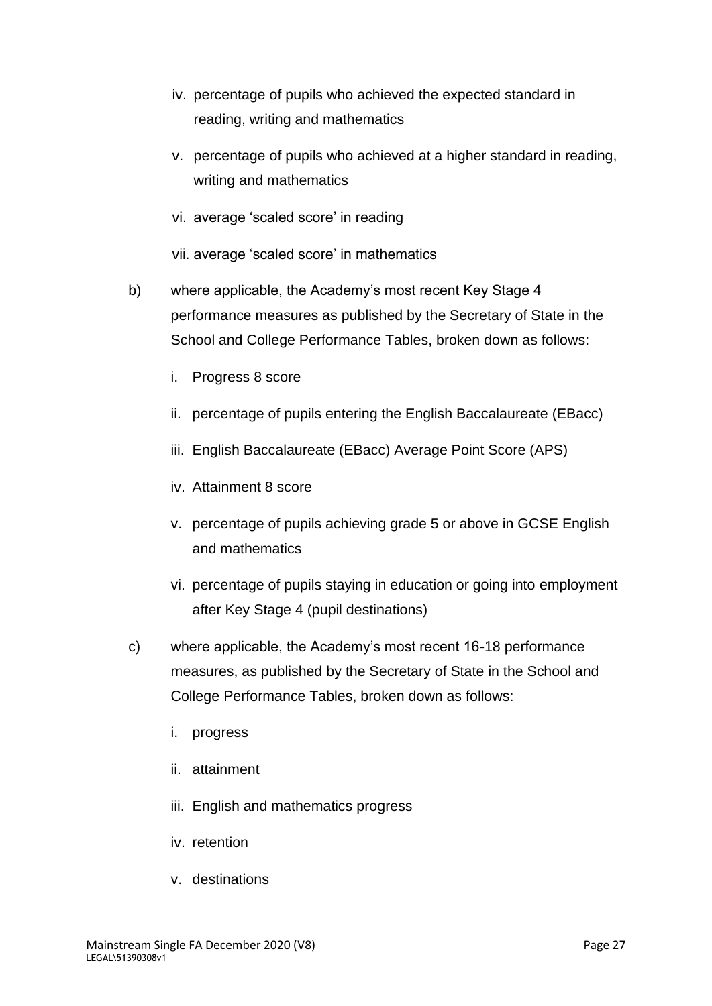- iv. percentage of pupils who achieved the expected standard in reading, writing and mathematics
- v. percentage of pupils who achieved at a higher standard in reading, writing and mathematics
- vi. average 'scaled score' in reading

vii. average 'scaled score' in mathematics

- b) where applicable, the Academy's most recent Key Stage 4 performance measures as published by the Secretary of State in the School and College Performance Tables, broken down as follows:
	- i. Progress 8 score
	- ii. percentage of pupils entering the English Baccalaureate (EBacc)
	- iii. English Baccalaureate (EBacc) Average Point Score (APS)
	- iv. Attainment 8 score
	- v. percentage of pupils achieving grade 5 or above in GCSE English and mathematics
	- vi. percentage of pupils staying in education or going into employment after Key Stage 4 (pupil destinations)
- c) where applicable, the Academy's most recent 16-18 performance measures, as published by the Secretary of State in the School and College Performance Tables, broken down as follows:
	- i. progress
	- ii. attainment
	- iii. English and mathematics progress
	- iv. retention
	- v. destinations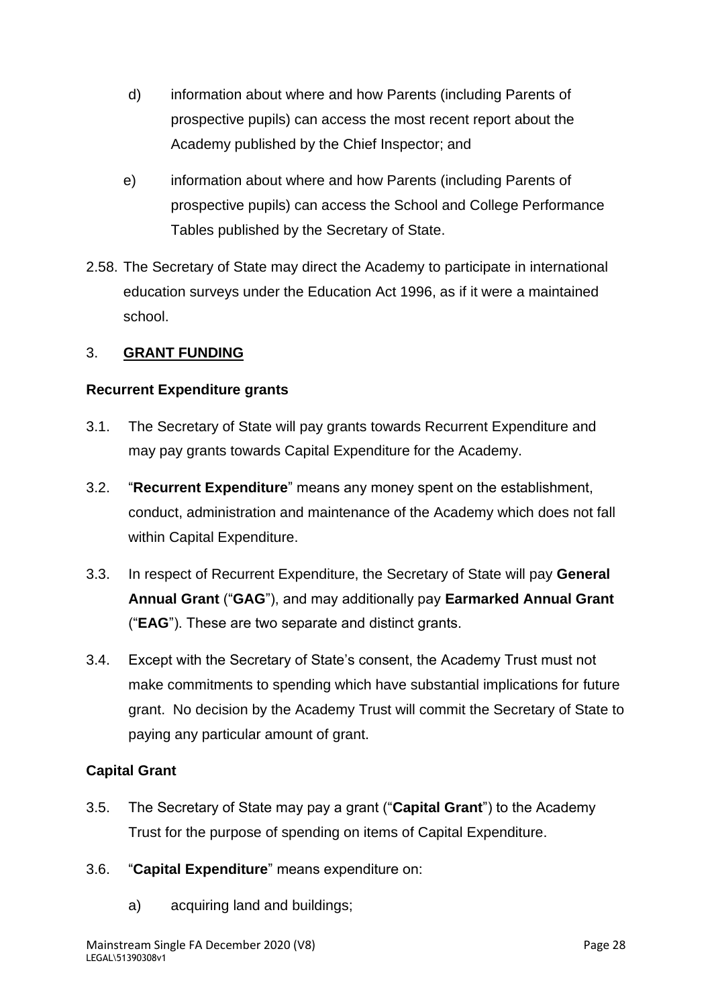- d) information about where and how Parents (including Parents of prospective pupils) can access the most recent report about the Academy published by the Chief Inspector; and
- e) information about where and how Parents (including Parents of prospective pupils) can access the School and College Performance Tables published by the Secretary of State.
- 2.58. The Secretary of State may direct the Academy to participate in international education surveys under the Education Act 1996, as if it were a maintained school.

### 3. **GRANT FUNDING**

### **Recurrent Expenditure grants**

- 3.1. The Secretary of State will pay grants towards Recurrent Expenditure and may pay grants towards Capital Expenditure for the Academy.
- 3.2. "**Recurrent Expenditure**" means any money spent on the establishment, conduct, administration and maintenance of the Academy which does not fall within Capital Expenditure.
- 3.3. In respect of Recurrent Expenditure, the Secretary of State will pay **General Annual Grant** ("**GAG**"), and may additionally pay **Earmarked Annual Grant** ("**EAG**"). These are two separate and distinct grants.
- 3.4. Except with the Secretary of State's consent, the Academy Trust must not make commitments to spending which have substantial implications for future grant. No decision by the Academy Trust will commit the Secretary of State to paying any particular amount of grant.

# **Capital Grant**

- 3.5. The Secretary of State may pay a grant ("**Capital Grant**") to the Academy Trust for the purpose of spending on items of Capital Expenditure.
- 3.6. "**Capital Expenditure**" means expenditure on:
	- a) acquiring land and buildings;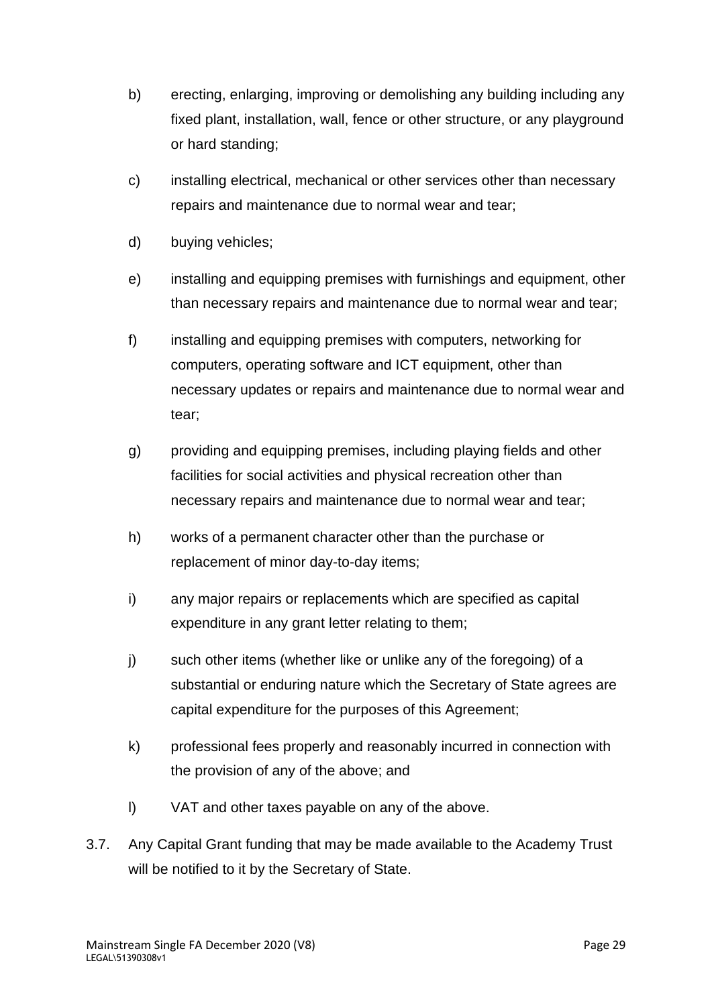- b) erecting, enlarging, improving or demolishing any building including any fixed plant, installation, wall, fence or other structure, or any playground or hard standing;
- c) installing electrical, mechanical or other services other than necessary repairs and maintenance due to normal wear and tear;
- d) buying vehicles;
- e) installing and equipping premises with furnishings and equipment, other than necessary repairs and maintenance due to normal wear and tear;
- f) installing and equipping premises with computers, networking for computers, operating software and ICT equipment, other than necessary updates or repairs and maintenance due to normal wear and tear;
- g) providing and equipping premises, including playing fields and other facilities for social activities and physical recreation other than necessary repairs and maintenance due to normal wear and tear;
- h) works of a permanent character other than the purchase or replacement of minor day-to-day items;
- i) any major repairs or replacements which are specified as capital expenditure in any grant letter relating to them;
- j) such other items (whether like or unlike any of the foregoing) of a substantial or enduring nature which the Secretary of State agrees are capital expenditure for the purposes of this Agreement;
- k) professional fees properly and reasonably incurred in connection with the provision of any of the above; and
- l) VAT and other taxes payable on any of the above.
- 3.7. Any Capital Grant funding that may be made available to the Academy Trust will be notified to it by the Secretary of State.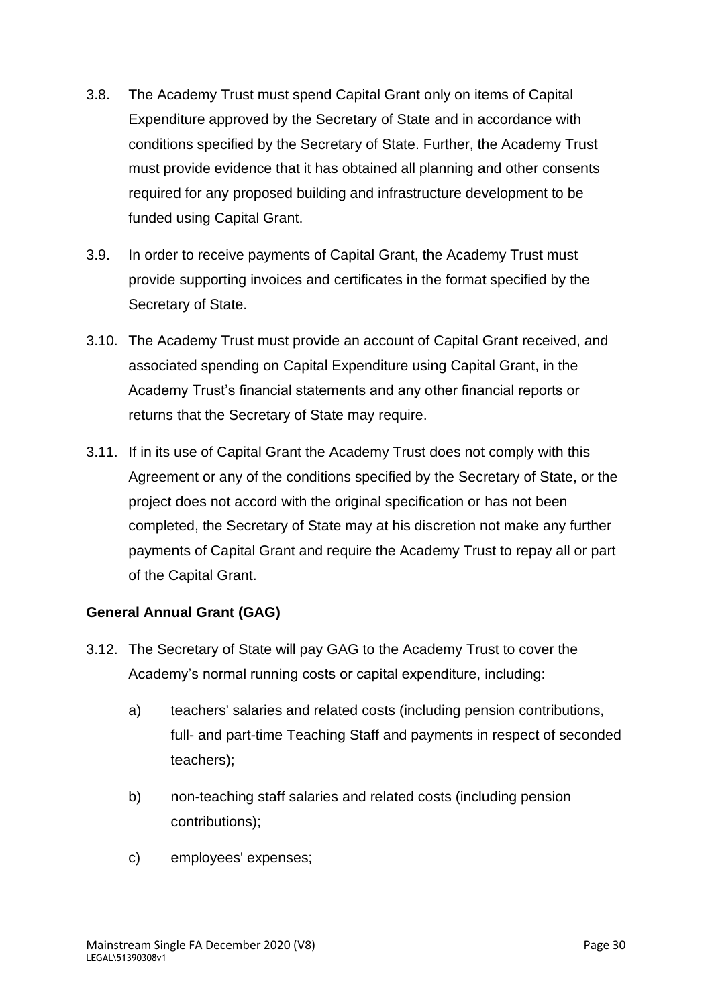- 3.8. The Academy Trust must spend Capital Grant only on items of Capital Expenditure approved by the Secretary of State and in accordance with conditions specified by the Secretary of State. Further, the Academy Trust must provide evidence that it has obtained all planning and other consents required for any proposed building and infrastructure development to be funded using Capital Grant.
- 3.9. In order to receive payments of Capital Grant, the Academy Trust must provide supporting invoices and certificates in the format specified by the Secretary of State.
- 3.10. The Academy Trust must provide an account of Capital Grant received, and associated spending on Capital Expenditure using Capital Grant, in the Academy Trust's financial statements and any other financial reports or returns that the Secretary of State may require.
- 3.11. If in its use of Capital Grant the Academy Trust does not comply with this Agreement or any of the conditions specified by the Secretary of State, or the project does not accord with the original specification or has not been completed, the Secretary of State may at his discretion not make any further payments of Capital Grant and require the Academy Trust to repay all or part of the Capital Grant.

# **General Annual Grant (GAG)**

- 3.12. The Secretary of State will pay GAG to the Academy Trust to cover the Academy's normal running costs or capital expenditure, including:
	- a) teachers' salaries and related costs (including pension contributions, full- and part-time Teaching Staff and payments in respect of seconded teachers);
	- b) non-teaching staff salaries and related costs (including pension contributions);
	- c) employees' expenses;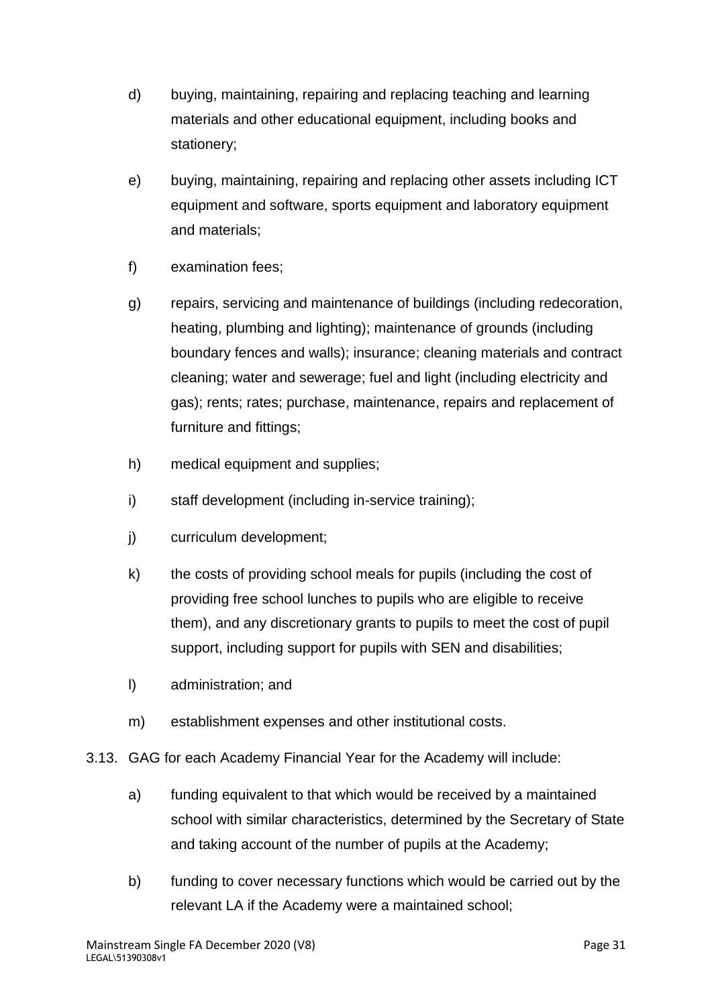- d) buying, maintaining, repairing and replacing teaching and learning materials and other educational equipment, including books and stationery;
- e) buying, maintaining, repairing and replacing other assets including ICT equipment and software, sports equipment and laboratory equipment and materials;
- f) examination fees;
- g) repairs, servicing and maintenance of buildings (including redecoration, heating, plumbing and lighting); maintenance of grounds (including boundary fences and walls); insurance; cleaning materials and contract cleaning; water and sewerage; fuel and light (including electricity and gas); rents; rates; purchase, maintenance, repairs and replacement of furniture and fittings;
- h) medical equipment and supplies;
- i) staff development (including in-service training);
- j) curriculum development;
- k) the costs of providing school meals for pupils (including the cost of providing free school lunches to pupils who are eligible to receive them), and any discretionary grants to pupils to meet the cost of pupil support, including support for pupils with SEN and disabilities;
- l) administration; and
- m) establishment expenses and other institutional costs.
- 3.13. GAG for each Academy Financial Year for the Academy will include:
	- a) funding equivalent to that which would be received by a maintained school with similar characteristics, determined by the Secretary of State and taking account of the number of pupils at the Academy;
	- b) funding to cover necessary functions which would be carried out by the relevant LA if the Academy were a maintained school;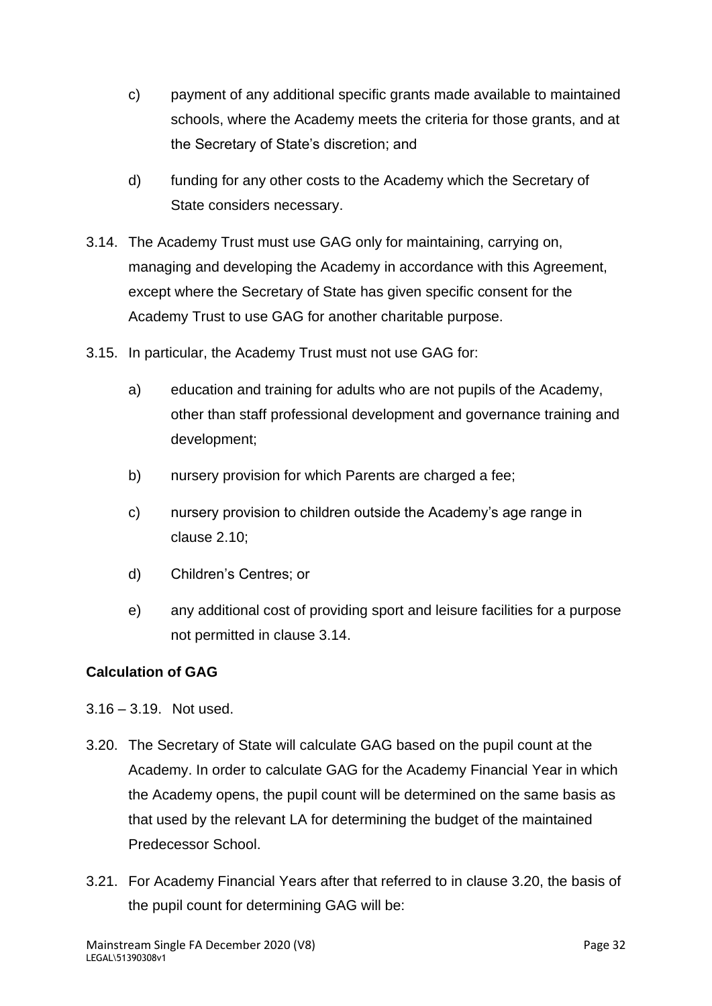- c) payment of any additional specific grants made available to maintained schools, where the Academy meets the criteria for those grants, and at the Secretary of State's discretion; and
- d) funding for any other costs to the Academy which the Secretary of State considers necessary.
- 3.14. The Academy Trust must use GAG only for maintaining, carrying on, managing and developing the Academy in accordance with this Agreement, except where the Secretary of State has given specific consent for the Academy Trust to use GAG for another charitable purpose.
- 3.15. In particular, the Academy Trust must not use GAG for:
	- a) education and training for adults who are not pupils of the Academy, other than staff professional development and governance training and development;
	- b) nursery provision for which Parents are charged a fee;
	- c) nursery provision to children outside the Academy's age range in clause 2.10;
	- d) Children's Centres; or
	- e) any additional cost of providing sport and leisure facilities for a purpose not permitted in clause 3.14.

# **Calculation of GAG**

- 3.16 3.19. Not used.
- 3.20. The Secretary of State will calculate GAG based on the pupil count at the Academy. In order to calculate GAG for the Academy Financial Year in which the Academy opens, the pupil count will be determined on the same basis as that used by the relevant LA for determining the budget of the maintained Predecessor School.
- 3.21. For Academy Financial Years after that referred to in clause 3.20, the basis of the pupil count for determining GAG will be: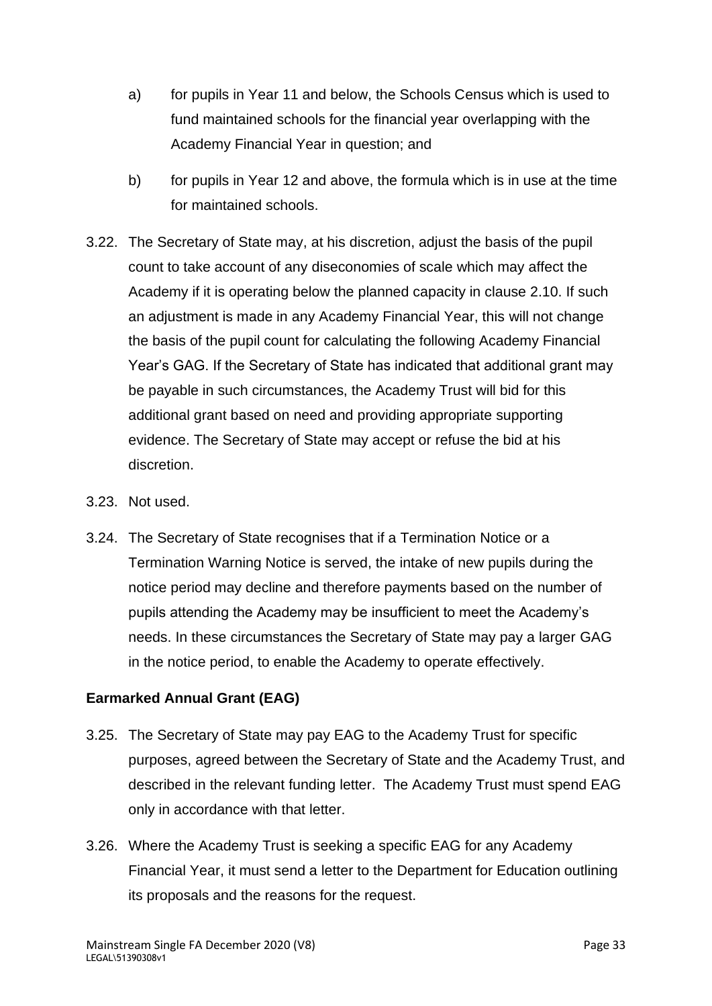- a) for pupils in Year 11 and below, the Schools Census which is used to fund maintained schools for the financial year overlapping with the Academy Financial Year in question; and
- b) for pupils in Year 12 and above, the formula which is in use at the time for maintained schools.
- 3.22. The Secretary of State may, at his discretion, adjust the basis of the pupil count to take account of any diseconomies of scale which may affect the Academy if it is operating below the planned capacity in clause 2.10. If such an adjustment is made in any Academy Financial Year, this will not change the basis of the pupil count for calculating the following Academy Financial Year's GAG. If the Secretary of State has indicated that additional grant may be payable in such circumstances, the Academy Trust will bid for this additional grant based on need and providing appropriate supporting evidence. The Secretary of State may accept or refuse the bid at his discretion.
- 3.23. Not used.
- 3.24. The Secretary of State recognises that if a Termination Notice or a Termination Warning Notice is served, the intake of new pupils during the notice period may decline and therefore payments based on the number of pupils attending the Academy may be insufficient to meet the Academy's needs. In these circumstances the Secretary of State may pay a larger GAG in the notice period, to enable the Academy to operate effectively.

# **Earmarked Annual Grant (EAG)**

- 3.25. The Secretary of State may pay EAG to the Academy Trust for specific purposes, agreed between the Secretary of State and the Academy Trust, and described in the relevant funding letter. The Academy Trust must spend EAG only in accordance with that letter.
- 3.26. Where the Academy Trust is seeking a specific EAG for any Academy Financial Year, it must send a letter to the Department for Education outlining its proposals and the reasons for the request.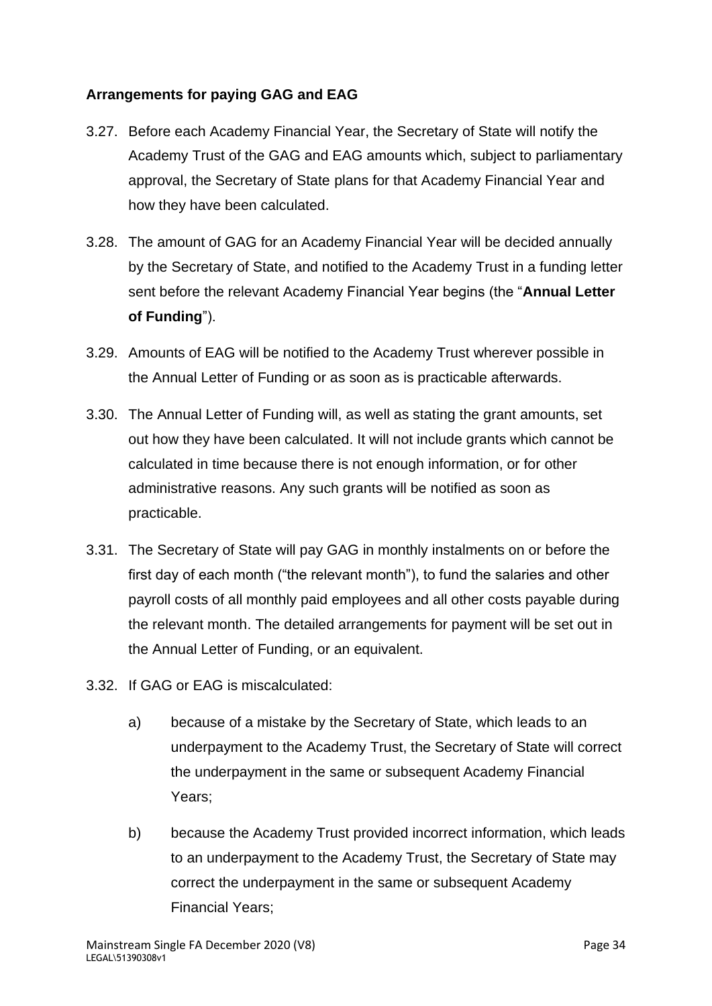# **Arrangements for paying GAG and EAG**

- 3.27. Before each Academy Financial Year, the Secretary of State will notify the Academy Trust of the GAG and EAG amounts which, subject to parliamentary approval, the Secretary of State plans for that Academy Financial Year and how they have been calculated.
- 3.28. The amount of GAG for an Academy Financial Year will be decided annually by the Secretary of State, and notified to the Academy Trust in a funding letter sent before the relevant Academy Financial Year begins (the "**Annual Letter of Funding**").
- 3.29. Amounts of EAG will be notified to the Academy Trust wherever possible in the Annual Letter of Funding or as soon as is practicable afterwards.
- 3.30. The Annual Letter of Funding will, as well as stating the grant amounts, set out how they have been calculated. It will not include grants which cannot be calculated in time because there is not enough information, or for other administrative reasons. Any such grants will be notified as soon as practicable.
- 3.31. The Secretary of State will pay GAG in monthly instalments on or before the first day of each month ("the relevant month"), to fund the salaries and other payroll costs of all monthly paid employees and all other costs payable during the relevant month. The detailed arrangements for payment will be set out in the Annual Letter of Funding, or an equivalent.
- 3.32. If GAG or EAG is miscalculated:
	- a) because of a mistake by the Secretary of State, which leads to an underpayment to the Academy Trust, the Secretary of State will correct the underpayment in the same or subsequent Academy Financial Years;
	- b) because the Academy Trust provided incorrect information, which leads to an underpayment to the Academy Trust, the Secretary of State may correct the underpayment in the same or subsequent Academy Financial Years;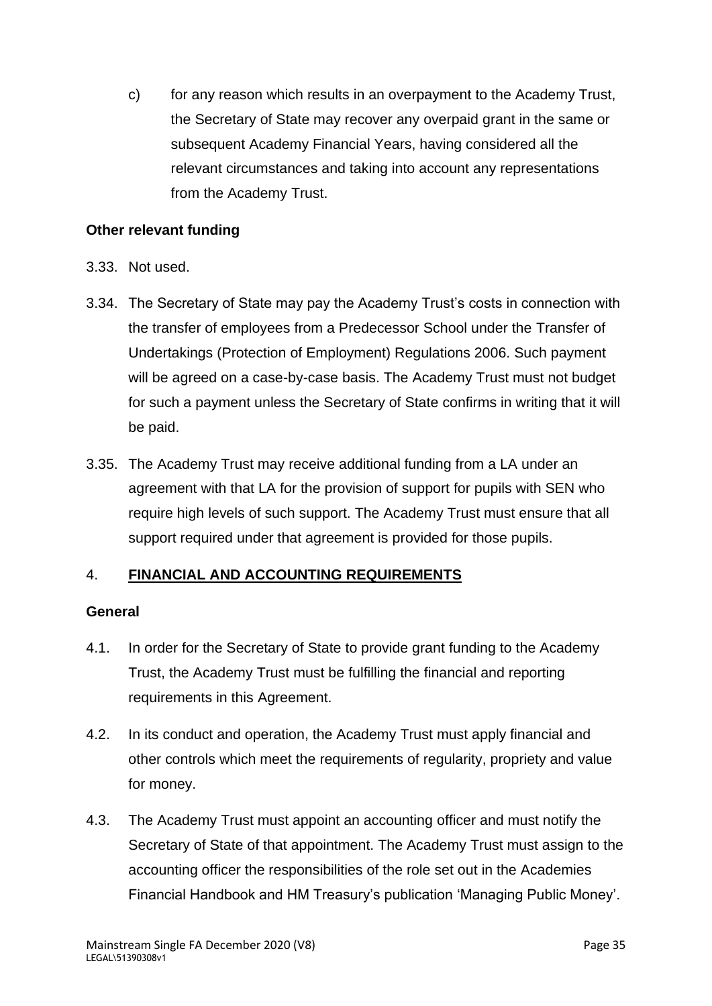c) for any reason which results in an overpayment to the Academy Trust, the Secretary of State may recover any overpaid grant in the same or subsequent Academy Financial Years, having considered all the relevant circumstances and taking into account any representations from the Academy Trust.

# **Other relevant funding**

- 3.33. Not used.
- 3.34. The Secretary of State may pay the Academy Trust's costs in connection with the transfer of employees from a Predecessor School under the Transfer of Undertakings (Protection of Employment) Regulations 2006. Such payment will be agreed on a case-by-case basis. The Academy Trust must not budget for such a payment unless the Secretary of State confirms in writing that it will be paid.
- 3.35. The Academy Trust may receive additional funding from a LA under an agreement with that LA for the provision of support for pupils with SEN who require high levels of such support. The Academy Trust must ensure that all support required under that agreement is provided for those pupils.

# 4. **FINANCIAL AND ACCOUNTING REQUIREMENTS**

#### **General**

- 4.1. In order for the Secretary of State to provide grant funding to the Academy Trust, the Academy Trust must be fulfilling the financial and reporting requirements in this Agreement.
- 4.2. In its conduct and operation, the Academy Trust must apply financial and other controls which meet the requirements of regularity, propriety and value for money.
- 4.3. The Academy Trust must appoint an accounting officer and must notify the Secretary of State of that appointment. The Academy Trust must assign to the accounting officer the responsibilities of the role set out in the Academies Financial Handbook and HM Treasury's publication 'Managing Public Money'.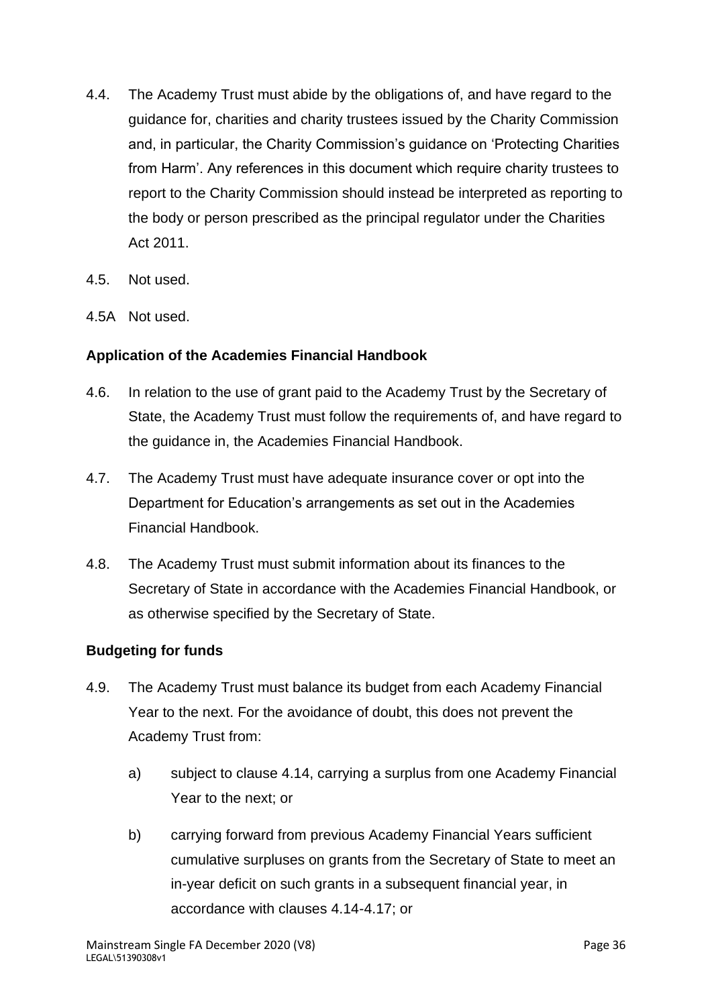- 4.4. The Academy Trust must abide by the obligations of, and have regard to the guidance for, charities and charity trustees issued by the Charity Commission and, in particular, the Charity Commission's guidance on 'Protecting Charities from Harm'. Any references in this document which require charity trustees to report to the Charity Commission should instead be interpreted as reporting to the body or person prescribed as the principal regulator under the Charities Act 2011.
- 4.5. Not used.
- 4.5A Not used.

### **Application of the Academies Financial Handbook**

- 4.6. In relation to the use of grant paid to the Academy Trust by the Secretary of State, the Academy Trust must follow the requirements of, and have regard to the guidance in, the Academies Financial Handbook.
- 4.7. The Academy Trust must have adequate insurance cover or opt into the Department for Education's arrangements as set out in the Academies Financial Handbook.
- 4.8. The Academy Trust must submit information about its finances to the Secretary of State in accordance with the Academies Financial Handbook, or as otherwise specified by the Secretary of State.

#### **Budgeting for funds**

- 4.9. The Academy Trust must balance its budget from each Academy Financial Year to the next. For the avoidance of doubt, this does not prevent the Academy Trust from:
	- a) subject to clause 4.14, carrying a surplus from one Academy Financial Year to the next; or
	- b) carrying forward from previous Academy Financial Years sufficient cumulative surpluses on grants from the Secretary of State to meet an in-year deficit on such grants in a subsequent financial year, in accordance with clauses 4.14-4.17; or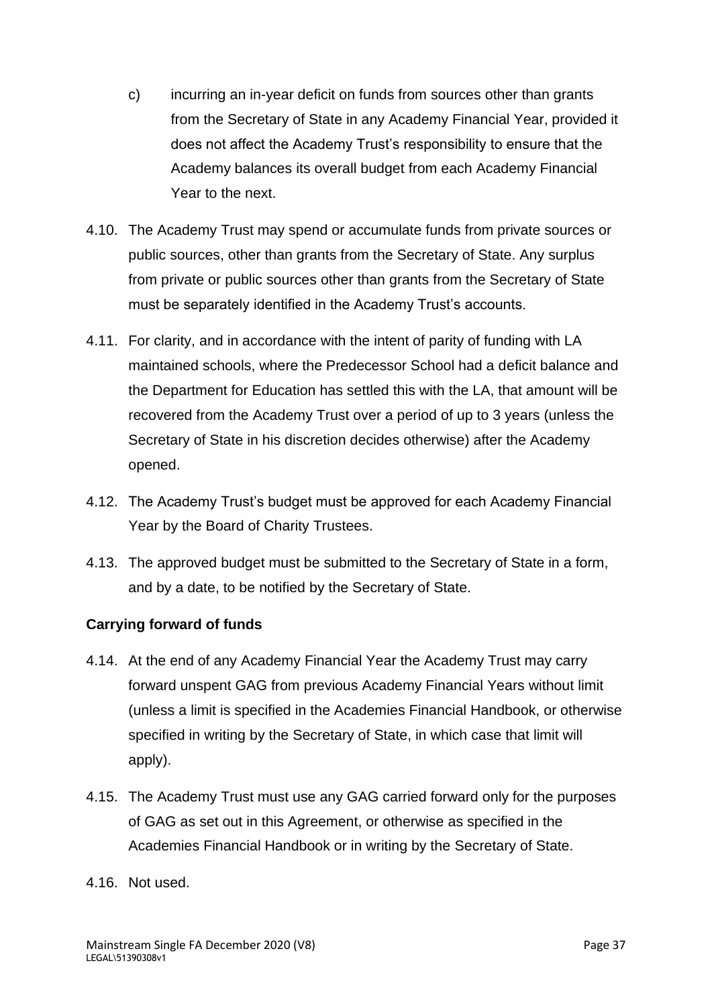- c) incurring an in-year deficit on funds from sources other than grants from the Secretary of State in any Academy Financial Year, provided it does not affect the Academy Trust's responsibility to ensure that the Academy balances its overall budget from each Academy Financial Year to the next.
- 4.10. The Academy Trust may spend or accumulate funds from private sources or public sources, other than grants from the Secretary of State. Any surplus from private or public sources other than grants from the Secretary of State must be separately identified in the Academy Trust's accounts.
- 4.11. For clarity, and in accordance with the intent of parity of funding with LA maintained schools, where the Predecessor School had a deficit balance and the Department for Education has settled this with the LA, that amount will be recovered from the Academy Trust over a period of up to 3 years (unless the Secretary of State in his discretion decides otherwise) after the Academy opened.
- 4.12. The Academy Trust's budget must be approved for each Academy Financial Year by the Board of Charity Trustees.
- 4.13. The approved budget must be submitted to the Secretary of State in a form, and by a date, to be notified by the Secretary of State.

# **Carrying forward of funds**

- 4.14. At the end of any Academy Financial Year the Academy Trust may carry forward unspent GAG from previous Academy Financial Years without limit (unless a limit is specified in the Academies Financial Handbook, or otherwise specified in writing by the Secretary of State, in which case that limit will apply).
- 4.15. The Academy Trust must use any GAG carried forward only for the purposes of GAG as set out in this Agreement, or otherwise as specified in the Academies Financial Handbook or in writing by the Secretary of State.
- 4.16. Not used.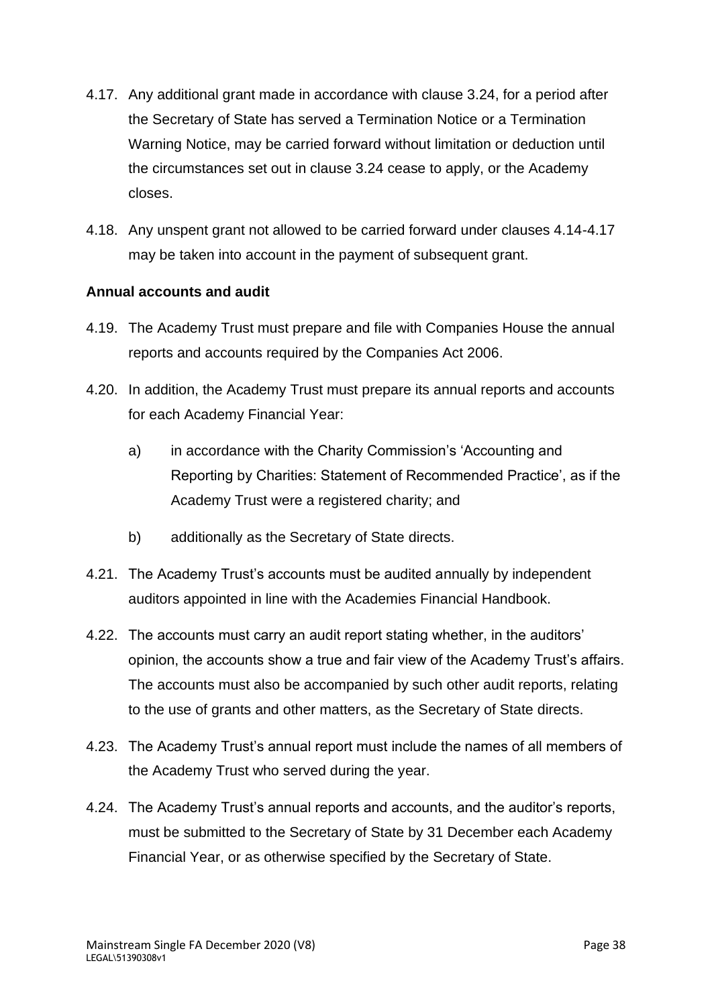- 4.17. Any additional grant made in accordance with clause 3.24, for a period after the Secretary of State has served a Termination Notice or a Termination Warning Notice, may be carried forward without limitation or deduction until the circumstances set out in clause 3.24 cease to apply, or the Academy closes.
- 4.18. Any unspent grant not allowed to be carried forward under clauses 4.14-4.17 may be taken into account in the payment of subsequent grant.

### **Annual accounts and audit**

- 4.19. The Academy Trust must prepare and file with Companies House the annual reports and accounts required by the Companies Act 2006.
- 4.20. In addition, the Academy Trust must prepare its annual reports and accounts for each Academy Financial Year:
	- a) in accordance with the Charity Commission's 'Accounting and Reporting by Charities: Statement of Recommended Practice', as if the Academy Trust were a registered charity; and
	- b) additionally as the Secretary of State directs.
- 4.21. The Academy Trust's accounts must be audited annually by independent auditors appointed in line with the Academies Financial Handbook.
- 4.22. The accounts must carry an audit report stating whether, in the auditors' opinion, the accounts show a true and fair view of the Academy Trust's affairs. The accounts must also be accompanied by such other audit reports, relating to the use of grants and other matters, as the Secretary of State directs.
- 4.23. The Academy Trust's annual report must include the names of all members of the Academy Trust who served during the year.
- 4.24. The Academy Trust's annual reports and accounts, and the auditor's reports, must be submitted to the Secretary of State by 31 December each Academy Financial Year, or as otherwise specified by the Secretary of State.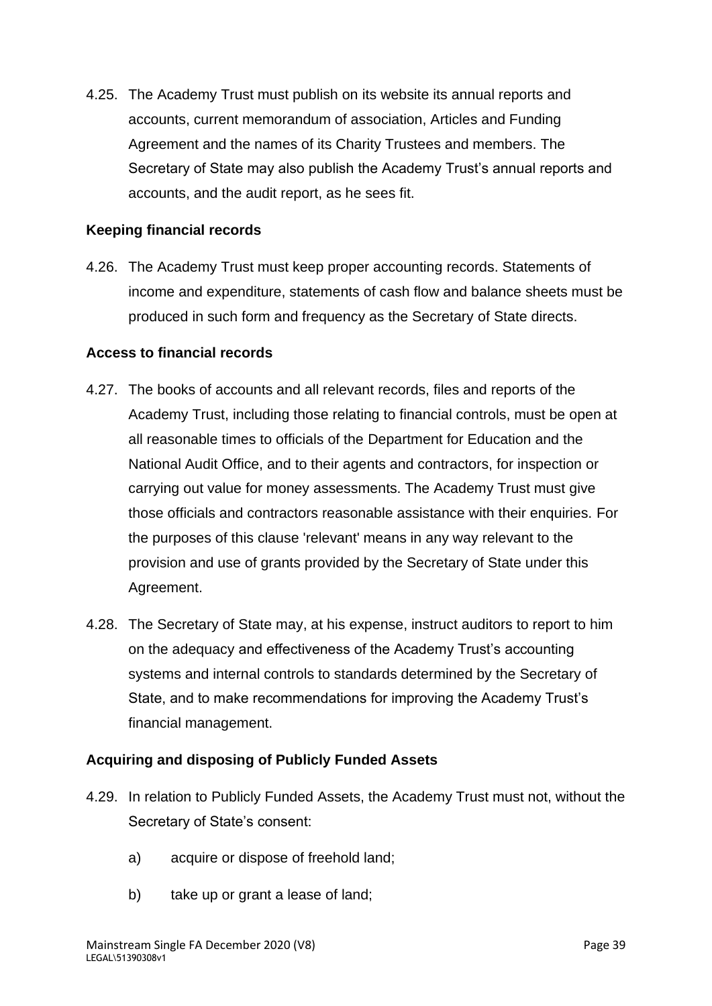4.25. The Academy Trust must publish on its website its annual reports and accounts, current memorandum of association, Articles and Funding Agreement and the names of its Charity Trustees and members. The Secretary of State may also publish the Academy Trust's annual reports and accounts, and the audit report, as he sees fit.

### **Keeping financial records**

4.26. The Academy Trust must keep proper accounting records. Statements of income and expenditure, statements of cash flow and balance sheets must be produced in such form and frequency as the Secretary of State directs.

#### **Access to financial records**

- 4.27. The books of accounts and all relevant records, files and reports of the Academy Trust, including those relating to financial controls, must be open at all reasonable times to officials of the Department for Education and the National Audit Office, and to their agents and contractors, for inspection or carrying out value for money assessments. The Academy Trust must give those officials and contractors reasonable assistance with their enquiries. For the purposes of this clause 'relevant' means in any way relevant to the provision and use of grants provided by the Secretary of State under this Agreement.
- 4.28. The Secretary of State may, at his expense, instruct auditors to report to him on the adequacy and effectiveness of the Academy Trust's accounting systems and internal controls to standards determined by the Secretary of State, and to make recommendations for improving the Academy Trust's financial management.

#### **Acquiring and disposing of Publicly Funded Assets**

- 4.29. In relation to Publicly Funded Assets, the Academy Trust must not, without the Secretary of State's consent:
	- a) acquire or dispose of freehold land;
	- b) take up or grant a lease of land;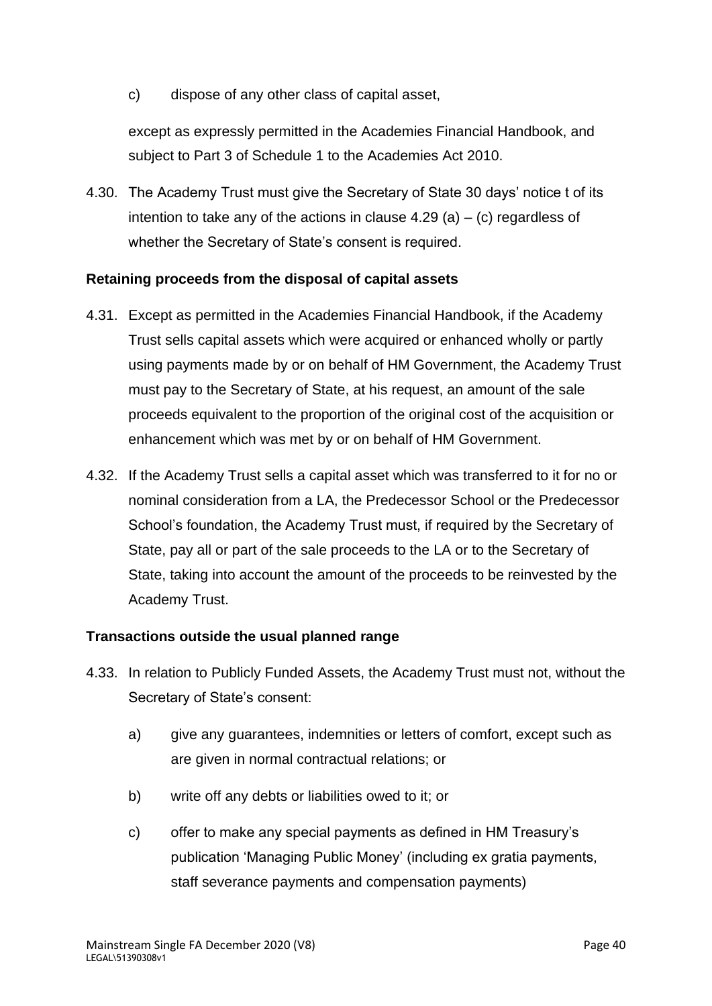c) dispose of any other class of capital asset,

except as expressly permitted in the Academies Financial Handbook, and subject to Part 3 of Schedule 1 to the Academies Act 2010.

4.30. The Academy Trust must give the Secretary of State 30 days' notice t of its intention to take any of the actions in clause  $4.29$  (a)  $-$  (c) regardless of whether the Secretary of State's consent is required.

### **Retaining proceeds from the disposal of capital assets**

- 4.31. Except as permitted in the Academies Financial Handbook, if the Academy Trust sells capital assets which were acquired or enhanced wholly or partly using payments made by or on behalf of HM Government, the Academy Trust must pay to the Secretary of State, at his request, an amount of the sale proceeds equivalent to the proportion of the original cost of the acquisition or enhancement which was met by or on behalf of HM Government.
- 4.32. If the Academy Trust sells a capital asset which was transferred to it for no or nominal consideration from a LA, the Predecessor School or the Predecessor School's foundation, the Academy Trust must, if required by the Secretary of State, pay all or part of the sale proceeds to the LA or to the Secretary of State, taking into account the amount of the proceeds to be reinvested by the Academy Trust.

#### **Transactions outside the usual planned range**

- 4.33. In relation to Publicly Funded Assets, the Academy Trust must not, without the Secretary of State's consent:
	- a) give any guarantees, indemnities or letters of comfort, except such as are given in normal contractual relations; or
	- b) write off any debts or liabilities owed to it; or
	- c) offer to make any special payments as defined in HM Treasury's publication 'Managing Public Money' (including ex gratia payments, staff severance payments and compensation payments)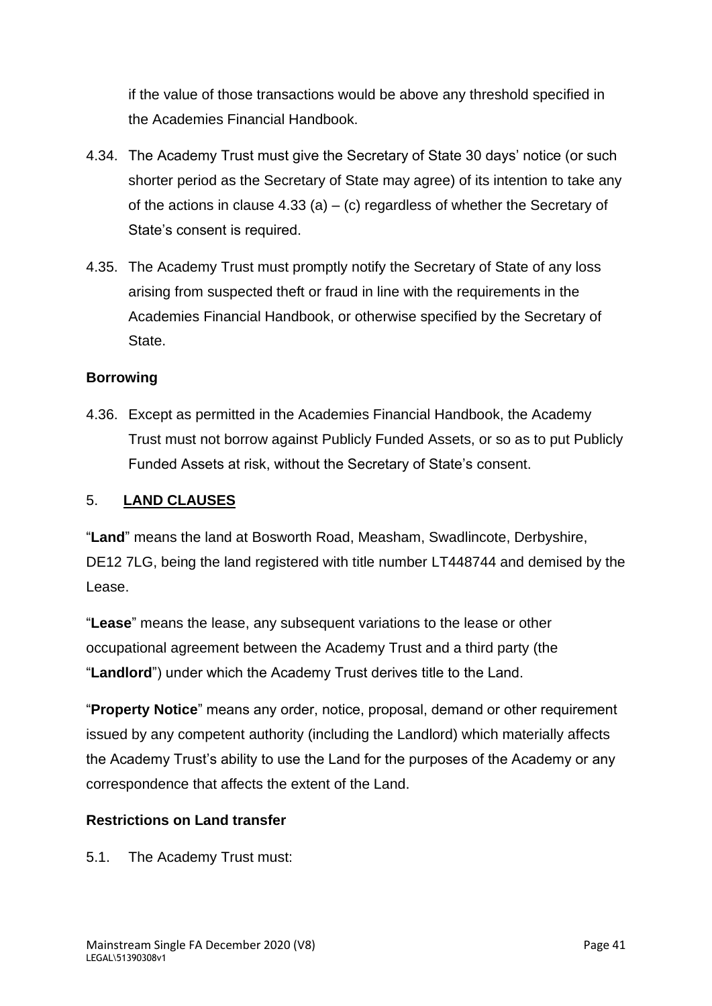if the value of those transactions would be above any threshold specified in the Academies Financial Handbook.

- 4.34. The Academy Trust must give the Secretary of State 30 days' notice (or such shorter period as the Secretary of State may agree) of its intention to take any of the actions in clause  $4.33$  (a) – (c) regardless of whether the Secretary of State's consent is required.
- 4.35. The Academy Trust must promptly notify the Secretary of State of any loss arising from suspected theft or fraud in line with the requirements in the Academies Financial Handbook, or otherwise specified by the Secretary of State.

# **Borrowing**

4.36. Except as permitted in the Academies Financial Handbook, the Academy Trust must not borrow against Publicly Funded Assets, or so as to put Publicly Funded Assets at risk, without the Secretary of State's consent.

### 5. **LAND CLAUSES**

"**Land**" means the land at Bosworth Road, Measham, Swadlincote, Derbyshire, DE12 7LG, being the land registered with title number LT448744 and demised by the Lease.

"**Lease**" means the lease, any subsequent variations to the lease or other occupational agreement between the Academy Trust and a third party (the "**Landlord**") under which the Academy Trust derives title to the Land.

"**Property Notice**" means any order, notice, proposal, demand or other requirement issued by any competent authority (including the Landlord) which materially affects the Academy Trust's ability to use the Land for the purposes of the Academy or any correspondence that affects the extent of the Land.

#### **Restrictions on Land transfer**

5.1. The Academy Trust must: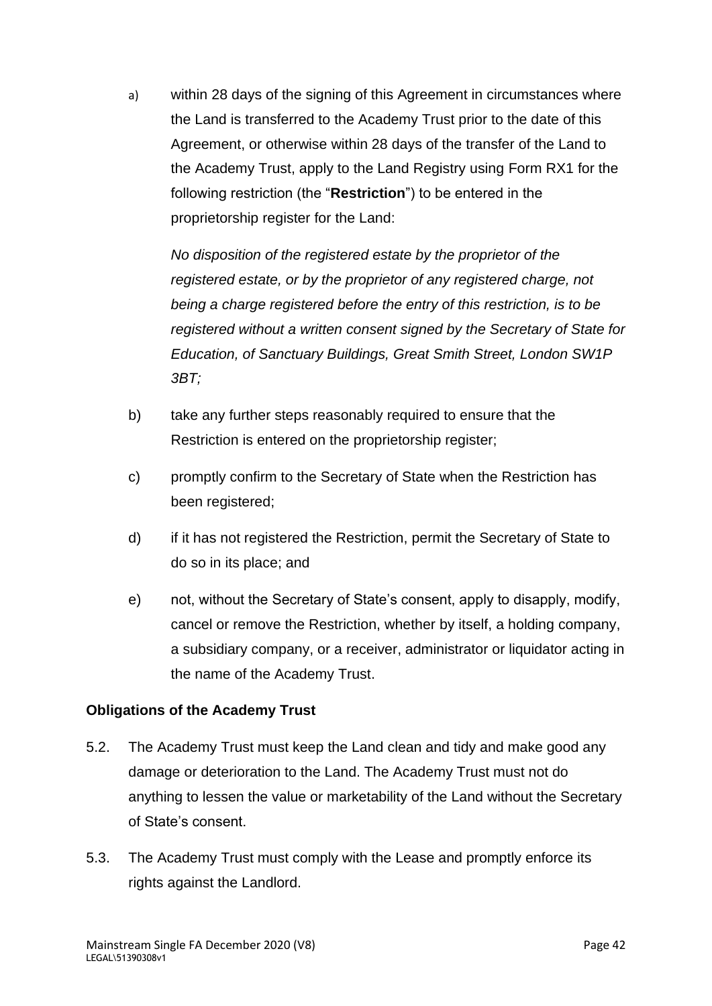a) within 28 days of the signing of this Agreement in circumstances where the Land is transferred to the Academy Trust prior to the date of this Agreement, or otherwise within 28 days of the transfer of the Land to the Academy Trust, apply to the Land Registry using Form RX1 for the following restriction (the "**Restriction**") to be entered in the proprietorship register for the Land:

*No disposition of the registered estate by the proprietor of the registered estate, or by the proprietor of any registered charge, not being a charge registered before the entry of this restriction, is to be registered without a written consent signed by the Secretary of State for Education, of Sanctuary Buildings, Great Smith Street, London SW1P 3BT;*

- b) take any further steps reasonably required to ensure that the Restriction is entered on the proprietorship register;
- c) promptly confirm to the Secretary of State when the Restriction has been registered;
- d) if it has not registered the Restriction, permit the Secretary of State to do so in its place; and
- e) not, without the Secretary of State's consent, apply to disapply, modify, cancel or remove the Restriction, whether by itself, a holding company, a subsidiary company, or a receiver, administrator or liquidator acting in the name of the Academy Trust.

# **Obligations of the Academy Trust**

- 5.2. The Academy Trust must keep the Land clean and tidy and make good any damage or deterioration to the Land. The Academy Trust must not do anything to lessen the value or marketability of the Land without the Secretary of State's consent.
- 5.3. The Academy Trust must comply with the Lease and promptly enforce its rights against the Landlord.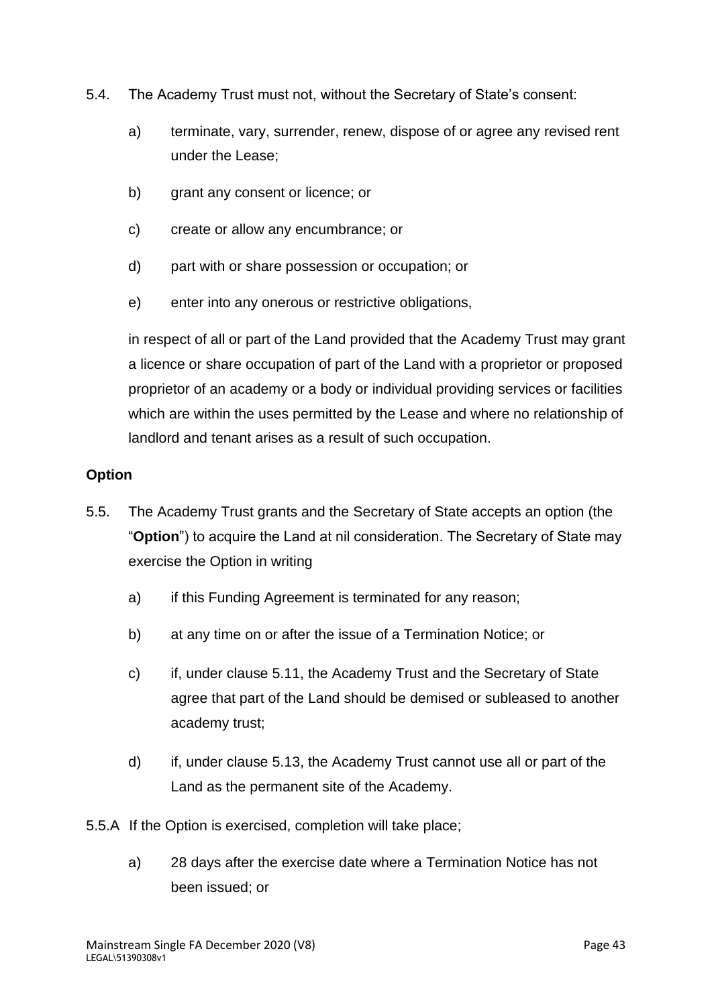- 5.4. The Academy Trust must not, without the Secretary of State's consent:
	- a) terminate, vary, surrender, renew, dispose of or agree any revised rent under the Lease;
	- b) grant any consent or licence; or
	- c) create or allow any encumbrance; or
	- d) part with or share possession or occupation; or
	- e) enter into any onerous or restrictive obligations,

in respect of all or part of the Land provided that the Academy Trust may grant a licence or share occupation of part of the Land with a proprietor or proposed proprietor of an academy or a body or individual providing services or facilities which are within the uses permitted by the Lease and where no relationship of landlord and tenant arises as a result of such occupation.

### **Option**

- 5.5. The Academy Trust grants and the Secretary of State accepts an option (the "**Option**") to acquire the Land at nil consideration. The Secretary of State may exercise the Option in writing
	- a) if this Funding Agreement is terminated for any reason;
	- b) at any time on or after the issue of a Termination Notice; or
	- c) if, under clause 5.11, the Academy Trust and the Secretary of State agree that part of the Land should be demised or subleased to another academy trust;
	- d) if, under clause 5.13, the Academy Trust cannot use all or part of the Land as the permanent site of the Academy.

5.5.A If the Option is exercised, completion will take place;

a) 28 days after the exercise date where a Termination Notice has not been issued; or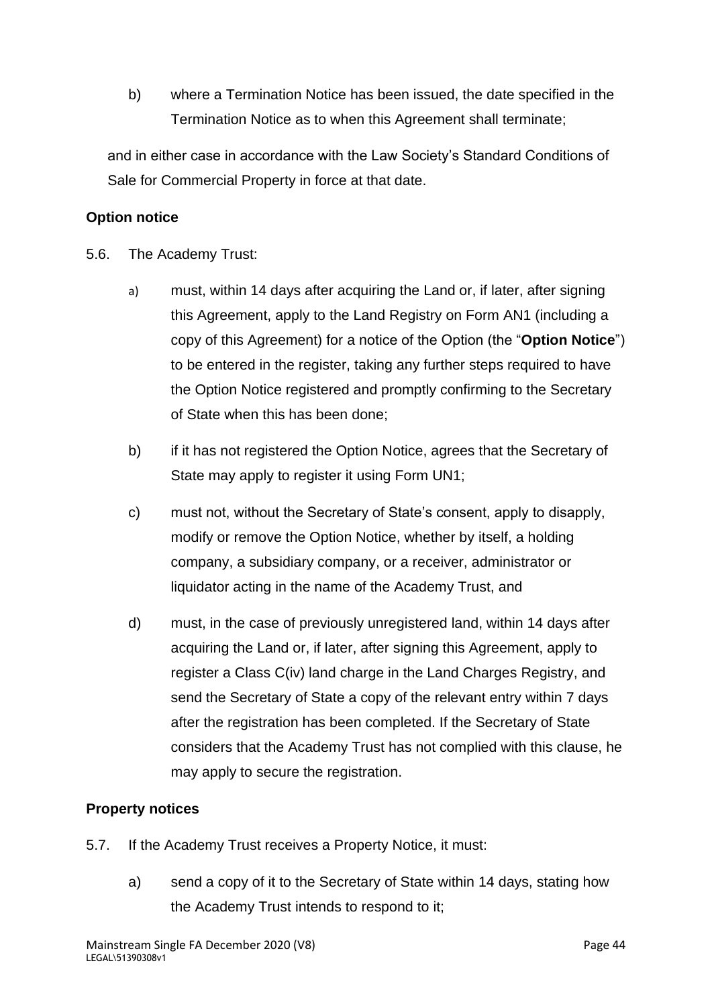b) where a Termination Notice has been issued, the date specified in the Termination Notice as to when this Agreement shall terminate;

and in either case in accordance with the Law Society's Standard Conditions of Sale for Commercial Property in force at that date.

# **Option notice**

- 5.6. The Academy Trust:
	- a) must, within 14 days after acquiring the Land or, if later, after signing this Agreement, apply to the Land Registry on Form AN1 (including a copy of this Agreement) for a notice of the Option (the "**Option Notice**") to be entered in the register, taking any further steps required to have the Option Notice registered and promptly confirming to the Secretary of State when this has been done;
	- b) if it has not registered the Option Notice, agrees that the Secretary of State may apply to register it using Form UN1;
	- c) must not, without the Secretary of State's consent, apply to disapply, modify or remove the Option Notice, whether by itself, a holding company, a subsidiary company, or a receiver, administrator or liquidator acting in the name of the Academy Trust, and
	- d) must, in the case of previously unregistered land, within 14 days after acquiring the Land or, if later, after signing this Agreement, apply to register a Class C(iv) land charge in the Land Charges Registry, and send the Secretary of State a copy of the relevant entry within 7 days after the registration has been completed. If the Secretary of State considers that the Academy Trust has not complied with this clause, he may apply to secure the registration.

# **Property notices**

- 5.7. If the Academy Trust receives a Property Notice, it must:
	- a) send a copy of it to the Secretary of State within 14 days, stating how the Academy Trust intends to respond to it;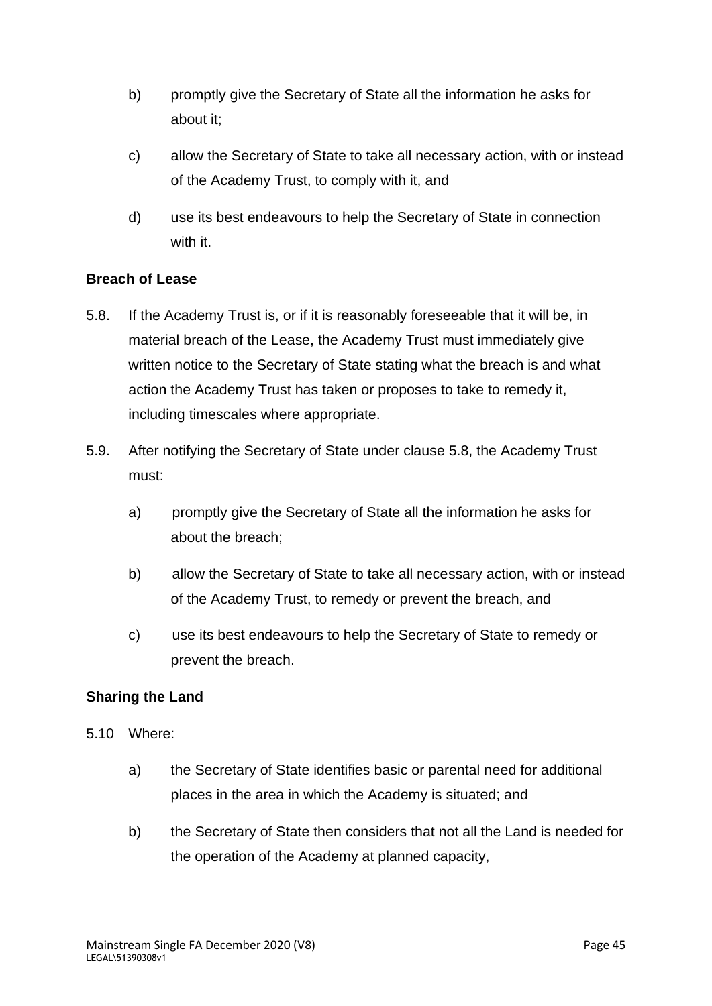- b) promptly give the Secretary of State all the information he asks for about it;
- c) allow the Secretary of State to take all necessary action, with or instead of the Academy Trust, to comply with it, and
- d) use its best endeavours to help the Secretary of State in connection with it.

### **Breach of Lease**

- 5.8. If the Academy Trust is, or if it is reasonably foreseeable that it will be, in material breach of the Lease, the Academy Trust must immediately give written notice to the Secretary of State stating what the breach is and what action the Academy Trust has taken or proposes to take to remedy it, including timescales where appropriate.
- 5.9. After notifying the Secretary of State under clause 5.8, the Academy Trust must:
	- a) promptly give the Secretary of State all the information he asks for about the breach;
	- b) allow the Secretary of State to take all necessary action, with or instead of the Academy Trust, to remedy or prevent the breach, and
	- c) use its best endeavours to help the Secretary of State to remedy or prevent the breach.

# **Sharing the Land**

- 5.10 Where:
	- a) the Secretary of State identifies basic or parental need for additional places in the area in which the Academy is situated; and
	- b) the Secretary of State then considers that not all the Land is needed for the operation of the Academy at planned capacity,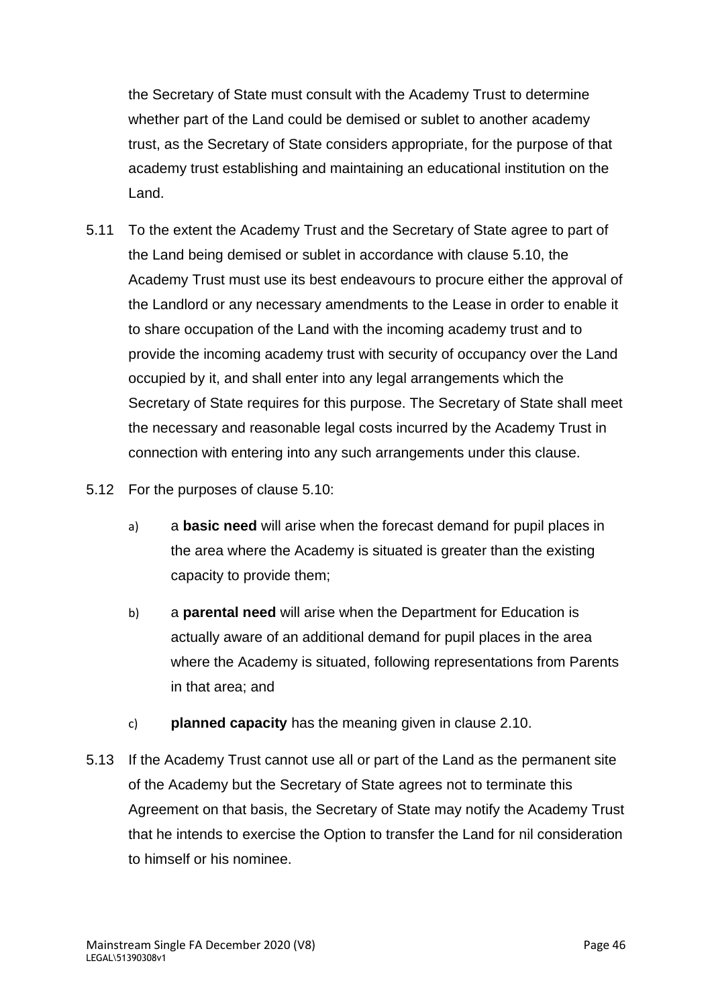the Secretary of State must consult with the Academy Trust to determine whether part of the Land could be demised or sublet to another academy trust, as the Secretary of State considers appropriate, for the purpose of that academy trust establishing and maintaining an educational institution on the Land.

- 5.11 To the extent the Academy Trust and the Secretary of State agree to part of the Land being demised or sublet in accordance with clause 5.10, the Academy Trust must use its best endeavours to procure either the approval of the Landlord or any necessary amendments to the Lease in order to enable it to share occupation of the Land with the incoming academy trust and to provide the incoming academy trust with security of occupancy over the Land occupied by it, and shall enter into any legal arrangements which the Secretary of State requires for this purpose. The Secretary of State shall meet the necessary and reasonable legal costs incurred by the Academy Trust in connection with entering into any such arrangements under this clause.
- 5.12 For the purposes of clause 5.10:
	- a) a **basic need** will arise when the forecast demand for pupil places in the area where the Academy is situated is greater than the existing capacity to provide them;
	- b) a **parental need** will arise when the Department for Education is actually aware of an additional demand for pupil places in the area where the Academy is situated, following representations from Parents in that area; and
	- c) **planned capacity** has the meaning given in clause 2.10.
- 5.13 If the Academy Trust cannot use all or part of the Land as the permanent site of the Academy but the Secretary of State agrees not to terminate this Agreement on that basis, the Secretary of State may notify the Academy Trust that he intends to exercise the Option to transfer the Land for nil consideration to himself or his nominee.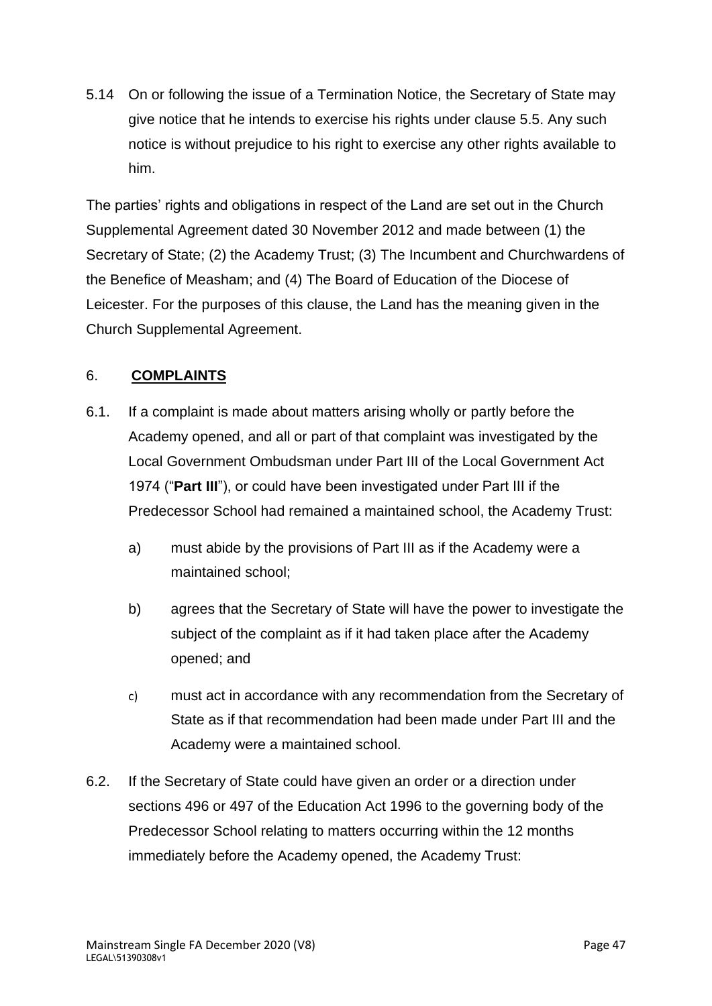5.14 On or following the issue of a Termination Notice, the Secretary of State may give notice that he intends to exercise his rights under clause 5.5. Any such notice is without prejudice to his right to exercise any other rights available to him.

The parties' rights and obligations in respect of the Land are set out in the Church Supplemental Agreement dated 30 November 2012 and made between (1) the Secretary of State; (2) the Academy Trust; (3) The Incumbent and Churchwardens of the Benefice of Measham; and (4) The Board of Education of the Diocese of Leicester. For the purposes of this clause, the Land has the meaning given in the Church Supplemental Agreement.

# 6. **COMPLAINTS**

- 6.1. If a complaint is made about matters arising wholly or partly before the Academy opened, and all or part of that complaint was investigated by the Local Government Ombudsman under Part III of the Local Government Act 1974 ("**Part III**"), or could have been investigated under Part III if the Predecessor School had remained a maintained school, the Academy Trust:
	- a) must abide by the provisions of Part III as if the Academy were a maintained school;
	- b) agrees that the Secretary of State will have the power to investigate the subject of the complaint as if it had taken place after the Academy opened; and
	- c) must act in accordance with any recommendation from the Secretary of State as if that recommendation had been made under Part III and the Academy were a maintained school.
- 6.2. If the Secretary of State could have given an order or a direction under sections 496 or 497 of the Education Act 1996 to the governing body of the Predecessor School relating to matters occurring within the 12 months immediately before the Academy opened, the Academy Trust: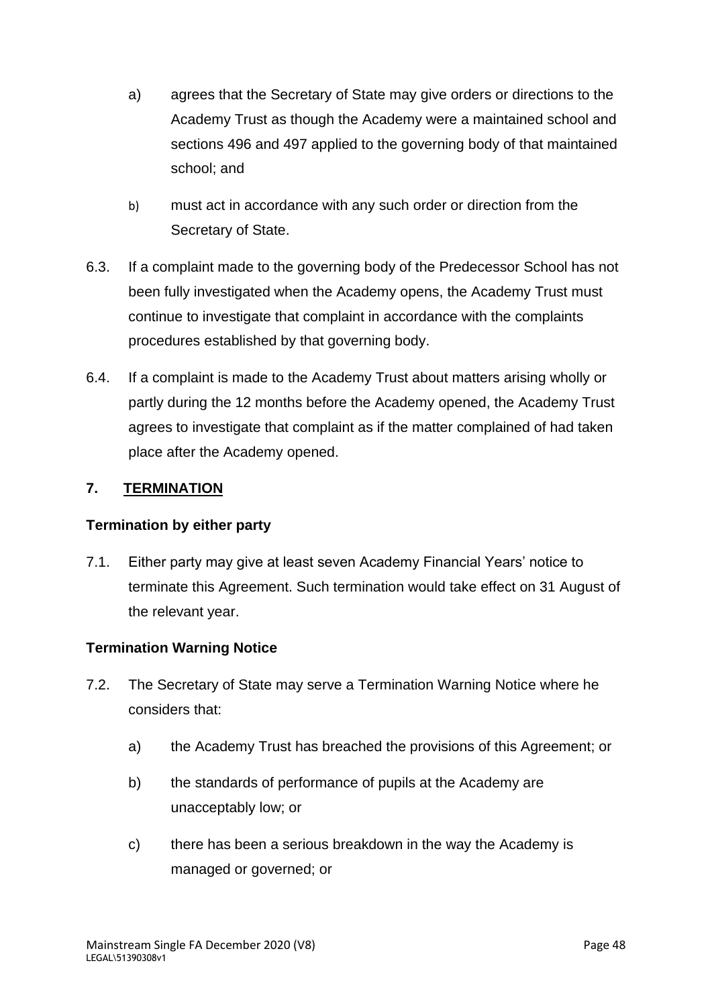- a) agrees that the Secretary of State may give orders or directions to the Academy Trust as though the Academy were a maintained school and sections 496 and 497 applied to the governing body of that maintained school; and
- b) must act in accordance with any such order or direction from the Secretary of State.
- 6.3. If a complaint made to the governing body of the Predecessor School has not been fully investigated when the Academy opens, the Academy Trust must continue to investigate that complaint in accordance with the complaints procedures established by that governing body.
- 6.4. If a complaint is made to the Academy Trust about matters arising wholly or partly during the 12 months before the Academy opened, the Academy Trust agrees to investigate that complaint as if the matter complained of had taken place after the Academy opened.

# **7. TERMINATION**

# **Termination by either party**

7.1. Either party may give at least seven Academy Financial Years' notice to terminate this Agreement. Such termination would take effect on 31 August of the relevant year.

# **Termination Warning Notice**

- 7.2. The Secretary of State may serve a Termination Warning Notice where he considers that:
	- a) the Academy Trust has breached the provisions of this Agreement; or
	- b) the standards of performance of pupils at the Academy are unacceptably low; or
	- c) there has been a serious breakdown in the way the Academy is managed or governed; or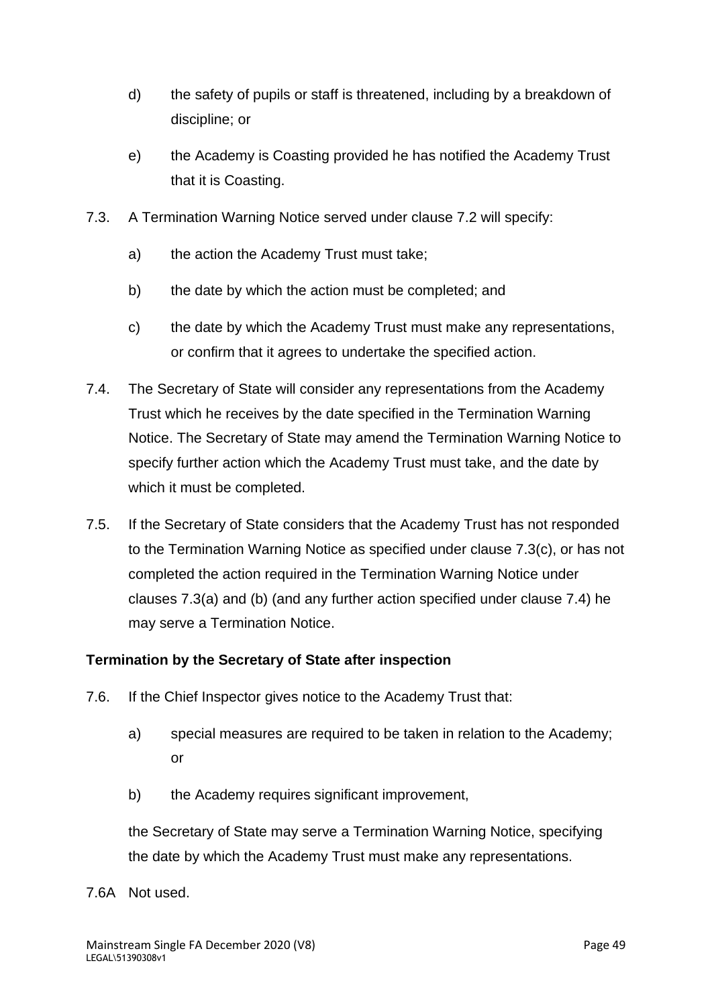- d) the safety of pupils or staff is threatened, including by a breakdown of discipline; or
- e) the Academy is Coasting provided he has notified the Academy Trust that it is Coasting.
- 7.3. A Termination Warning Notice served under clause 7.2 will specify:
	- a) the action the Academy Trust must take;
	- b) the date by which the action must be completed; and
	- c) the date by which the Academy Trust must make any representations, or confirm that it agrees to undertake the specified action.
- 7.4. The Secretary of State will consider any representations from the Academy Trust which he receives by the date specified in the Termination Warning Notice. The Secretary of State may amend the Termination Warning Notice to specify further action which the Academy Trust must take, and the date by which it must be completed.
- 7.5. If the Secretary of State considers that the Academy Trust has not responded to the Termination Warning Notice as specified under clause 7.3(c), or has not completed the action required in the Termination Warning Notice under clauses 7.3(a) and (b) (and any further action specified under clause 7.4) he may serve a Termination Notice.

# **Termination by the Secretary of State after inspection**

- 7.6. If the Chief Inspector gives notice to the Academy Trust that:
	- a) special measures are required to be taken in relation to the Academy; or
	- b) the Academy requires significant improvement,

the Secretary of State may serve a Termination Warning Notice, specifying the date by which the Academy Trust must make any representations.

7.6A Not used.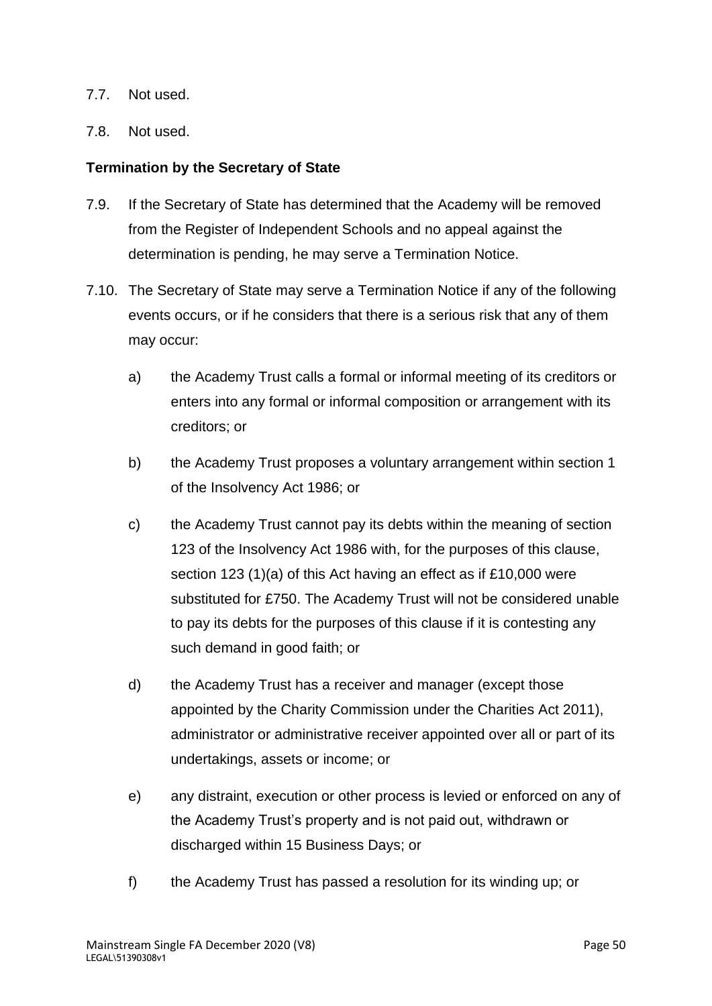#### 7.7. Not used.

#### 7.8. Not used.

#### **Termination by the Secretary of State**

- 7.9. If the Secretary of State has determined that the Academy will be removed from the Register of Independent Schools and no appeal against the determination is pending, he may serve a Termination Notice.
- 7.10. The Secretary of State may serve a Termination Notice if any of the following events occurs, or if he considers that there is a serious risk that any of them may occur:
	- a) the Academy Trust calls a formal or informal meeting of its creditors or enters into any formal or informal composition or arrangement with its creditors; or
	- b) the Academy Trust proposes a voluntary arrangement within section 1 of the Insolvency Act 1986; or
	- c) the Academy Trust cannot pay its debts within the meaning of section 123 of the Insolvency Act 1986 with, for the purposes of this clause, section 123 (1)(a) of this Act having an effect as if £10,000 were substituted for £750. The Academy Trust will not be considered unable to pay its debts for the purposes of this clause if it is contesting any such demand in good faith; or
	- d) the Academy Trust has a receiver and manager (except those appointed by the Charity Commission under the Charities Act 2011), administrator or administrative receiver appointed over all or part of its undertakings, assets or income; or
	- e) any distraint, execution or other process is levied or enforced on any of the Academy Trust's property and is not paid out, withdrawn or discharged within 15 Business Days; or
	- f) the Academy Trust has passed a resolution for its winding up; or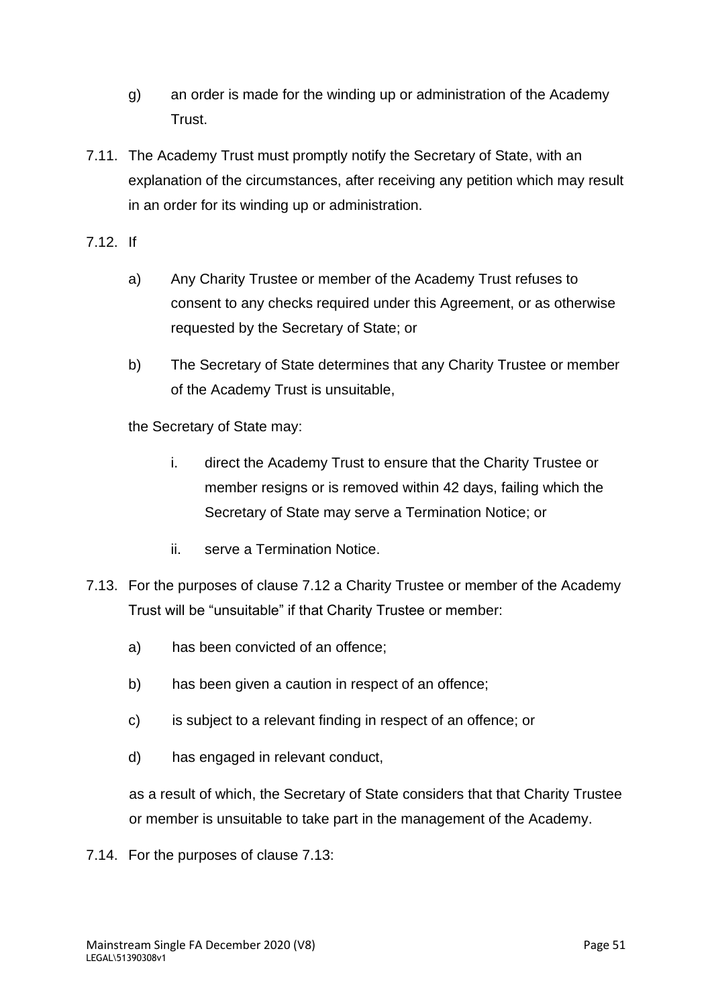- g) an order is made for the winding up or administration of the Academy Trust.
- 7.11. The Academy Trust must promptly notify the Secretary of State, with an explanation of the circumstances, after receiving any petition which may result in an order for its winding up or administration.
- 7.12. If
	- a) Any Charity Trustee or member of the Academy Trust refuses to consent to any checks required under this Agreement, or as otherwise requested by the Secretary of State; or
	- b) The Secretary of State determines that any Charity Trustee or member of the Academy Trust is unsuitable,

the Secretary of State may:

- i. direct the Academy Trust to ensure that the Charity Trustee or member resigns or is removed within 42 days, failing which the Secretary of State may serve a Termination Notice; or
- ii. serve a Termination Notice.
- 7.13. For the purposes of clause 7.12 a Charity Trustee or member of the Academy Trust will be "unsuitable" if that Charity Trustee or member:
	- a) has been convicted of an offence;
	- b) has been given a caution in respect of an offence;
	- c) is subject to a relevant finding in respect of an offence; or
	- d) has engaged in relevant conduct,

as a result of which, the Secretary of State considers that that Charity Trustee or member is unsuitable to take part in the management of the Academy.

7.14. For the purposes of clause 7.13: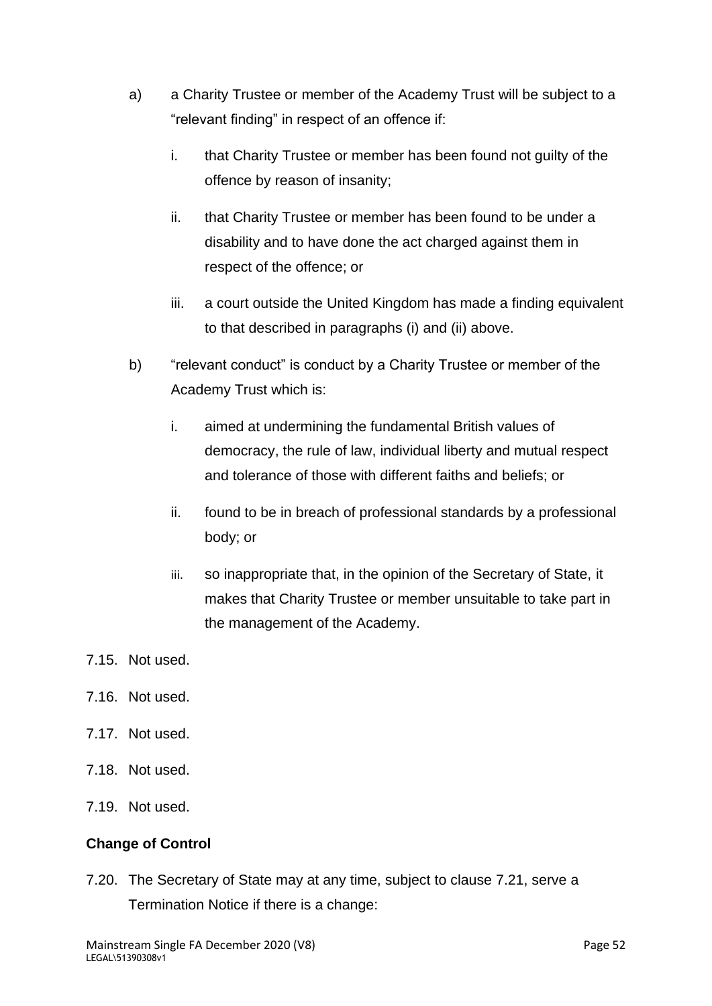- a) a Charity Trustee or member of the Academy Trust will be subject to a "relevant finding" in respect of an offence if:
	- i. that Charity Trustee or member has been found not guilty of the offence by reason of insanity;
	- ii. that Charity Trustee or member has been found to be under a disability and to have done the act charged against them in respect of the offence; or
	- iii. a court outside the United Kingdom has made a finding equivalent to that described in paragraphs (i) and (ii) above.
- b) "relevant conduct" is conduct by a Charity Trustee or member of the Academy Trust which is:
	- i. aimed at undermining the fundamental British values of democracy, the rule of law, individual liberty and mutual respect and tolerance of those with different faiths and beliefs; or
	- ii. found to be in breach of professional standards by a professional body; or
	- iii. so inappropriate that, in the opinion of the Secretary of State, it makes that Charity Trustee or member unsuitable to take part in the management of the Academy.
- 7.15. Not used.
- 7.16. Not used.
- 7.17. Not used.
- 7.18. Not used.
- 7.19. Not used.

# **Change of Control**

7.20. The Secretary of State may at any time, subject to clause 7.21, serve a Termination Notice if there is a change: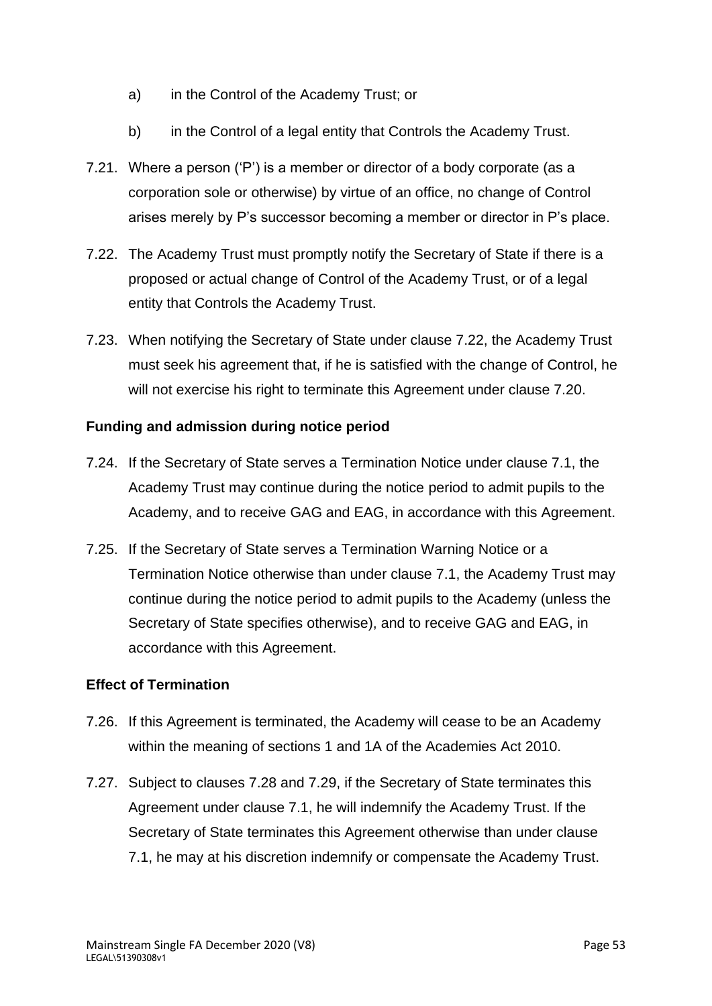- a) in the Control of the Academy Trust; or
- b) in the Control of a legal entity that Controls the Academy Trust.
- 7.21. Where a person ('P') is a member or director of a body corporate (as a corporation sole or otherwise) by virtue of an office, no change of Control arises merely by P's successor becoming a member or director in P's place.
- 7.22. The Academy Trust must promptly notify the Secretary of State if there is a proposed or actual change of Control of the Academy Trust, or of a legal entity that Controls the Academy Trust.
- 7.23. When notifying the Secretary of State under clause 7.22, the Academy Trust must seek his agreement that, if he is satisfied with the change of Control, he will not exercise his right to terminate this Agreement under clause 7.20.

### **Funding and admission during notice period**

- 7.24. If the Secretary of State serves a Termination Notice under clause 7.1, the Academy Trust may continue during the notice period to admit pupils to the Academy, and to receive GAG and EAG, in accordance with this Agreement.
- 7.25. If the Secretary of State serves a Termination Warning Notice or a Termination Notice otherwise than under clause 7.1, the Academy Trust may continue during the notice period to admit pupils to the Academy (unless the Secretary of State specifies otherwise), and to receive GAG and EAG, in accordance with this Agreement.

#### **Effect of Termination**

- 7.26. If this Agreement is terminated, the Academy will cease to be an Academy within the meaning of sections 1 and 1A of the Academies Act 2010.
- 7.27. Subject to clauses 7.28 and 7.29, if the Secretary of State terminates this Agreement under clause 7.1, he will indemnify the Academy Trust. If the Secretary of State terminates this Agreement otherwise than under clause 7.1, he may at his discretion indemnify or compensate the Academy Trust.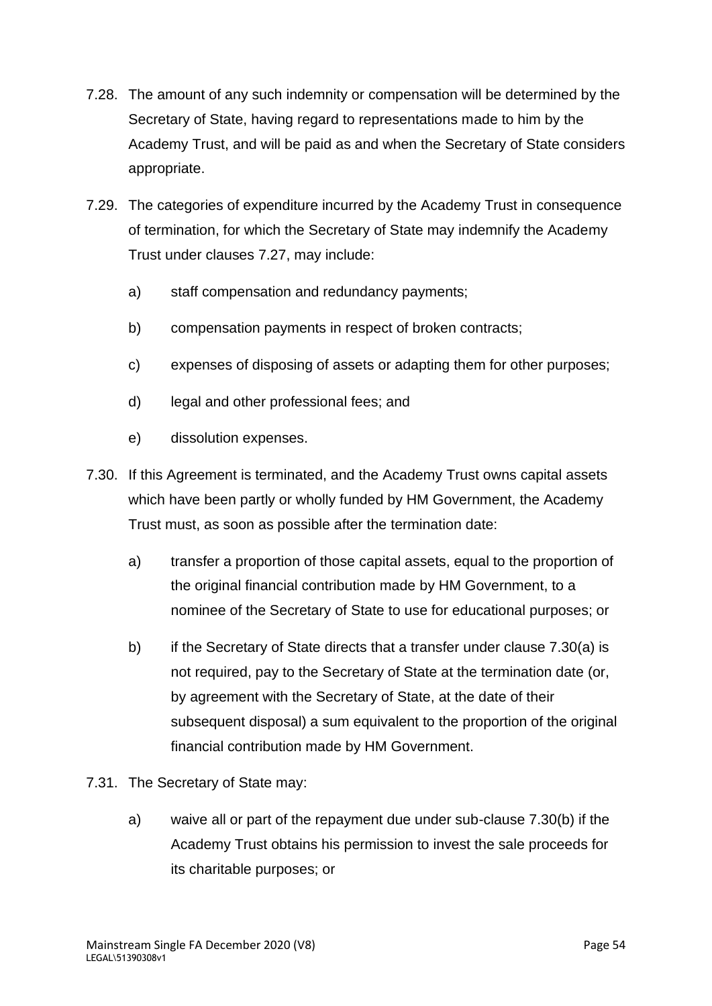- 7.28. The amount of any such indemnity or compensation will be determined by the Secretary of State, having regard to representations made to him by the Academy Trust, and will be paid as and when the Secretary of State considers appropriate.
- 7.29. The categories of expenditure incurred by the Academy Trust in consequence of termination, for which the Secretary of State may indemnify the Academy Trust under clauses 7.27, may include:
	- a) staff compensation and redundancy payments;
	- b) compensation payments in respect of broken contracts;
	- c) expenses of disposing of assets or adapting them for other purposes;
	- d) legal and other professional fees; and
	- e) dissolution expenses.
- 7.30. If this Agreement is terminated, and the Academy Trust owns capital assets which have been partly or wholly funded by HM Government, the Academy Trust must, as soon as possible after the termination date:
	- a) transfer a proportion of those capital assets, equal to the proportion of the original financial contribution made by HM Government, to a nominee of the Secretary of State to use for educational purposes; or
	- b) if the Secretary of State directs that a transfer under clause 7.30(a) is not required, pay to the Secretary of State at the termination date (or, by agreement with the Secretary of State, at the date of their subsequent disposal) a sum equivalent to the proportion of the original financial contribution made by HM Government.
- 7.31. The Secretary of State may:
	- a) waive all or part of the repayment due under sub-clause 7.30(b) if the Academy Trust obtains his permission to invest the sale proceeds for its charitable purposes; or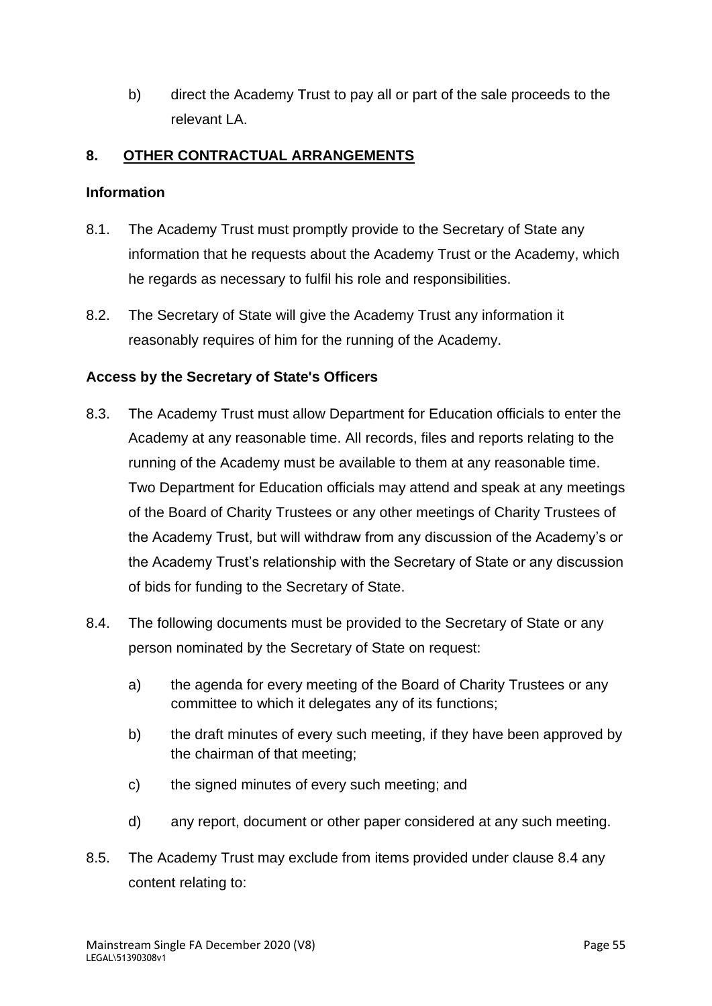b) direct the Academy Trust to pay all or part of the sale proceeds to the relevant LA.

# **8. OTHER CONTRACTUAL ARRANGEMENTS**

### **Information**

- 8.1. The Academy Trust must promptly provide to the Secretary of State any information that he requests about the Academy Trust or the Academy, which he regards as necessary to fulfil his role and responsibilities.
- 8.2. The Secretary of State will give the Academy Trust any information it reasonably requires of him for the running of the Academy.

# **Access by the Secretary of State's Officers**

- 8.3. The Academy Trust must allow Department for Education officials to enter the Academy at any reasonable time. All records, files and reports relating to the running of the Academy must be available to them at any reasonable time. Two Department for Education officials may attend and speak at any meetings of the Board of Charity Trustees or any other meetings of Charity Trustees of the Academy Trust, but will withdraw from any discussion of the Academy's or the Academy Trust's relationship with the Secretary of State or any discussion of bids for funding to the Secretary of State.
- 8.4. The following documents must be provided to the Secretary of State or any person nominated by the Secretary of State on request:
	- a) the agenda for every meeting of the Board of Charity Trustees or any committee to which it delegates any of its functions;
	- b) the draft minutes of every such meeting, if they have been approved by the chairman of that meeting;
	- c) the signed minutes of every such meeting; and
	- d) any report, document or other paper considered at any such meeting.
- 8.5. The Academy Trust may exclude from items provided under clause 8.4 any content relating to: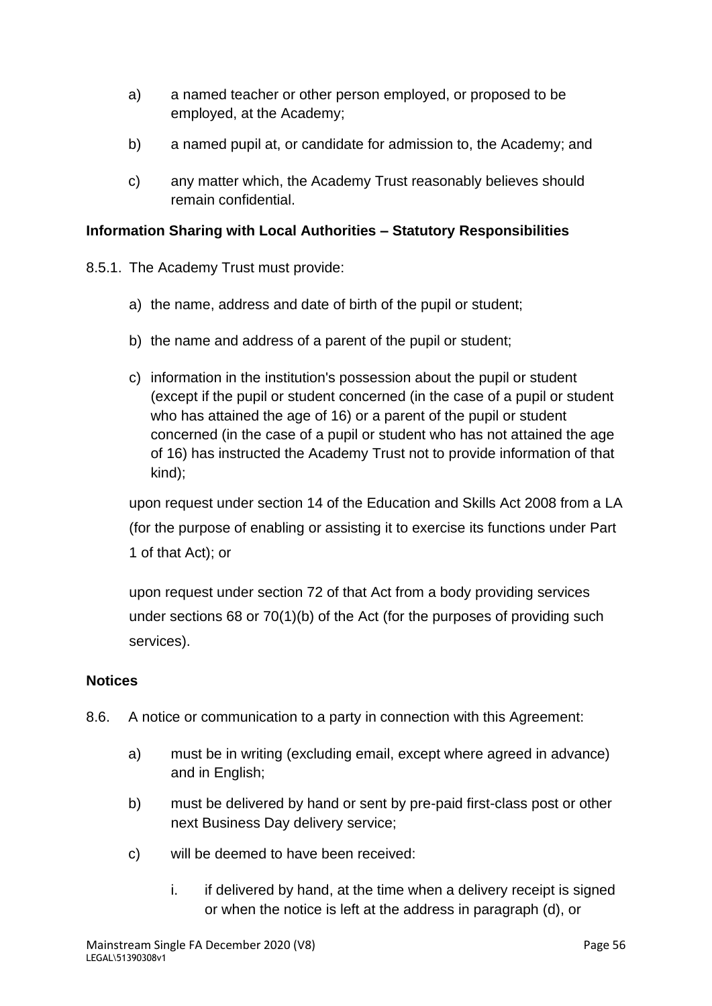- a) a named teacher or other person employed, or proposed to be employed, at the Academy;
- b) a named pupil at, or candidate for admission to, the Academy; and
- c) any matter which, the Academy Trust reasonably believes should remain confidential.

# **Information Sharing with Local Authorities – Statutory Responsibilities**

- 8.5.1. The Academy Trust must provide:
	- a) the name, address and date of birth of the pupil or student;
	- b) the name and address of a parent of the pupil or student;
	- c) information in the institution's possession about the pupil or student (except if the pupil or student concerned (in the case of a pupil or student who has attained the age of 16) or a parent of the pupil or student concerned (in the case of a pupil or student who has not attained the age of 16) has instructed the Academy Trust not to provide information of that kind);

upon request under section 14 of the Education and Skills Act 2008 from a LA (for the purpose of enabling or assisting it to exercise its functions under Part 1 of that Act); or

upon request under section 72 of that Act from a body providing services under sections 68 or 70(1)(b) of the Act (for the purposes of providing such services).

# **Notices**

- 8.6. A notice or communication to a party in connection with this Agreement:
	- a) must be in writing (excluding email, except where agreed in advance) and in English;
	- b) must be delivered by hand or sent by pre-paid first-class post or other next Business Day delivery service;
	- c) will be deemed to have been received:
		- i. if delivered by hand, at the time when a delivery receipt is signed or when the notice is left at the address in paragraph (d), or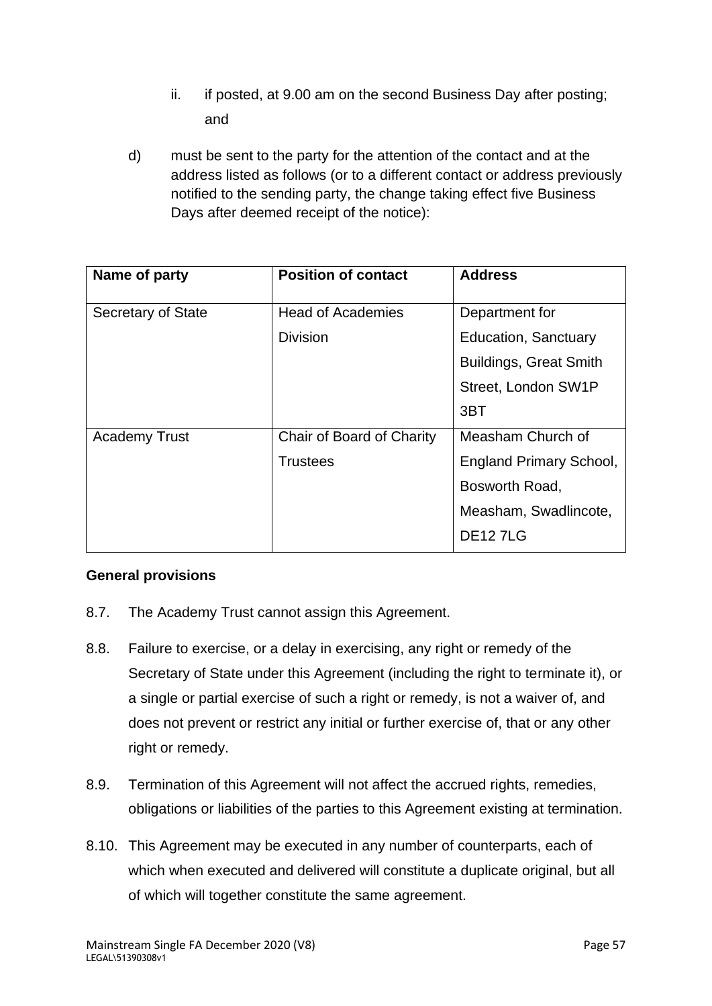- ii. if posted, at 9.00 am on the second Business Day after posting; and
- d) must be sent to the party for the attention of the contact and at the address listed as follows (or to a different contact or address previously notified to the sending party, the change taking effect five Business Days after deemed receipt of the notice):

| Name of party        | <b>Position of contact</b> | <b>Address</b>                 |
|----------------------|----------------------------|--------------------------------|
| Secretary of State   | <b>Head of Academies</b>   | Department for                 |
|                      | <b>Division</b>            | <b>Education, Sanctuary</b>    |
|                      |                            | <b>Buildings, Great Smith</b>  |
|                      |                            | Street, London SW1P            |
|                      |                            | 3BT                            |
| <b>Academy Trust</b> | Chair of Board of Charity  | Measham Church of              |
|                      | <b>Trustees</b>            | <b>England Primary School,</b> |
|                      |                            | Bosworth Road,                 |
|                      |                            | Measham, Swadlincote,          |
|                      |                            | <b>DE127LG</b>                 |

# **General provisions**

- 8.7. The Academy Trust cannot assign this Agreement.
- 8.8. Failure to exercise, or a delay in exercising, any right or remedy of the Secretary of State under this Agreement (including the right to terminate it), or a single or partial exercise of such a right or remedy, is not a waiver of, and does not prevent or restrict any initial or further exercise of, that or any other right or remedy.
- 8.9. Termination of this Agreement will not affect the accrued rights, remedies, obligations or liabilities of the parties to this Agreement existing at termination.
- 8.10. This Agreement may be executed in any number of counterparts, each of which when executed and delivered will constitute a duplicate original, but all of which will together constitute the same agreement.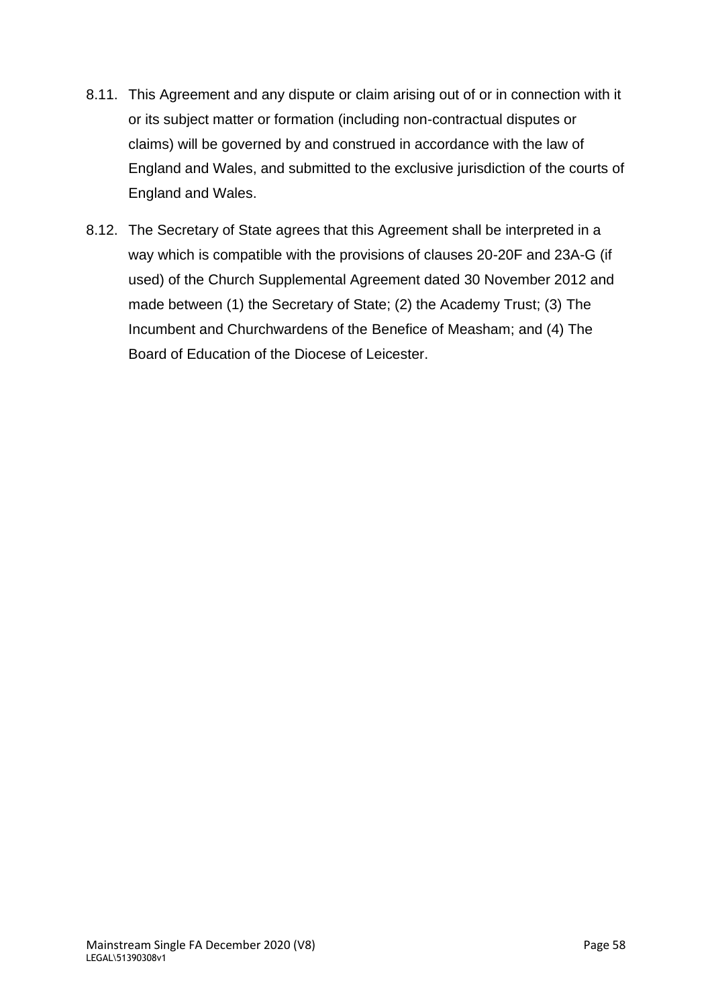- 8.11. This Agreement and any dispute or claim arising out of or in connection with it or its subject matter or formation (including non-contractual disputes or claims) will be governed by and construed in accordance with the law of England and Wales, and submitted to the exclusive jurisdiction of the courts of England and Wales.
- 8.12. The Secretary of State agrees that this Agreement shall be interpreted in a way which is compatible with the provisions of clauses 20-20F and 23A-G (if used) of the Church Supplemental Agreement dated 30 November 2012 and made between (1) the Secretary of State; (2) the Academy Trust; (3) The Incumbent and Churchwardens of the Benefice of Measham; and (4) The Board of Education of the Diocese of Leicester.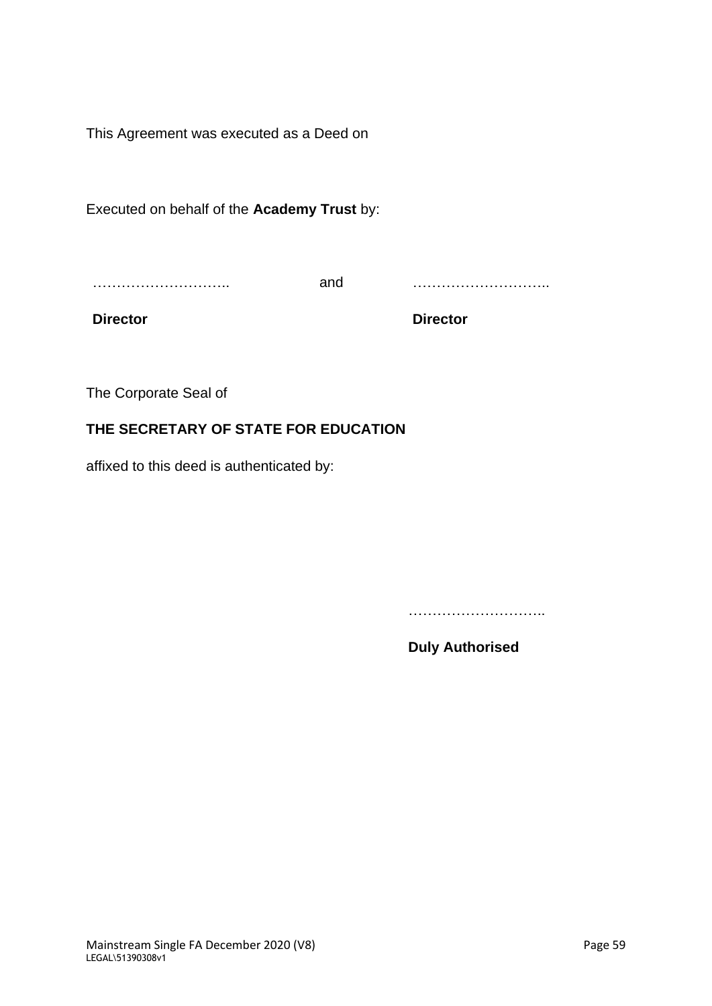This Agreement was executed as a Deed on

Executed on behalf of the **Academy Trust** by:

……………………………

and ………………………..

**Director**

**Director**

The Corporate Seal of

### **THE SECRETARY OF STATE FOR EDUCATION**

affixed to this deed is authenticated by:

……………………………

**Duly Authorised**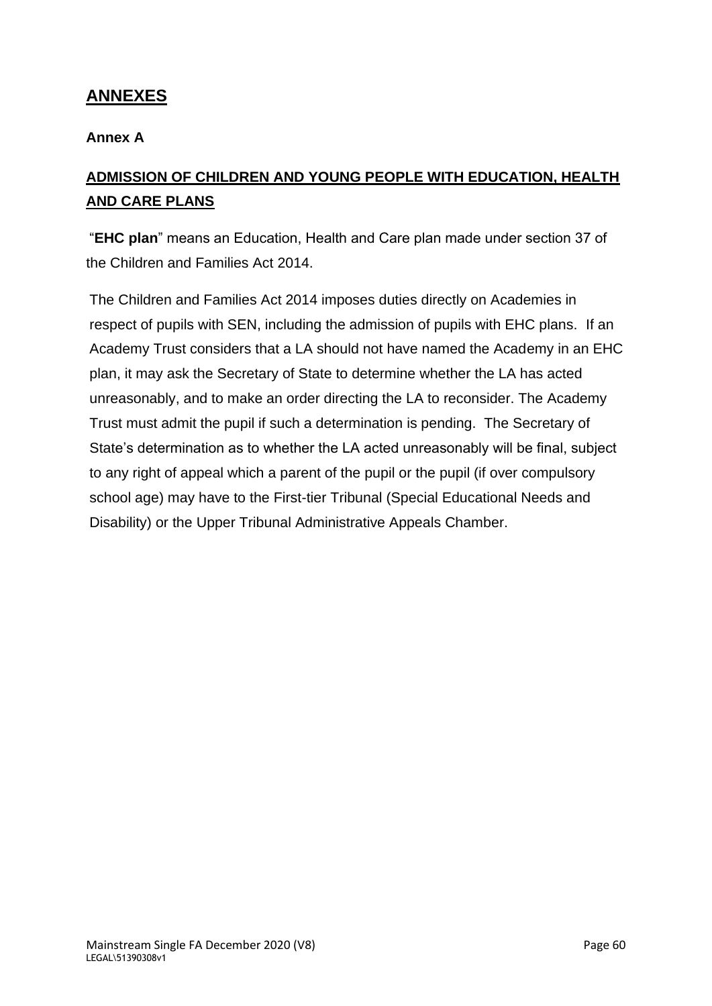## **ANNEXES**

#### **Annex A**

# **ADMISSION OF CHILDREN AND YOUNG PEOPLE WITH EDUCATION, HEALTH AND CARE PLANS**

"**EHC plan**" means an Education, Health and Care plan made under section 37 of the Children and Families Act 2014.

The Children and Families Act 2014 imposes duties directly on Academies in respect of pupils with SEN, including the admission of pupils with EHC plans. If an Academy Trust considers that a LA should not have named the Academy in an EHC plan, it may ask the Secretary of State to determine whether the LA has acted unreasonably, and to make an order directing the LA to reconsider. The Academy Trust must admit the pupil if such a determination is pending. The Secretary of State's determination as to whether the LA acted unreasonably will be final, subject to any right of appeal which a parent of the pupil or the pupil (if over compulsory school age) may have to the First-tier Tribunal (Special Educational Needs and Disability) or the Upper Tribunal Administrative Appeals Chamber.